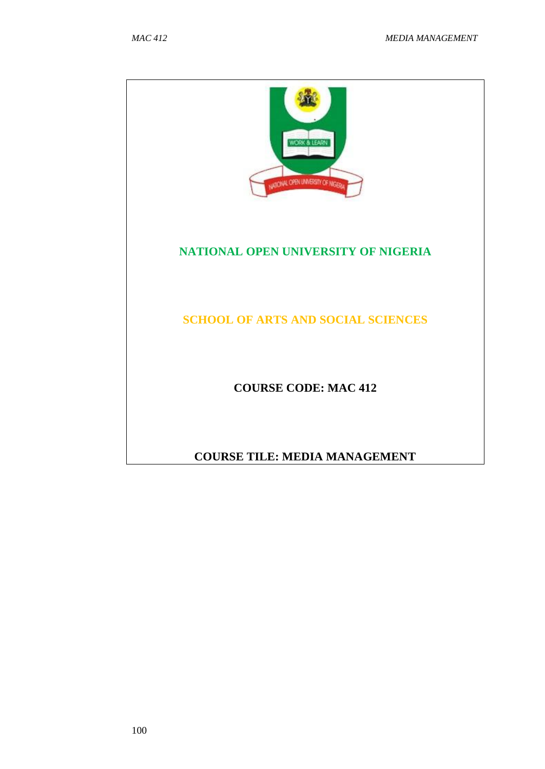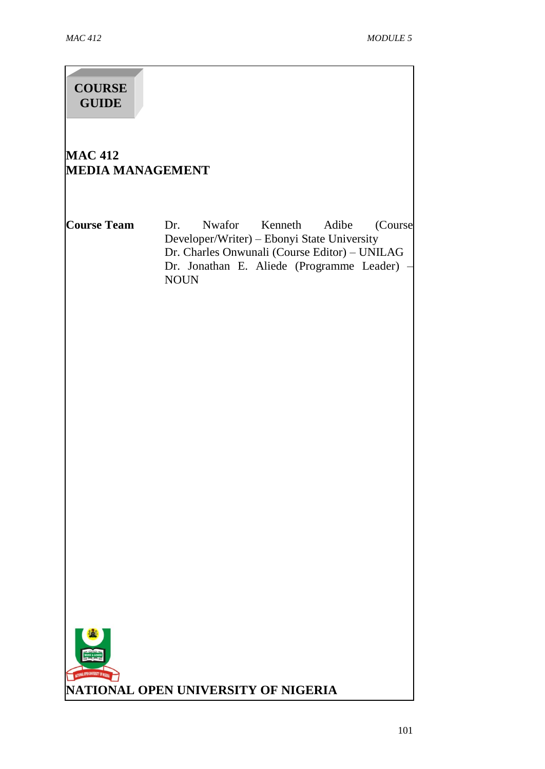# **COURSE GUIDE**

# **MAC 412 MEDIA MANAGEMENT**

**Course Team** Dr. Nwafor Kenneth Adibe (Course Developer/Writer) – Ebonyi State University Dr. Charles Onwunali (Course Editor) – UNILAG Dr. Jonathan E. Aliede (Programme Leader) – NOUN

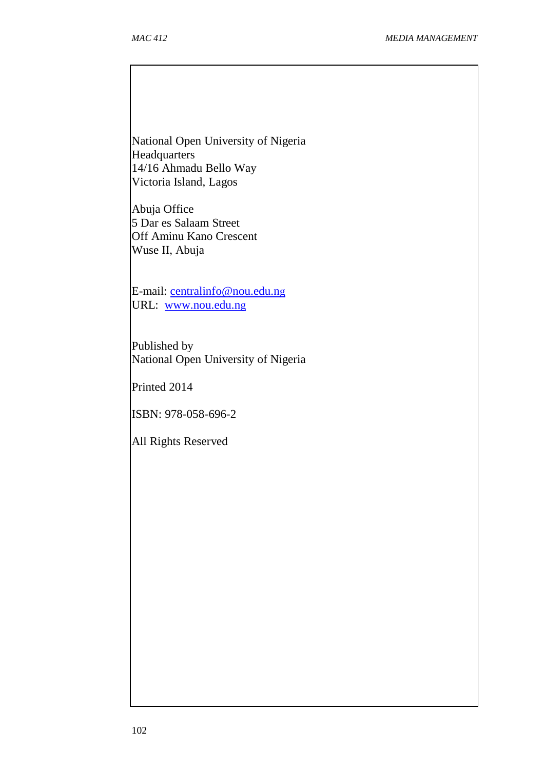National Open University of Nigeria **Headquarters** 14/16 Ahmadu Bello Way Victoria Island, Lagos

Abuja Office 5 Dar es Salaam Street Off Aminu Kano Crescent Wuse II, Abuja

E-mail: [centralinfo@nou.edu.n](mailto:centralinfo@nou.edu.ng)g URL: [www.nou.edu.n](http://www.nou.edu.ng/)g

Published by National Open University of Nigeria

Printed 2014

ISBN: 978-058-696-2

All Rights Reserved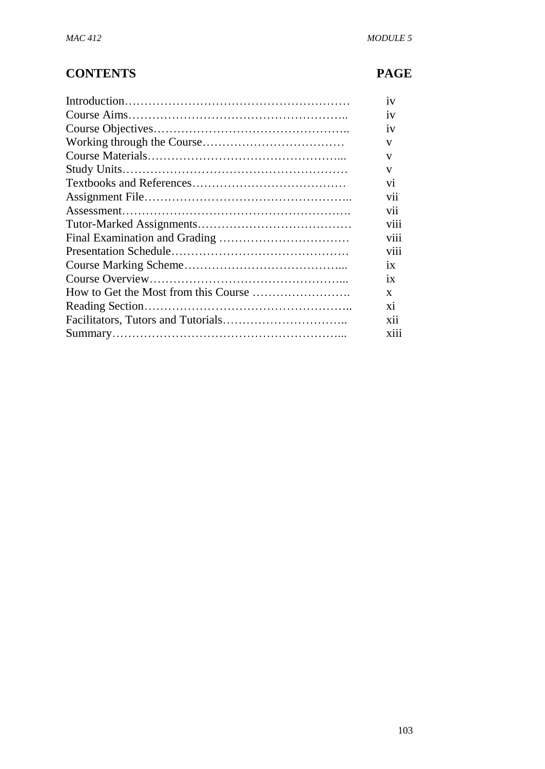# **CONTENTS PAGE**

| 1V              |
|-----------------|
| 1V              |
| 1V              |
| V               |
| V               |
| $\mathbf{V}$    |
| V1              |
| vii             |
| V11             |
| V111            |
| V111            |
| V111            |
| $\overline{1}X$ |
| 1X              |
| $\mathbf{x}$    |
| xi              |
| X11             |
| X111            |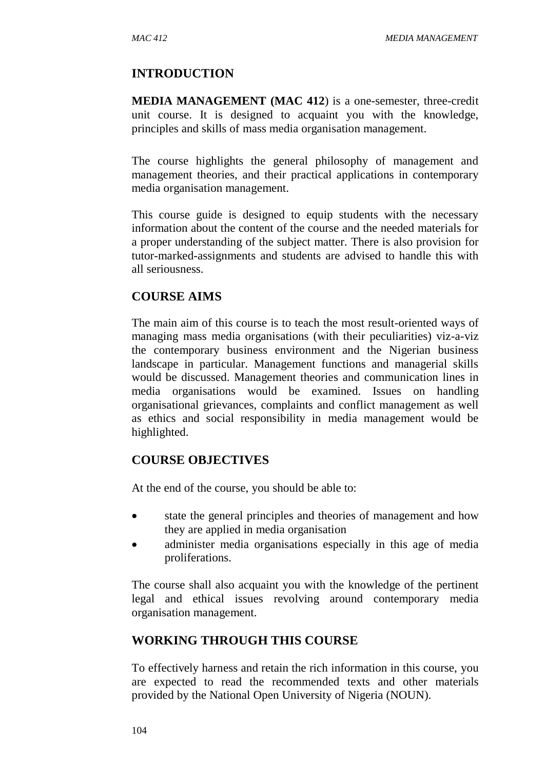#### **INTRODUCTION**

**MEDIA MANAGEMENT (MAC 412**) is a one-semester, three-credit unit course. It is designed to acquaint you with the knowledge, principles and skills of mass media organisation management.

The course highlights the general philosophy of management and management theories, and their practical applications in contemporary media organisation management.

This course guide is designed to equip students with the necessary information about the content of the course and the needed materials for a proper understanding of the subject matter. There is also provision for tutor-marked-assignments and students are advised to handle this with all seriousness.

## **COURSE AIMS**

The main aim of this course is to teach the most result-oriented ways of managing mass media organisations (with their peculiarities) viz-a-viz the contemporary business environment and the Nigerian business landscape in particular. Management functions and managerial skills would be discussed. Management theories and communication lines in media organisations would be examined. Issues on handling organisational grievances, complaints and conflict management as well as ethics and social responsibility in media management would be highlighted.

#### **COURSE OBJECTIVES**

At the end of the course, you should be able to:

- state the general principles and theories of management and how they are applied in media organisation
- administer media organisations especially in this age of media proliferations.

The course shall also acquaint you with the knowledge of the pertinent legal and ethical issues revolving around contemporary media organisation management.

## **WORKING THROUGH THIS COURSE**

To effectively harness and retain the rich information in this course, you are expected to read the recommended texts and other materials provided by the National Open University of Nigeria (NOUN).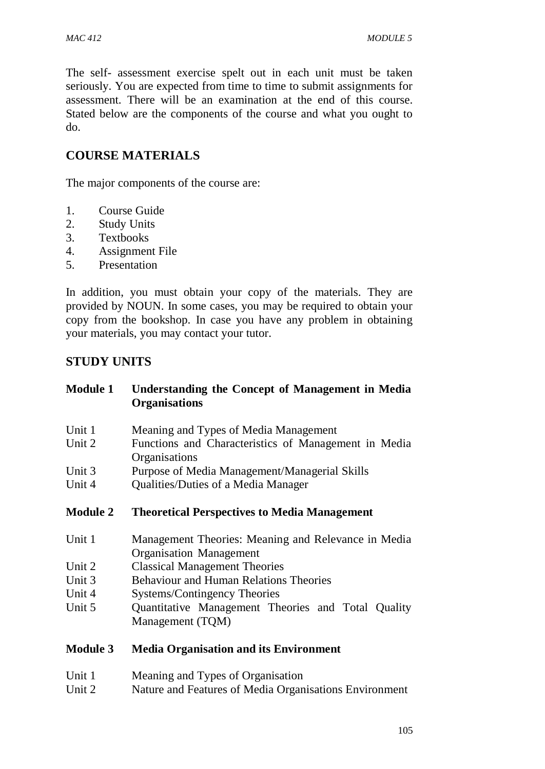The self- assessment exercise spelt out in each unit must be taken seriously. You are expected from time to time to submit assignments for assessment. There will be an examination at the end of this course. Stated below are the components of the course and what you ought to do.

# **COURSE MATERIALS**

The major components of the course are:

- 1. Course Guide
- 2. Study Units
- 3. Textbooks
- 4. Assignment File
- 5. Presentation

In addition, you must obtain your copy of the materials. They are provided by NOUN. In some cases, you may be required to obtain your copy from the bookshop. In case you have any problem in obtaining your materials, you may contact your tutor.

#### **STUDY UNITS**

| <b>Module 1</b> | <b>Understanding the Concept of Management in Media</b><br><b>Organisations</b>       |
|-----------------|---------------------------------------------------------------------------------------|
| Unit 1          | Meaning and Types of Media Management                                                 |
| Unit 2          | Functions and Characteristics of Management in Media<br>Organisations                 |
| Unit 3          | Purpose of Media Management/Managerial Skills                                         |
| Unit 4          | Qualities/Duties of a Media Manager                                                   |
|                 |                                                                                       |
| <b>Module 2</b> | <b>Theoretical Perspectives to Media Management</b>                                   |
| Unit 1          | Management Theories: Meaning and Relevance in Media                                   |
| Unit 2          | <b>Organisation Management</b>                                                        |
| Unit 3          | <b>Classical Management Theories</b><br><b>Behaviour and Human Relations Theories</b> |
| Unit 4          | Systems/Contingency Theories                                                          |
| Unit 5          | Quantitative Management Theories and Total Quality                                    |

#### **Module 3 Media Organisation and its Environment**

- Unit 1 Meaning and Types of Organisation
- Unit 2 Nature and Features of Media Organisations Environment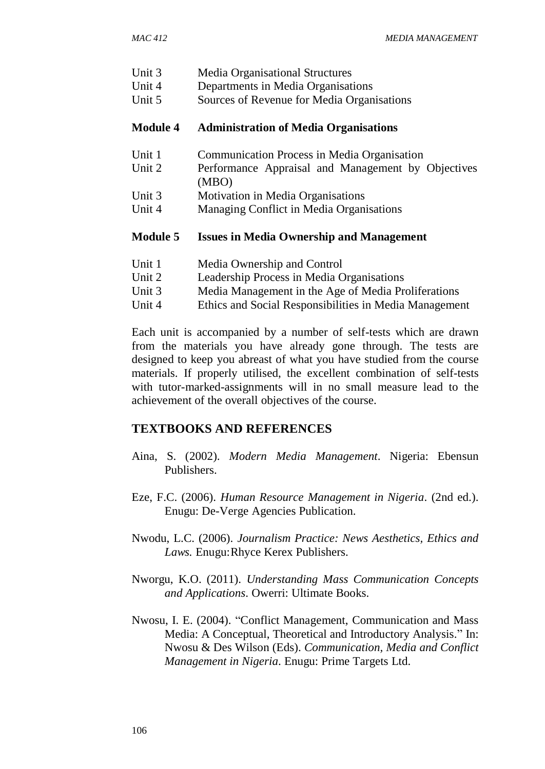- Unit 3 Media Organisational Structures
- Unit 4 Departments in Media Organisations
- Unit 5 Sources of Revenue for Media Organisations

#### **Module 4 Administration of Media Organisations**

- Unit 1 Communication Process in Media Organisation
- Unit 2 Performance Appraisal and Management by Objectives (MBO)
- Unit 3 Motivation in Media Organisations
- Unit 4 Managing Conflict in Media Organisations

#### **Module 5 Issues in Media Ownership and Management**

- Unit 1 Media Ownership and Control
- Unit 2 Leadership Process in Media Organisations
- Unit 3 Media Management in the Age of Media Proliferations
- Unit 4 Ethics and Social Responsibilities in Media Management

Each unit is accompanied by a number of self-tests which are drawn from the materials you have already gone through. The tests are designed to keep you abreast of what you have studied from the course materials. If properly utilised, the excellent combination of self-tests with tutor-marked-assignments will in no small measure lead to the achievement of the overall objectives of the course.

#### **TEXTBOOKS AND REFERENCES**

- Aina, S. (2002). *Modern Media Management*. Nigeria: Ebensun Publishers.
- Eze, F.C. (2006). *Human Resource Management in Nigeria*. (2nd ed.). Enugu: De-Verge Agencies Publication.
- Nwodu, L.C. (2006). *Journalism Practice: News Aesthetics, Ethics and Laws.* Enugu:Rhyce Kerex Publishers.
- Nworgu, K.O. (2011). *Understanding Mass Communication Concepts and Applications*. Owerri: Ultimate Books.
- Nwosu, I. E. (2004). "Conflict Management, Communication and Mass Media: A Conceptual, Theoretical and Introductory Analysis." In: Nwosu & Des Wilson (Eds). *Communication, Media and Conflict Management in Nigeria*. Enugu: Prime Targets Ltd.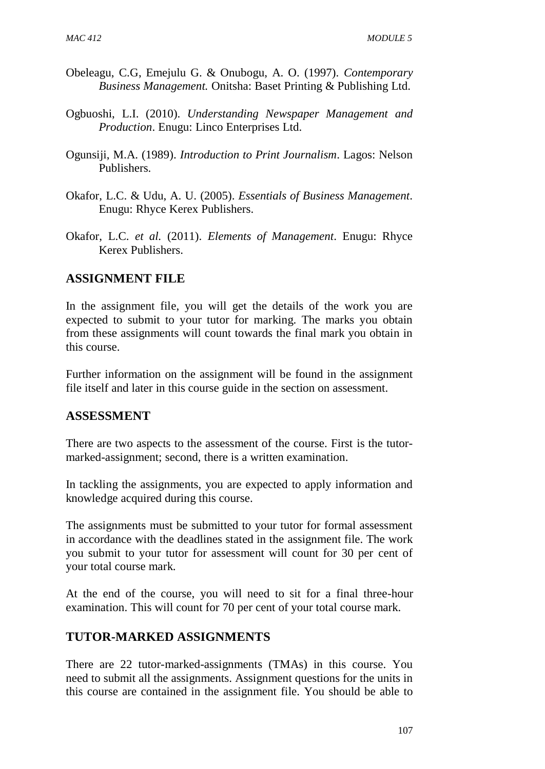- Obeleagu, C.G, Emejulu G. & Onubogu, A. O. (1997). *Contemporary Business Management.* Onitsha: Baset Printing & Publishing Ltd.
- Ogbuoshi, L.I. (2010). *Understanding Newspaper Management and Production*. Enugu: Linco Enterprises Ltd.
- Ogunsiji, M.A. (1989). *Introduction to Print Journalism*. Lagos: Nelson Publishers.
- Okafor, L.C. & Udu, A. U. (2005). *Essentials of Business Management*. Enugu: Rhyce Kerex Publishers.
- Okafor, L.C. *et al.* (2011). *Elements of Management*. Enugu: Rhyce Kerex Publishers.

#### **ASSIGNMENT FILE**

In the assignment file, you will get the details of the work you are expected to submit to your tutor for marking. The marks you obtain from these assignments will count towards the final mark you obtain in this course.

Further information on the assignment will be found in the assignment file itself and later in this course guide in the section on assessment.

#### **ASSESSMENT**

There are two aspects to the assessment of the course. First is the tutormarked-assignment; second, there is a written examination.

In tackling the assignments, you are expected to apply information and knowledge acquired during this course.

The assignments must be submitted to your tutor for formal assessment in accordance with the deadlines stated in the assignment file. The work you submit to your tutor for assessment will count for 30 per cent of your total course mark.

At the end of the course, you will need to sit for a final three-hour examination. This will count for 70 per cent of your total course mark.

## **TUTOR-MARKED ASSIGNMENTS**

There are 22 tutor-marked-assignments (TMAs) in this course. You need to submit all the assignments. Assignment questions for the units in this course are contained in the assignment file. You should be able to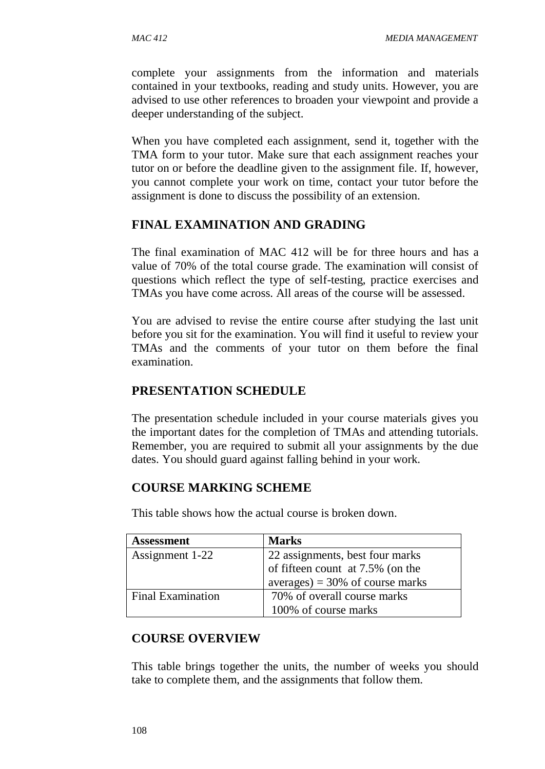complete your assignments from the information and materials contained in your textbooks, reading and study units. However, you are advised to use other references to broaden your viewpoint and provide a deeper understanding of the subject.

When you have completed each assignment, send it, together with the TMA form to your tutor. Make sure that each assignment reaches your tutor on or before the deadline given to the assignment file. If, however, you cannot complete your work on time, contact your tutor before the assignment is done to discuss the possibility of an extension.

## **FINAL EXAMINATION AND GRADING**

The final examination of MAC 412 will be for three hours and has a value of 70% of the total course grade. The examination will consist of questions which reflect the type of self-testing, practice exercises and TMAs you have come across. All areas of the course will be assessed.

You are advised to revise the entire course after studying the last unit before you sit for the examination. You will find it useful to review your TMAs and the comments of your tutor on them before the final examination.

#### **PRESENTATION SCHEDULE**

The presentation schedule included in your course materials gives you the important dates for the completion of TMAs and attending tutorials. Remember, you are required to submit all your assignments by the due dates. You should guard against falling behind in your work.

#### **COURSE MARKING SCHEME**

This table shows how the actual course is broken down.

| <b>Assessment</b>        | <b>Marks</b>                     |
|--------------------------|----------------------------------|
| Assignment 1-22          | 22 assignments, best four marks  |
|                          | of fifteen count at 7.5% (on the |
|                          | $averages$ = 30% of course marks |
| <b>Final Examination</b> | 70% of overall course marks      |
|                          | 100% of course marks             |

#### **COURSE OVERVIEW**

This table brings together the units, the number of weeks you should take to complete them, and the assignments that follow them.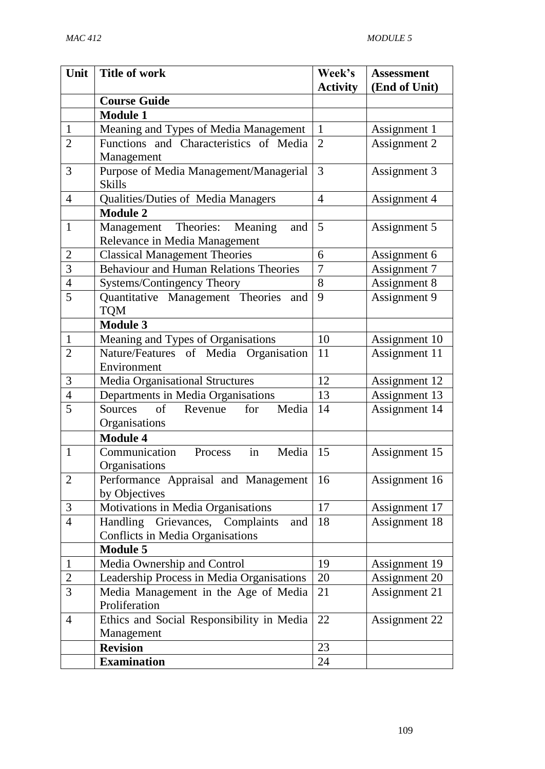| Unit           | <b>Title of work</b>                                                 | Week's          | <b>Assessment</b> |
|----------------|----------------------------------------------------------------------|-----------------|-------------------|
|                |                                                                      | <b>Activity</b> | (End of Unit)     |
|                | <b>Course Guide</b>                                                  |                 |                   |
|                | <b>Module 1</b>                                                      |                 |                   |
| $\mathbf{1}$   | Meaning and Types of Media Management                                | $\mathbf{1}$    | Assignment 1      |
| $\overline{2}$ | Functions and Characteristics of Media<br>Management                 | $\overline{2}$  | Assignment 2      |
| 3              | Purpose of Media Management/Managerial<br><b>Skills</b>              | 3               | Assignment 3      |
| $\overline{4}$ | Qualities/Duties of Media Managers                                   | $\overline{4}$  | Assignment 4      |
|                | <b>Module 2</b>                                                      |                 |                   |
| $\mathbf{1}$   | Management Theories: Meaning<br>and<br>Relevance in Media Management | 5               | Assignment 5      |
| $\overline{2}$ | <b>Classical Management Theories</b>                                 | 6               | Assignment 6      |
| 3              | <b>Behaviour and Human Relations Theories</b>                        | 7               | Assignment 7      |
| $\overline{4}$ | Systems/Contingency Theory                                           | 8               | Assignment 8      |
| 5              | Quantitative Management Theories<br>and<br><b>TQM</b>                | 9               | Assignment 9      |
|                | <b>Module 3</b>                                                      |                 |                   |
| $\mathbf{1}$   | Meaning and Types of Organisations                                   | 10              | Assignment 10     |
| $\overline{2}$ | Nature/Features of Media Organisation                                | 11              | Assignment 11     |
|                | Environment                                                          |                 |                   |
| 3              | Media Organisational Structures                                      | 12              | Assignment 12     |
| $\overline{4}$ | Departments in Media Organisations                                   | 13              | Assignment 13     |
| 5              | $\sigma$ f<br>for<br>Media<br>Revenue<br>Sources                     | 14              | Assignment 14     |
|                | Organisations                                                        |                 |                   |
|                | <b>Module 4</b>                                                      |                 |                   |
| 1              | Communication<br>in<br>Media<br>Process                              | 15              | Assignment 15     |
|                | Organisations                                                        |                 |                   |
| $\overline{2}$ | Performance Appraisal and Management<br>by Objectives                | 16              | Assignment 16     |
| 3              | Motivations in Media Organisations                                   | 17              | Assignment 17     |
| $\overline{4}$ | Handling<br>Grievances, Complaints<br>and                            | 18              | Assignment 18     |
|                | Conflicts in Media Organisations                                     |                 |                   |
|                | <b>Module 5</b>                                                      |                 |                   |
| $\mathbf{1}$   | Media Ownership and Control                                          | 19              | Assignment 19     |
| $\overline{2}$ | Leadership Process in Media Organisations                            | 20              | Assignment 20     |
| 3              | Media Management in the Age of Media                                 | 21              | Assignment 21     |
|                | Proliferation                                                        |                 |                   |
| $\overline{4}$ | Ethics and Social Responsibility in Media                            | 22              | Assignment 22     |
|                | Management                                                           |                 |                   |
|                | <b>Revision</b>                                                      | 23              |                   |
|                | <b>Examination</b>                                                   | 24              |                   |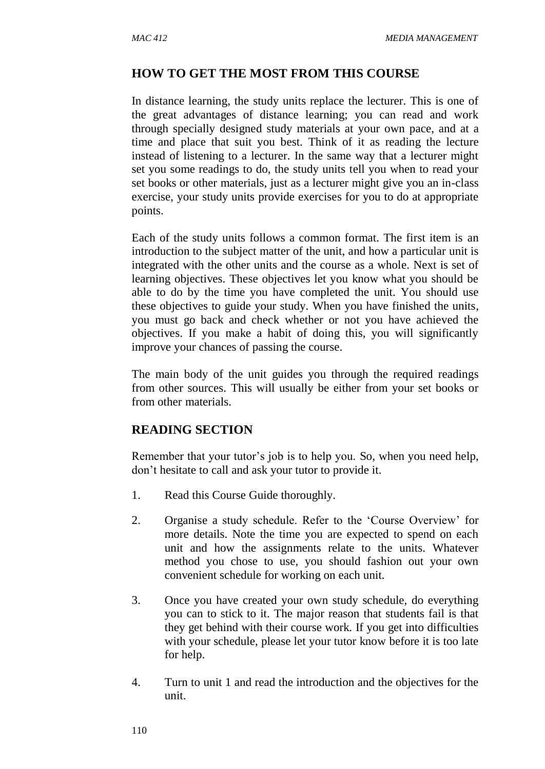#### **HOW TO GET THE MOST FROM THIS COURSE**

In distance learning, the study units replace the lecturer. This is one of the great advantages of distance learning; you can read and work through specially designed study materials at your own pace, and at a time and place that suit you best. Think of it as reading the lecture instead of listening to a lecturer. In the same way that a lecturer might set you some readings to do, the study units tell you when to read your set books or other materials, just as a lecturer might give you an in-class exercise, your study units provide exercises for you to do at appropriate points.

Each of the study units follows a common format. The first item is an introduction to the subject matter of the unit, and how a particular unit is integrated with the other units and the course as a whole. Next is set of learning objectives. These objectives let you know what you should be able to do by the time you have completed the unit. You should use these objectives to guide your study. When you have finished the units, you must go back and check whether or not you have achieved the objectives. If you make a habit of doing this, you will significantly improve your chances of passing the course.

The main body of the unit guides you through the required readings from other sources. This will usually be either from your set books or from other materials.

## **READING SECTION**

Remember that your tutor's job is to help you. So, when you need help, don't hesitate to call and ask your tutor to provide it.

- 1. Read this Course Guide thoroughly.
- 2. Organise a study schedule. Refer to the 'Course Overview' for more details. Note the time you are expected to spend on each unit and how the assignments relate to the units. Whatever method you chose to use, you should fashion out your own convenient schedule for working on each unit.
- 3. Once you have created your own study schedule, do everything you can to stick to it. The major reason that students fail is that they get behind with their course work. If you get into difficulties with your schedule, please let your tutor know before it is too late for help.
- 4. Turn to unit 1 and read the introduction and the objectives for the unit.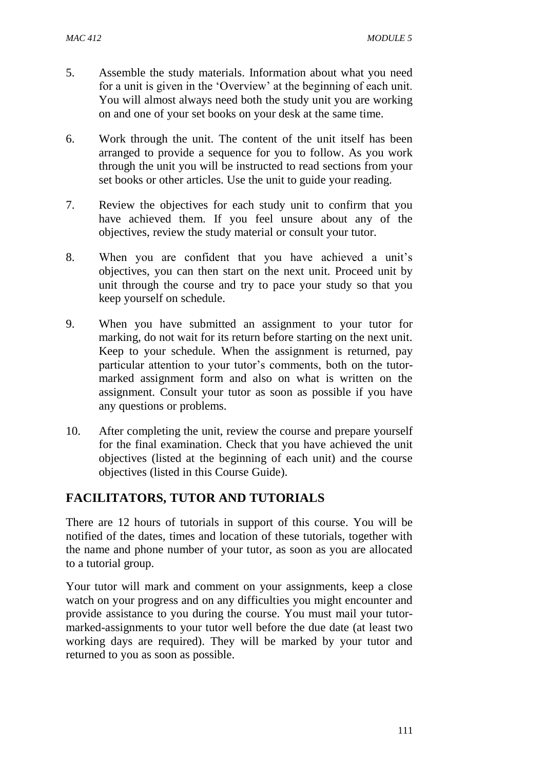- 5. Assemble the study materials. Information about what you need for a unit is given in the 'Overview' at the beginning of each unit. You will almost always need both the study unit you are working on and one of your set books on your desk at the same time.
- 6. Work through the unit. The content of the unit itself has been arranged to provide a sequence for you to follow. As you work through the unit you will be instructed to read sections from your set books or other articles. Use the unit to guide your reading.
- 7. Review the objectives for each study unit to confirm that you have achieved them. If you feel unsure about any of the objectives, review the study material or consult your tutor.
- 8. When you are confident that you have achieved a unit's objectives, you can then start on the next unit. Proceed unit by unit through the course and try to pace your study so that you keep yourself on schedule.
- 9. When you have submitted an assignment to your tutor for marking, do not wait for its return before starting on the next unit. Keep to your schedule. When the assignment is returned, pay particular attention to your tutor's comments, both on the tutormarked assignment form and also on what is written on the assignment. Consult your tutor as soon as possible if you have any questions or problems.
- 10. After completing the unit, review the course and prepare yourself for the final examination. Check that you have achieved the unit objectives (listed at the beginning of each unit) and the course objectives (listed in this Course Guide).

# **FACILITATORS, TUTOR AND TUTORIALS**

There are 12 hours of tutorials in support of this course. You will be notified of the dates, times and location of these tutorials, together with the name and phone number of your tutor, as soon as you are allocated to a tutorial group.

Your tutor will mark and comment on your assignments, keep a close watch on your progress and on any difficulties you might encounter and provide assistance to you during the course. You must mail your tutormarked-assignments to your tutor well before the due date (at least two working days are required). They will be marked by your tutor and returned to you as soon as possible.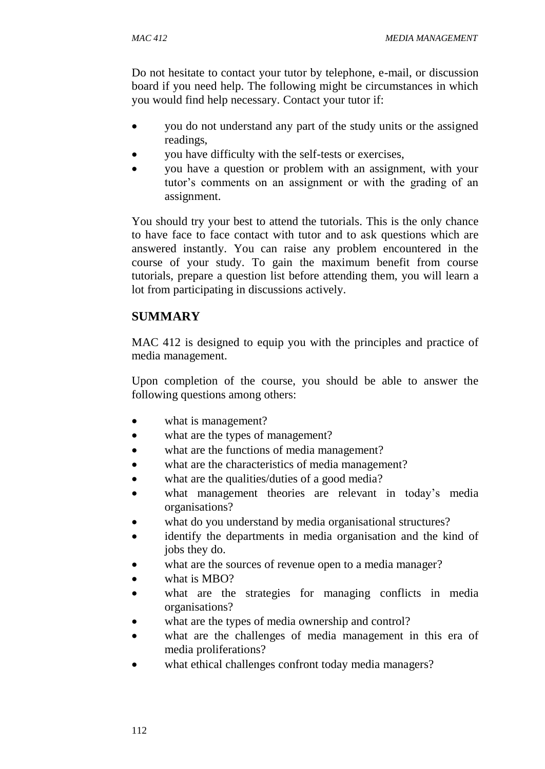Do not hesitate to contact your tutor by telephone, e-mail, or discussion board if you need help. The following might be circumstances in which you would find help necessary. Contact your tutor if:

- you do not understand any part of the study units or the assigned readings,
- you have difficulty with the self-tests or exercises,
- you have a question or problem with an assignment, with your tutor's comments on an assignment or with the grading of an assignment.

You should try your best to attend the tutorials. This is the only chance to have face to face contact with tutor and to ask questions which are answered instantly. You can raise any problem encountered in the course of your study. To gain the maximum benefit from course tutorials, prepare a question list before attending them, you will learn a lot from participating in discussions actively.

# **SUMMARY**

MAC 412 is designed to equip you with the principles and practice of media management.

Upon completion of the course, you should be able to answer the following questions among others:

- what is management?
- what are the types of management?
- what are the functions of media management?
- what are the characteristics of media management?
- what are the qualities/duties of a good media?
- what management theories are relevant in today's media organisations?
- what do you understand by media organisational structures?
- identify the departments in media organisation and the kind of jobs they do.
- what are the sources of revenue open to a media manager?
- what is MBO?
- what are the strategies for managing conflicts in media organisations?
- what are the types of media ownership and control?
- what are the challenges of media management in this era of media proliferations?
- what ethical challenges confront today media managers?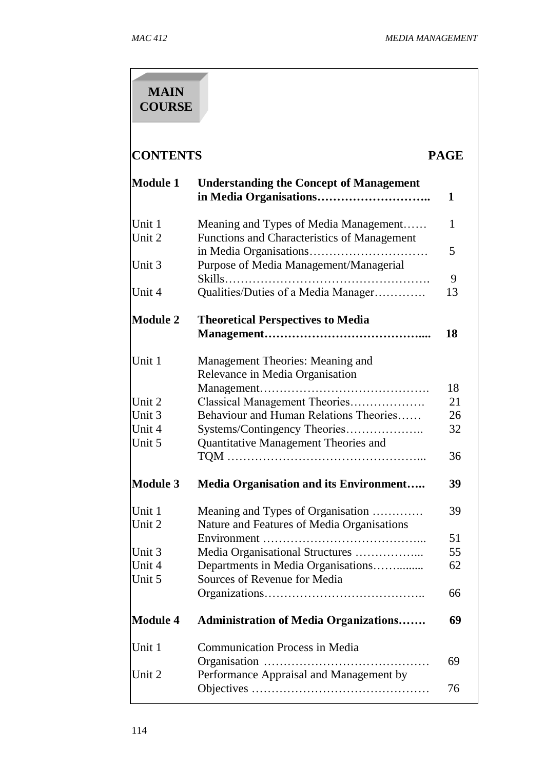| <b>MAIN</b><br><b>COURSE</b>   |                                                                                 |          |
|--------------------------------|---------------------------------------------------------------------------------|----------|
| <b>CONTENTS</b><br><b>PAGE</b> |                                                                                 |          |
| <b>Module 1</b>                | <b>Understanding the Concept of Management</b>                                  | 1        |
| Unit 1                         | Meaning and Types of Media Management                                           | 1        |
| Unit 2                         | Functions and Characteristics of Management                                     |          |
|                                |                                                                                 | 5        |
| Unit 3                         | Purpose of Media Management/Managerial<br>$Skills$                              | 9        |
| Unit 4                         | Qualities/Duties of a Media Manager                                             | 13       |
| <b>Module 2</b>                | <b>Theoretical Perspectives to Media</b>                                        | 18       |
| Unit 1                         | Management Theories: Meaning and<br>Relevance in Media Organisation             |          |
|                                |                                                                                 | 18       |
| Unit 2<br>Unit 3               | Classical Management Theories<br>Behaviour and Human Relations Theories         | 21<br>26 |
| Unit 4                         | Systems/Contingency Theories                                                    | 32       |
| Unit 5                         | Quantitative Management Theories and                                            |          |
|                                |                                                                                 | 36       |
| <b>Module 3</b>                | <b>Media Organisation and its Environment</b>                                   | 39       |
| Unit 1<br>Unit 2               | Meaning and Types of Organisation<br>Nature and Features of Media Organisations | 39       |
|                                |                                                                                 | 51       |
| Unit 3                         |                                                                                 | 55       |
| Unit 4                         | Departments in Media Organisations                                              | 62       |
| Unit 5                         | Sources of Revenue for Media                                                    |          |
|                                |                                                                                 | 66       |
| <b>Module 4</b>                | <b>Administration of Media Organizations</b>                                    | 69       |
| Unit 1                         | <b>Communication Process in Media</b>                                           |          |
| Unit 2                         | Performance Appraisal and Management by                                         | 69       |
|                                |                                                                                 | 76       |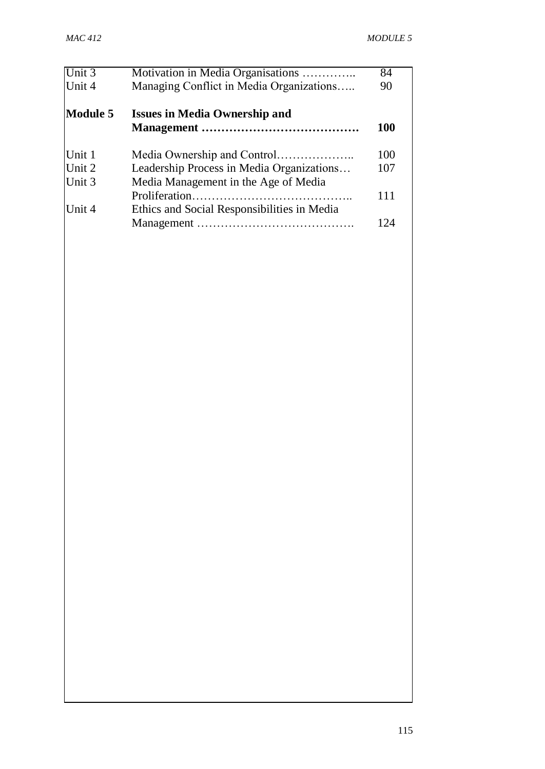| Unit 3<br>Unit 4 | Motivation in Media Organisations<br>Managing Conflict in Media Organizations | 84<br>90 |
|------------------|-------------------------------------------------------------------------------|----------|
| <b>Module 5</b>  | <b>Issues in Media Ownership and</b>                                          | 100      |
|                  |                                                                               |          |
| Unit 1           |                                                                               | 100      |
| Unit 2           | Leadership Process in Media Organizations                                     | 107      |
| Unit 3           | Media Management in the Age of Media                                          |          |
|                  |                                                                               | 111      |
| Unit 4           | Ethics and Social Responsibilities in Media                                   |          |
|                  |                                                                               | 124      |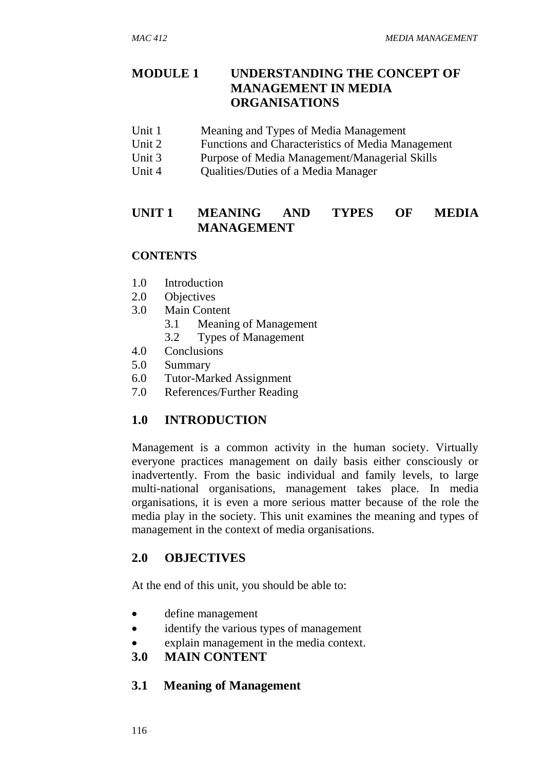## **MODULE 1 UNDERSTANDING THE CONCEPT OF MANAGEMENT IN MEDIA ORGANISATIONS**

- Unit 1 Meaning and Types of Media Management
- Unit 2 Functions and Characteristics of Media Management
- Unit 3 Purpose of Media Management/Managerial Skills
- Unit 4 Cualities/Duties of a Media Manager

## **UNIT 1 MEANING AND TYPES OF MEDIA MANAGEMENT**

#### **CONTENTS**

- 1.0 Introduction
- 2.0 Objectives
- 3.0 Main Content
	- 3.1 Meaning of Management
	- 3.2 Types of Management
- 4.0 Conclusions
- 5.0 Summary
- 6.0 Tutor-Marked Assignment
- 7.0 References/Further Reading

## **1.0 INTRODUCTION**

Management is a common activity in the human society. Virtually everyone practices management on daily basis either consciously or inadvertently. From the basic individual and family levels, to large multi-national organisations, management takes place. In media organisations, it is even a more serious matter because of the role the media play in the society. This unit examines the meaning and types of management in the context of media organisations.

#### **2.0 OBJECTIVES**

At the end of this unit, you should be able to:

- define management
- identify the various types of management
- explain management in the media context.

#### **3.0 MAIN CONTENT**

#### **3.1 Meaning of Management**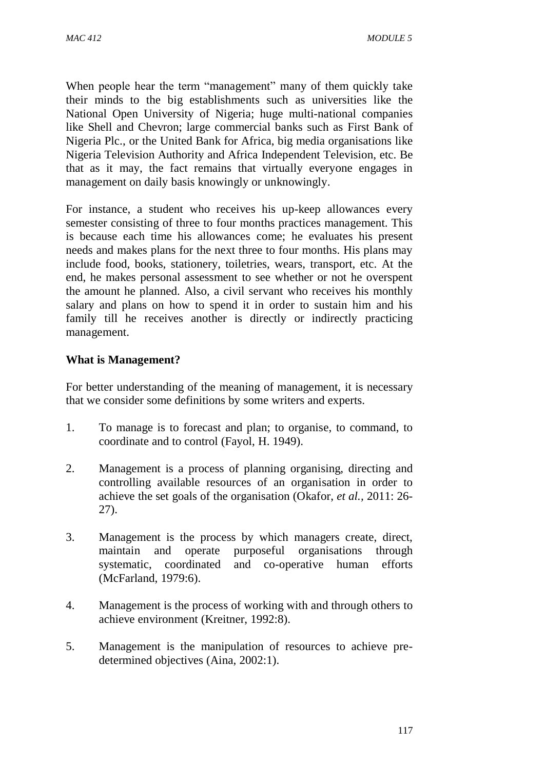When people hear the term "management" many of them quickly take their minds to the big establishments such as universities like the National Open University of Nigeria; huge multi-national companies like Shell and Chevron; large commercial banks such as First Bank of Nigeria Plc., or the United Bank for Africa, big media organisations like Nigeria Television Authority and Africa Independent Television, etc. Be that as it may, the fact remains that virtually everyone engages in management on daily basis knowingly or unknowingly.

For instance, a student who receives his up-keep allowances every semester consisting of three to four months practices management. This is because each time his allowances come; he evaluates his present needs and makes plans for the next three to four months. His plans may include food, books, stationery, toiletries, wears, transport, etc. At the end, he makes personal assessment to see whether or not he overspent the amount he planned. Also, a civil servant who receives his monthly salary and plans on how to spend it in order to sustain him and his family till he receives another is directly or indirectly practicing management.

#### **What is Management?**

For better understanding of the meaning of management, it is necessary that we consider some definitions by some writers and experts.

- 1. To manage is to forecast and plan; to organise, to command, to coordinate and to control (Fayol, H. 1949).
- 2. Management is a process of planning organising, directing and controlling available resources of an organisation in order to achieve the set goals of the organisation (Okafor, *et al.,* 2011: 26- 27).
- 3. Management is the process by which managers create, direct, maintain and operate purposeful organisations through systematic, coordinated and co-operative human efforts (McFarland, 1979:6).
- 4. Management is the process of working with and through others to achieve environment (Kreitner, 1992:8).
- 5. Management is the manipulation of resources to achieve predetermined objectives (Aina, 2002:1).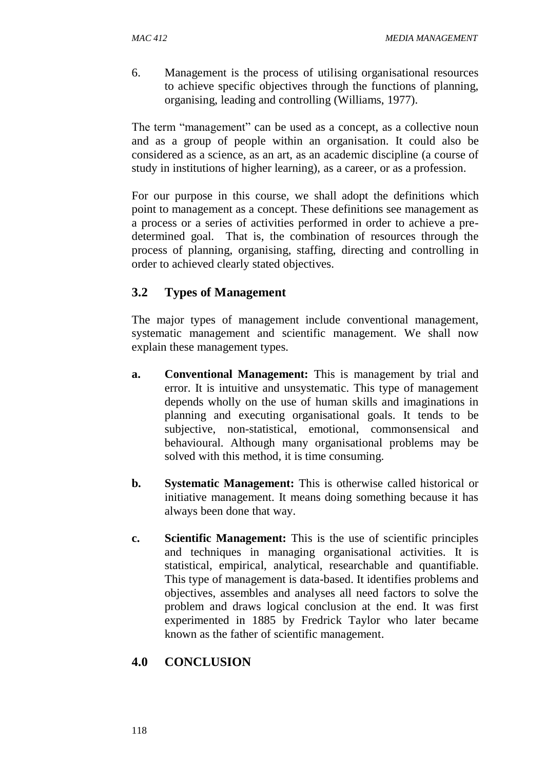6. Management is the process of utilising organisational resources to achieve specific objectives through the functions of planning, organising, leading and controlling (Williams, 1977).

The term "management" can be used as a concept, as a collective noun and as a group of people within an organisation. It could also be considered as a science, as an art, as an academic discipline (a course of study in institutions of higher learning), as a career, or as a profession.

For our purpose in this course, we shall adopt the definitions which point to management as a concept. These definitions see management as a process or a series of activities performed in order to achieve a predetermined goal. That is, the combination of resources through the process of planning, organising, staffing, directing and controlling in order to achieved clearly stated objectives.

# **3.2 Types of Management**

The major types of management include conventional management, systematic management and scientific management. We shall now explain these management types.

- **a. Conventional Management:** This is management by trial and error. It is intuitive and unsystematic. This type of management depends wholly on the use of human skills and imaginations in planning and executing organisational goals. It tends to be subjective, non-statistical, emotional, commonsensical and behavioural. Although many organisational problems may be solved with this method, it is time consuming.
- **b. Systematic Management:** This is otherwise called historical or initiative management. It means doing something because it has always been done that way.
- **c. Scientific Management:** This is the use of scientific principles and techniques in managing organisational activities. It is statistical, empirical, analytical, researchable and quantifiable. This type of management is data-based. It identifies problems and objectives, assembles and analyses all need factors to solve the problem and draws logical conclusion at the end. It was first experimented in 1885 by Fredrick Taylor who later became known as the father of scientific management.

# **4.0 CONCLUSION**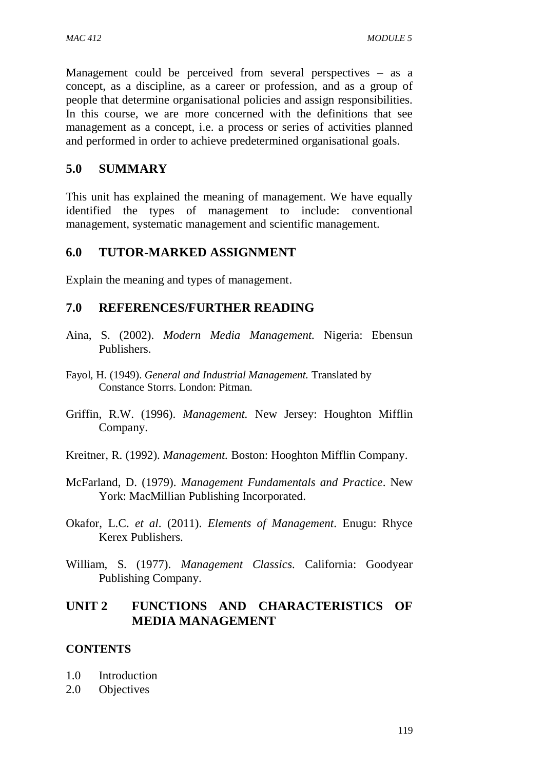Management could be perceived from several perspectives – as a concept, as a discipline, as a career or profession, and as a group of people that determine organisational policies and assign responsibilities. In this course, we are more concerned with the definitions that see management as a concept, i.e. a process or series of activities planned and performed in order to achieve predetermined organisational goals.

#### **5.0 SUMMARY**

This unit has explained the meaning of management. We have equally identified the types of management to include: conventional management, systematic management and scientific management.

#### **6.0 TUTOR-MARKED ASSIGNMENT**

Explain the meaning and types of management.

#### **7.0 REFERENCES/FURTHER READING**

- Aina, S. (2002). *Modern Media Management.* Nigeria: Ebensun Publishers.
- Fayol, H. (1949). *General and Industrial Management.* Translated by Constance Storrs. London: Pitman.
- Griffin, R.W. (1996). *Management.* New Jersey: Houghton Mifflin Company.
- Kreitner, R. (1992). *Management.* Boston: Hooghton Mifflin Company.
- McFarland, D. (1979). *Management Fundamentals and Practice*. New York: MacMillian Publishing Incorporated.
- Okafor, L.C. *et al*. (2011). *Elements of Management*. Enugu: Rhyce Kerex Publishers.
- William, S. (1977). *Management Classics.* California: Goodyear Publishing Company.

#### **UNIT 2 FUNCTIONS AND CHARACTERISTICS OF MEDIA MANAGEMENT**

#### **CONTENTS**

- 1.0 Introduction
- 2.0 Objectives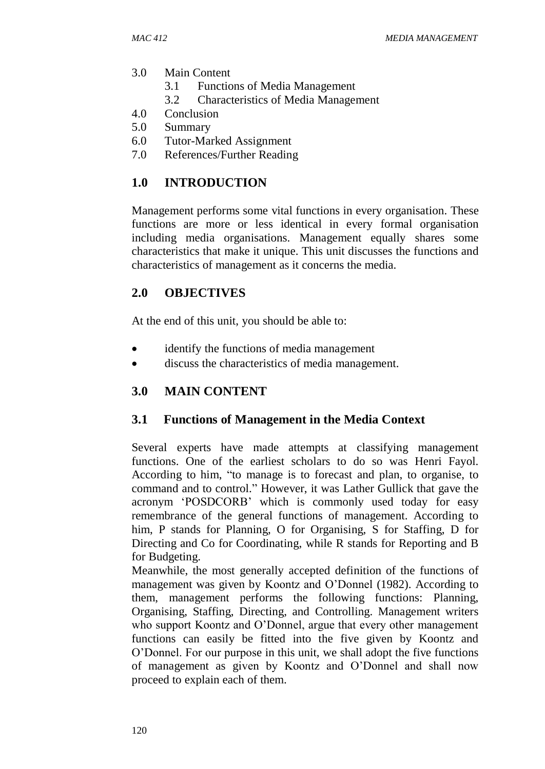- 3.0 Main Content
	- 3.1 Functions of Media Management
	- 3.2 Characteristics of Media Management
- 4.0 Conclusion
- 5.0 Summary
- 6.0 Tutor-Marked Assignment
- 7.0 References/Further Reading

## **1.0 INTRODUCTION**

Management performs some vital functions in every organisation. These functions are more or less identical in every formal organisation including media organisations. Management equally shares some characteristics that make it unique. This unit discusses the functions and characteristics of management as it concerns the media.

## **2.0 OBJECTIVES**

At the end of this unit, you should be able to:

- identify the functions of media management
- discuss the characteristics of media management.

# **3.0 MAIN CONTENT**

## **3.1 Functions of Management in the Media Context**

Several experts have made attempts at classifying management functions. One of the earliest scholars to do so was Henri Fayol. According to him, "to manage is to forecast and plan, to organise, to command and to control." However, it was Lather Gullick that gave the acronym 'POSDCORB' which is commonly used today for easy remembrance of the general functions of management. According to him, P stands for Planning, O for Organising, S for Staffing, D for Directing and Co for Coordinating, while R stands for Reporting and B for Budgeting.

Meanwhile, the most generally accepted definition of the functions of management was given by Koontz and O'Donnel (1982). According to them, management performs the following functions: Planning, Organising, Staffing, Directing, and Controlling. Management writers who support Koontz and O'Donnel, argue that every other management functions can easily be fitted into the five given by Koontz and O'Donnel. For our purpose in this unit, we shall adopt the five functions of management as given by Koontz and O'Donnel and shall now proceed to explain each of them.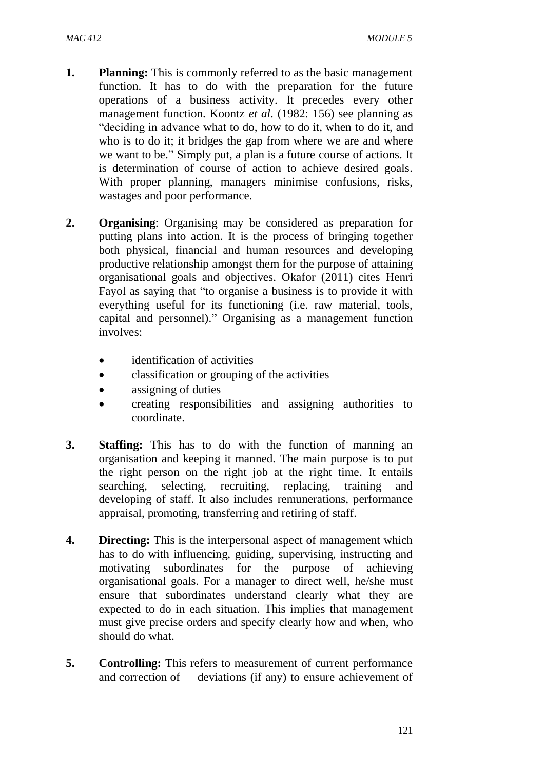- **1. Planning:** This is commonly referred to as the basic management function. It has to do with the preparation for the future operations of a business activity. It precedes every other management function. Koontz *et al*. (1982: 156) see planning as "deciding in advance what to do, how to do it, when to do it, and who is to do it; it bridges the gap from where we are and where we want to be." Simply put, a plan is a future course of actions. It is determination of course of action to achieve desired goals. With proper planning, managers minimise confusions, risks, wastages and poor performance.
- **2. Organising**: Organising may be considered as preparation for putting plans into action. It is the process of bringing together both physical, financial and human resources and developing productive relationship amongst them for the purpose of attaining organisational goals and objectives. Okafor (2011) cites Henri Fayol as saying that "to organise a business is to provide it with everything useful for its functioning (i.e. raw material, tools, capital and personnel)." Organising as a management function involves:
	- identification of activities
	- classification or grouping of the activities
	- assigning of duties
	- creating responsibilities and assigning authorities to coordinate.
- **3. Staffing:** This has to do with the function of manning an organisation and keeping it manned. The main purpose is to put the right person on the right job at the right time. It entails searching, selecting, recruiting, replacing, training and developing of staff. It also includes remunerations, performance appraisal, promoting, transferring and retiring of staff.
- **4. Directing:** This is the interpersonal aspect of management which has to do with influencing, guiding, supervising, instructing and motivating subordinates for the purpose of achieving organisational goals. For a manager to direct well, he/she must ensure that subordinates understand clearly what they are expected to do in each situation. This implies that management must give precise orders and specify clearly how and when, who should do what.
- **5. Controlling:** This refers to measurement of current performance and correction of deviations (if any) to ensure achievement of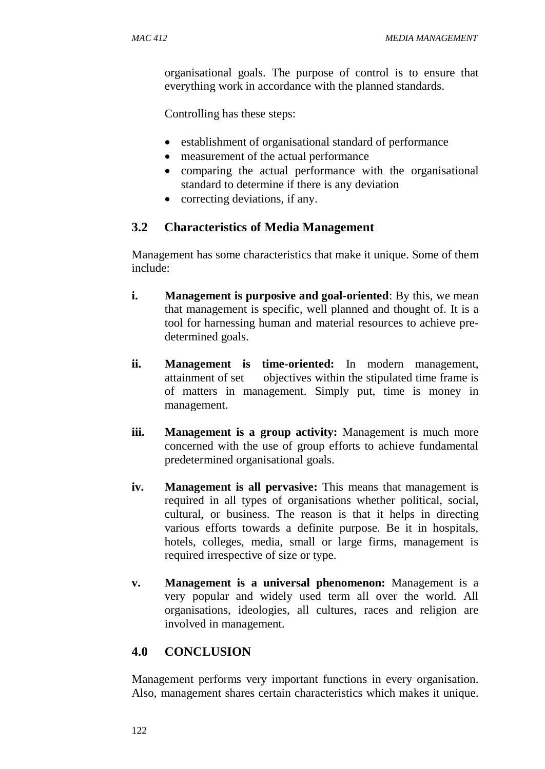organisational goals. The purpose of control is to ensure that everything work in accordance with the planned standards.

Controlling has these steps:

- establishment of organisational standard of performance
- measurement of the actual performance
- comparing the actual performance with the organisational standard to determine if there is any deviation
- correcting deviations, if any.

#### **3.2 Characteristics of Media Management**

Management has some characteristics that make it unique. Some of them include:

- **i. Management is purposive and goal-oriented**: By this, we mean that management is specific, well planned and thought of. It is a tool for harnessing human and material resources to achieve predetermined goals.
- **ii. Management is time-oriented:** In modern management, attainment of set objectives within the stipulated time frame is of matters in management. Simply put, time is money in management.
- **iii. Management is a group activity:** Management is much more concerned with the use of group efforts to achieve fundamental predetermined organisational goals.
- **iv. Management is all pervasive:** This means that management is required in all types of organisations whether political, social, cultural, or business. The reason is that it helps in directing various efforts towards a definite purpose. Be it in hospitals, hotels, colleges, media, small or large firms, management is required irrespective of size or type.
- **v. Management is a universal phenomenon:** Management is a very popular and widely used term all over the world. All organisations, ideologies, all cultures, races and religion are involved in management.

# **4.0 CONCLUSION**

Management performs very important functions in every organisation. Also, management shares certain characteristics which makes it unique.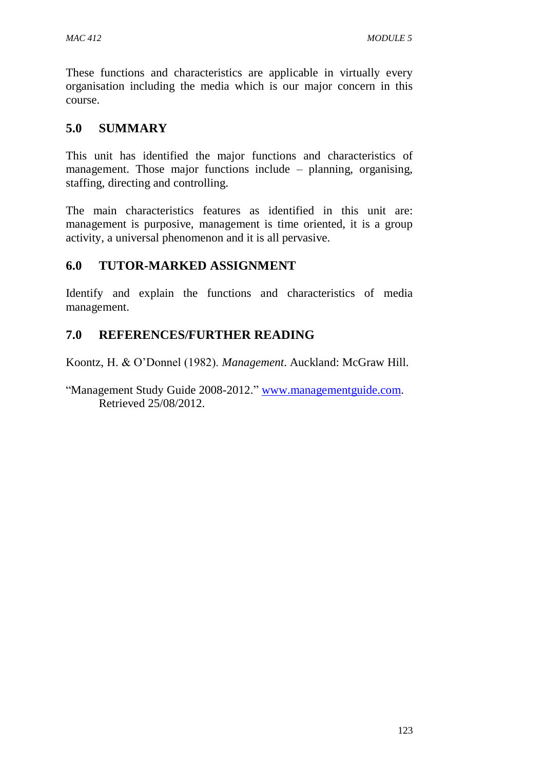These functions and characteristics are applicable in virtually every organisation including the media which is our major concern in this course.

## **5.0 SUMMARY**

This unit has identified the major functions and characteristics of management. Those major functions include – planning, organising, staffing, directing and controlling.

The main characteristics features as identified in this unit are: management is purposive, management is time oriented, it is a group activity, a universal phenomenon and it is all pervasive.

## **6.0 TUTOR-MARKED ASSIGNMENT**

Identify and explain the functions and characteristics of media management.

#### **7.0 REFERENCES/FURTHER READING**

Koontz, H. & O'Donnel (1982). *Management*. Auckland: McGraw Hill.

"Management Study Guide 2008-2012." [www.managementguide.com.](http://www.managementguide.com/) Retrieved 25/08/2012.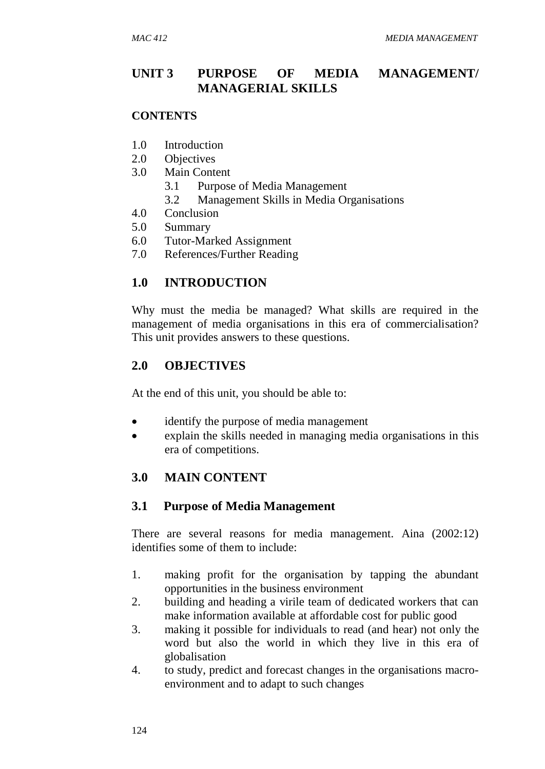## **UNIT 3 PURPOSE OF MEDIA MANAGEMENT/ MANAGERIAL SKILLS**

#### **CONTENTS**

- 1.0 Introduction
- 2.0 Objectives
- 3.0 Main Content
	- 3.1 Purpose of Media Management
	- 3.2 Management Skills in Media Organisations
- 4.0 Conclusion
- 5.0 Summary
- 6.0 Tutor-Marked Assignment
- 7.0 References/Further Reading

#### **1.0 INTRODUCTION**

Why must the media be managed? What skills are required in the management of media organisations in this era of commercialisation? This unit provides answers to these questions.

#### **2.0 OBJECTIVES**

At the end of this unit, you should be able to:

- identify the purpose of media management
- explain the skills needed in managing media organisations in this era of competitions.

#### **3.0 MAIN CONTENT**

#### **3.1 Purpose of Media Management**

There are several reasons for media management. Aina (2002:12) identifies some of them to include:

- 1. making profit for the organisation by tapping the abundant opportunities in the business environment
- 2. building and heading a virile team of dedicated workers that can make information available at affordable cost for public good
- 3. making it possible for individuals to read (and hear) not only the word but also the world in which they live in this era of globalisation
- 4. to study, predict and forecast changes in the organisations macroenvironment and to adapt to such changes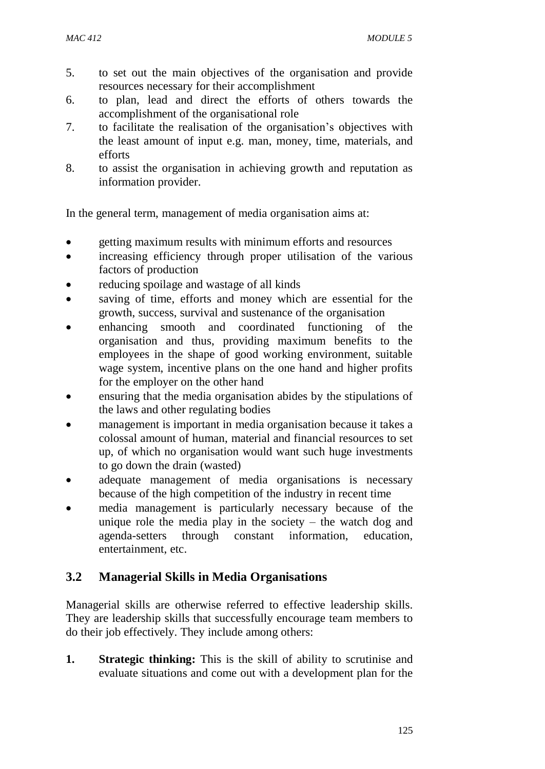- 5. to set out the main objectives of the organisation and provide resources necessary for their accomplishment
- 6. to plan, lead and direct the efforts of others towards the accomplishment of the organisational role
- 7. to facilitate the realisation of the organisation's objectives with the least amount of input e.g. man, money, time, materials, and efforts
- 8. to assist the organisation in achieving growth and reputation as information provider.

In the general term, management of media organisation aims at:

- getting maximum results with minimum efforts and resources
- increasing efficiency through proper utilisation of the various factors of production
- reducing spoilage and wastage of all kinds
- saving of time, efforts and money which are essential for the growth, success, survival and sustenance of the organisation
- enhancing smooth and coordinated functioning of the organisation and thus, providing maximum benefits to the employees in the shape of good working environment, suitable wage system, incentive plans on the one hand and higher profits for the employer on the other hand
- ensuring that the media organisation abides by the stipulations of the laws and other regulating bodies
- management is important in media organisation because it takes a colossal amount of human, material and financial resources to set up, of which no organisation would want such huge investments to go down the drain (wasted)
- adequate management of media organisations is necessary because of the high competition of the industry in recent time
- media management is particularly necessary because of the unique role the media play in the society – the watch dog and agenda-setters through constant information, education, entertainment, etc.

## **3.2 Managerial Skills in Media Organisations**

Managerial skills are otherwise referred to effective leadership skills. They are leadership skills that successfully encourage team members to do their job effectively. They include among others:

**1. Strategic thinking:** This is the skill of ability to scrutinise and evaluate situations and come out with a development plan for the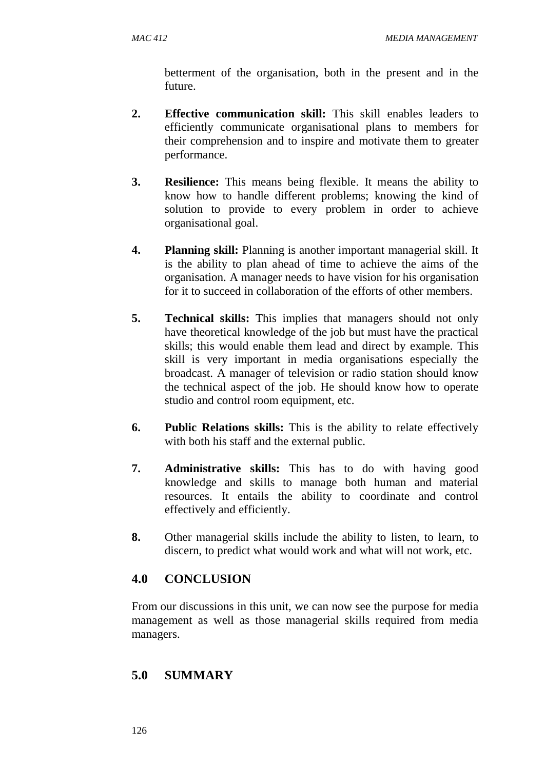betterment of the organisation, both in the present and in the future.

- **2. Effective communication skill:** This skill enables leaders to efficiently communicate organisational plans to members for their comprehension and to inspire and motivate them to greater performance.
- **3. Resilience:** This means being flexible. It means the ability to know how to handle different problems; knowing the kind of solution to provide to every problem in order to achieve organisational goal.
- **4. Planning skill:** Planning is another important managerial skill. It is the ability to plan ahead of time to achieve the aims of the organisation. A manager needs to have vision for his organisation for it to succeed in collaboration of the efforts of other members.
- **5. Technical skills:** This implies that managers should not only have theoretical knowledge of the job but must have the practical skills; this would enable them lead and direct by example. This skill is very important in media organisations especially the broadcast. A manager of television or radio station should know the technical aspect of the job. He should know how to operate studio and control room equipment, etc.
- **6. Public Relations skills:** This is the ability to relate effectively with both his staff and the external public.
- **7. Administrative skills:** This has to do with having good knowledge and skills to manage both human and material resources. It entails the ability to coordinate and control effectively and efficiently.
- **8.** Other managerial skills include the ability to listen, to learn, to discern, to predict what would work and what will not work, etc.

## **4.0 CONCLUSION**

From our discussions in this unit, we can now see the purpose for media management as well as those managerial skills required from media managers.

#### **5.0 SUMMARY**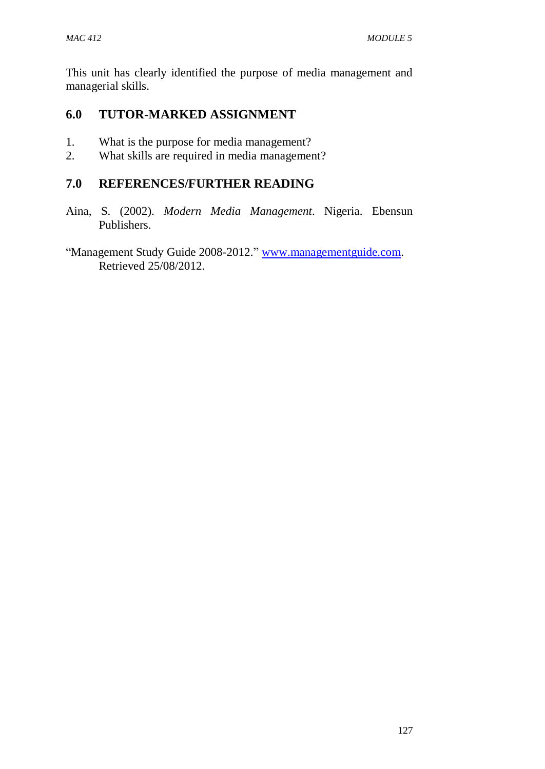This unit has clearly identified the purpose of media management and managerial skills.

## **6.0 TUTOR-MARKED ASSIGNMENT**

- 1. What is the purpose for media management?
- 2. What skills are required in media management?

#### **7.0 REFERENCES/FURTHER READING**

- Aina, S. (2002). *Modern Media Management*. Nigeria. Ebensun Publishers.
- "Management Study Guide 2008-2012." [www.managementguide.com.](http://www.managementguide.com/) Retrieved 25/08/2012.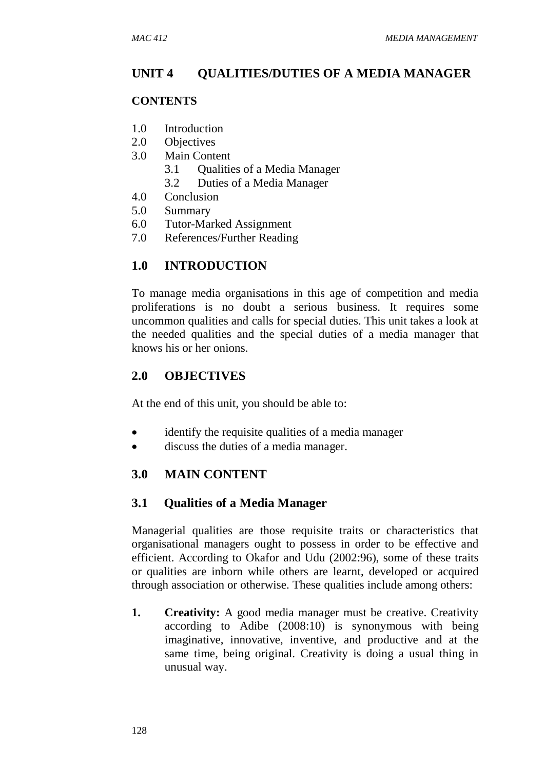## **UNIT 4 QUALITIES/DUTIES OF A MEDIA MANAGER**

#### **CONTENTS**

- 1.0 Introduction
- 2.0 Objectives
- 3.0 Main Content
	- 3.1 Qualities of a Media Manager
	- 3.2 Duties of a Media Manager
- 4.0 Conclusion
- 5.0 Summary
- 6.0 Tutor-Marked Assignment
- 7.0 References/Further Reading

#### **1.0 INTRODUCTION**

To manage media organisations in this age of competition and media proliferations is no doubt a serious business. It requires some uncommon qualities and calls for special duties. This unit takes a look at the needed qualities and the special duties of a media manager that knows his or her onions.

#### **2.0 OBJECTIVES**

At the end of this unit, you should be able to:

- identify the requisite qualities of a media manager
- discuss the duties of a media manager.

#### **3.0 MAIN CONTENT**

#### **3.1 Qualities of a Media Manager**

Managerial qualities are those requisite traits or characteristics that organisational managers ought to possess in order to be effective and efficient. According to Okafor and Udu (2002:96), some of these traits or qualities are inborn while others are learnt, developed or acquired through association or otherwise. These qualities include among others:

**1. Creativity:** A good media manager must be creative. Creativity according to Adibe (2008:10) is synonymous with being imaginative, innovative, inventive, and productive and at the same time, being original. Creativity is doing a usual thing in unusual way.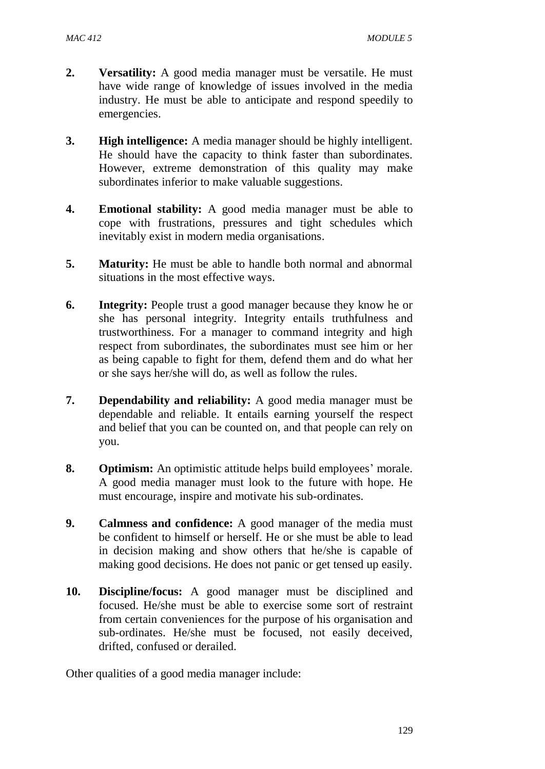- **2. Versatility:** A good media manager must be versatile. He must have wide range of knowledge of issues involved in the media industry. He must be able to anticipate and respond speedily to emergencies.
- **3. High intelligence:** A media manager should be highly intelligent. He should have the capacity to think faster than subordinates. However, extreme demonstration of this quality may make subordinates inferior to make valuable suggestions.
- **4. Emotional stability:** A good media manager must be able to cope with frustrations, pressures and tight schedules which inevitably exist in modern media organisations.
- **5. Maturity:** He must be able to handle both normal and abnormal situations in the most effective ways.
- **6. Integrity:** People trust a good manager because they know he or she has personal integrity. Integrity entails truthfulness and trustworthiness. For a manager to command integrity and high respect from subordinates, the subordinates must see him or her as being capable to fight for them, defend them and do what her or she says her/she will do, as well as follow the rules.
- **7. Dependability and reliability:** A good media manager must be dependable and reliable. It entails earning yourself the respect and belief that you can be counted on, and that people can rely on you.
- **8. Optimism:** An optimistic attitude helps build employees' morale. A good media manager must look to the future with hope. He must encourage, inspire and motivate his sub-ordinates.
- **9. Calmness and confidence:** A good manager of the media must be confident to himself or herself. He or she must be able to lead in decision making and show others that he/she is capable of making good decisions. He does not panic or get tensed up easily.
- **10. Discipline/focus:** A good manager must be disciplined and focused. He/she must be able to exercise some sort of restraint from certain conveniences for the purpose of his organisation and sub-ordinates. He/she must be focused, not easily deceived, drifted, confused or derailed.

Other qualities of a good media manager include: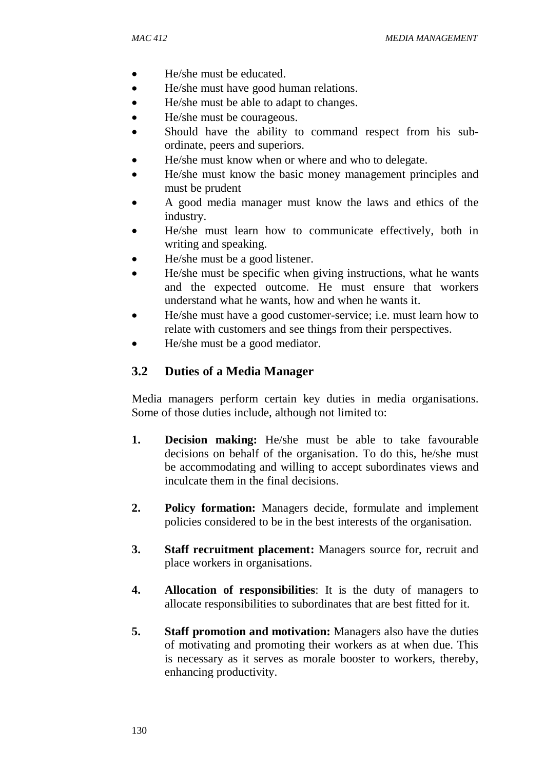- He/she must be educated.
- He/she must have good human relations.
- He/she must be able to adapt to changes.
- He/she must be courageous.
- Should have the ability to command respect from his subordinate, peers and superiors.
- He/she must know when or where and who to delegate.
- He/she must know the basic money management principles and must be prudent
- A good media manager must know the laws and ethics of the industry.
- He/she must learn how to communicate effectively, both in writing and speaking.
- He/she must be a good listener.
- He/she must be specific when giving instructions, what he wants and the expected outcome. He must ensure that workers understand what he wants, how and when he wants it.
- He/she must have a good customer-service; i.e. must learn how to relate with customers and see things from their perspectives.
- He/she must be a good mediator.

## **3.2 Duties of a Media Manager**

Media managers perform certain key duties in media organisations. Some of those duties include, although not limited to:

- **1. Decision making:** He/she must be able to take favourable decisions on behalf of the organisation. To do this, he/she must be accommodating and willing to accept subordinates views and inculcate them in the final decisions.
- **2. Policy formation:** Managers decide, formulate and implement policies considered to be in the best interests of the organisation.
- **3. Staff recruitment placement:** Managers source for, recruit and place workers in organisations.
- **4. Allocation of responsibilities**: It is the duty of managers to allocate responsibilities to subordinates that are best fitted for it.
- **5. Staff promotion and motivation:** Managers also have the duties of motivating and promoting their workers as at when due. This is necessary as it serves as morale booster to workers, thereby, enhancing productivity.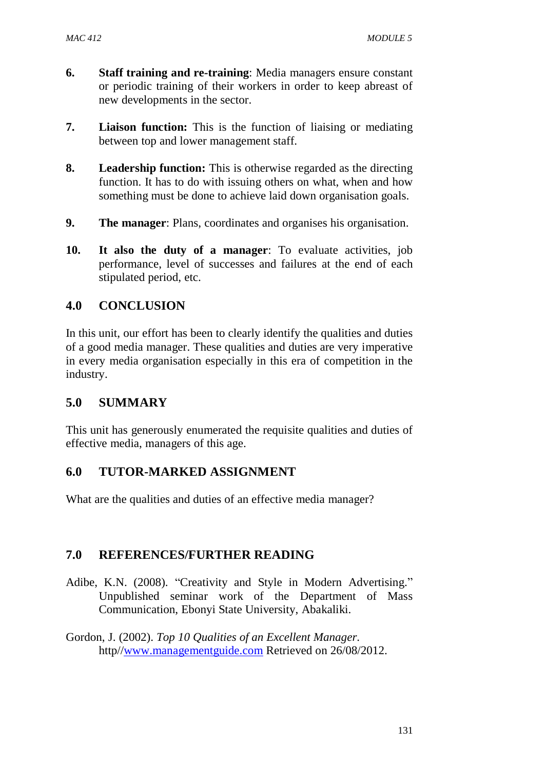- **6. Staff training and re-training**: Media managers ensure constant or periodic training of their workers in order to keep abreast of new developments in the sector.
- **7. Liaison function:** This is the function of liaising or mediating between top and lower management staff.
- **8. Leadership function:** This is otherwise regarded as the directing function. It has to do with issuing others on what, when and how something must be done to achieve laid down organisation goals.
- **9. The manager**: Plans, coordinates and organises his organisation.
- **10. It also the duty of a manager**: To evaluate activities, job performance, level of successes and failures at the end of each stipulated period, etc.

## **4.0 CONCLUSION**

In this unit, our effort has been to clearly identify the qualities and duties of a good media manager. These qualities and duties are very imperative in every media organisation especially in this era of competition in the industry.

#### **5.0 SUMMARY**

This unit has generously enumerated the requisite qualities and duties of effective media, managers of this age.

#### **6.0 TUTOR-MARKED ASSIGNMENT**

What are the qualities and duties of an effective media manager?

#### **7.0 REFERENCES/FURTHER READING**

- Adibe, K.N. (2008). "Creativity and Style in Modern Advertising." Unpublished seminar work of the Department of Mass Communication, Ebonyi State University, Abakaliki.
- Gordon, J. (2002). *Top 10 Qualities of an Excellent Manager.* http/[/www.managementguide.com](http://www.managementguide.com/) Retrieved on 26/08/2012.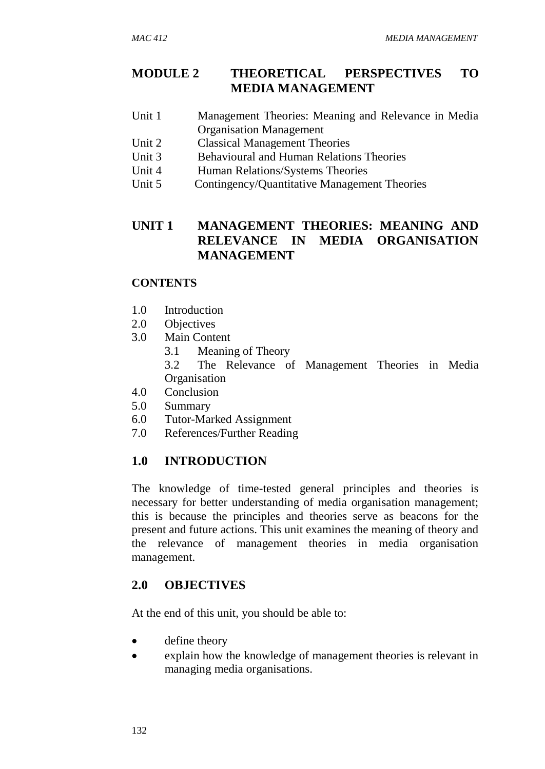## **MODULE 2 THEORETICAL PERSPECTIVES TO MEDIA MANAGEMENT**

- Unit 1 Management Theories: Meaning and Relevance in Media Organisation Management
- Unit 2 Classical Management Theories
- Unit 3 Behavioural and Human Relations Theories
- Unit 4 Human Relations/Systems Theories
- Unit 5 Contingency/Quantitative Management Theories

## **UNIT 1 MANAGEMENT THEORIES: MEANING AND RELEVANCE IN MEDIA ORGANISATION MANAGEMENT**

## **CONTENTS**

- 1.0 Introduction
- 2.0 Objectives
- 3.0 Main Content
	- 3.1 Meaning of Theory
	- 3.2 The Relevance of Management Theories in Media **Organisation**
- 4.0 Conclusion
- 5.0 Summary
- 6.0 Tutor-Marked Assignment
- 7.0 References/Further Reading

# **1.0 INTRODUCTION**

The knowledge of time-tested general principles and theories is necessary for better understanding of media organisation management; this is because the principles and theories serve as beacons for the present and future actions. This unit examines the meaning of theory and the relevance of management theories in media organisation management.

# **2.0 OBJECTIVES**

At the end of this unit, you should be able to:

- define theory
- explain how the knowledge of management theories is relevant in managing media organisations.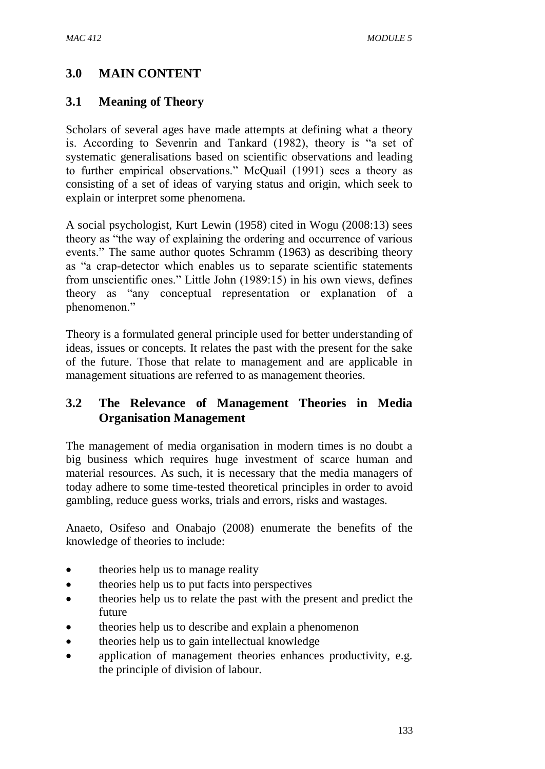## **3.0 MAIN CONTENT**

#### **3.1 Meaning of Theory**

Scholars of several ages have made attempts at defining what a theory is. According to Sevenrin and Tankard (1982), theory is "a set of systematic generalisations based on scientific observations and leading to further empirical observations." McQuail (1991) sees a theory as consisting of a set of ideas of varying status and origin, which seek to explain or interpret some phenomena.

A social psychologist, Kurt Lewin (1958) cited in Wogu (2008:13) sees theory as "the way of explaining the ordering and occurrence of various events." The same author quotes Schramm (1963) as describing theory as "a crap-detector which enables us to separate scientific statements from unscientific ones." Little John (1989:15) in his own views, defines theory as "any conceptual representation or explanation of a phenomenon."

Theory is a formulated general principle used for better understanding of ideas, issues or concepts. It relates the past with the present for the sake of the future. Those that relate to management and are applicable in management situations are referred to as management theories.

## **3.2 The Relevance of Management Theories in Media Organisation Management**

The management of media organisation in modern times is no doubt a big business which requires huge investment of scarce human and material resources. As such, it is necessary that the media managers of today adhere to some time-tested theoretical principles in order to avoid gambling, reduce guess works, trials and errors, risks and wastages.

Anaeto, Osifeso and Onabajo (2008) enumerate the benefits of the knowledge of theories to include:

- theories help us to manage reality
- theories help us to put facts into perspectives
- theories help us to relate the past with the present and predict the future
- theories help us to describe and explain a phenomenon
- theories help us to gain intellectual knowledge
- application of management theories enhances productivity, e.g. the principle of division of labour.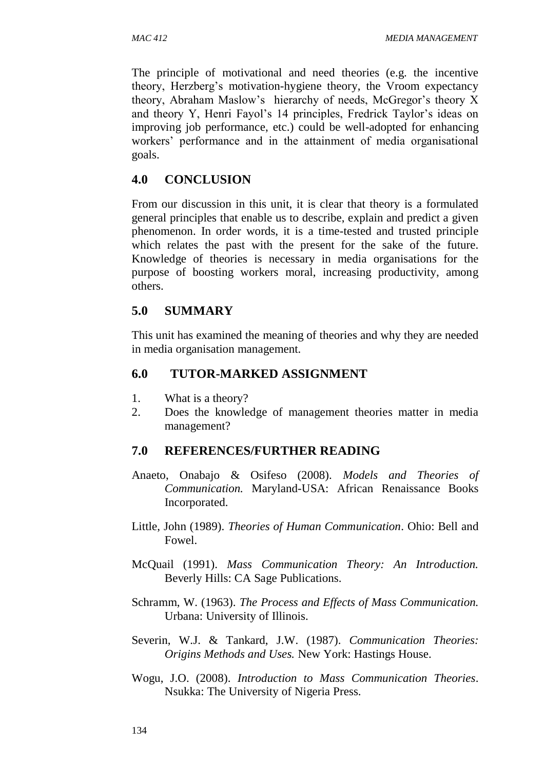The principle of motivational and need theories (e.g. the incentive theory, Herzberg's motivation-hygiene theory, the Vroom expectancy theory, Abraham Maslow's hierarchy of needs, McGregor's theory X and theory Y, Henri Fayol's 14 principles, Fredrick Taylor's ideas on improving job performance, etc.) could be well-adopted for enhancing workers' performance and in the attainment of media organisational goals.

## **4.0 CONCLUSION**

From our discussion in this unit, it is clear that theory is a formulated general principles that enable us to describe, explain and predict a given phenomenon. In order words, it is a time-tested and trusted principle which relates the past with the present for the sake of the future. Knowledge of theories is necessary in media organisations for the purpose of boosting workers moral, increasing productivity, among others.

## **5.0 SUMMARY**

This unit has examined the meaning of theories and why they are needed in media organisation management.

## **6.0 TUTOR-MARKED ASSIGNMENT**

- 1. What is a theory?
- 2. Does the knowledge of management theories matter in media management?

# **7.0 REFERENCES/FURTHER READING**

- Anaeto, Onabajo & Osifeso (2008). *Models and Theories of Communication.* Maryland-USA: African Renaissance Books Incorporated.
- Little, John (1989). *Theories of Human Communication*. Ohio: Bell and Fowel.
- McQuail (1991). *Mass Communication Theory: An Introduction.*  Beverly Hills: CA Sage Publications.
- Schramm, W. (1963). *The Process and Effects of Mass Communication.* Urbana: University of Illinois.
- Severin, W.J. & Tankard, J.W. (1987). *Communication Theories: Origins Methods and Uses.* New York: Hastings House.
- Wogu, J.O. (2008). *Introduction to Mass Communication Theories*. Nsukka: The University of Nigeria Press.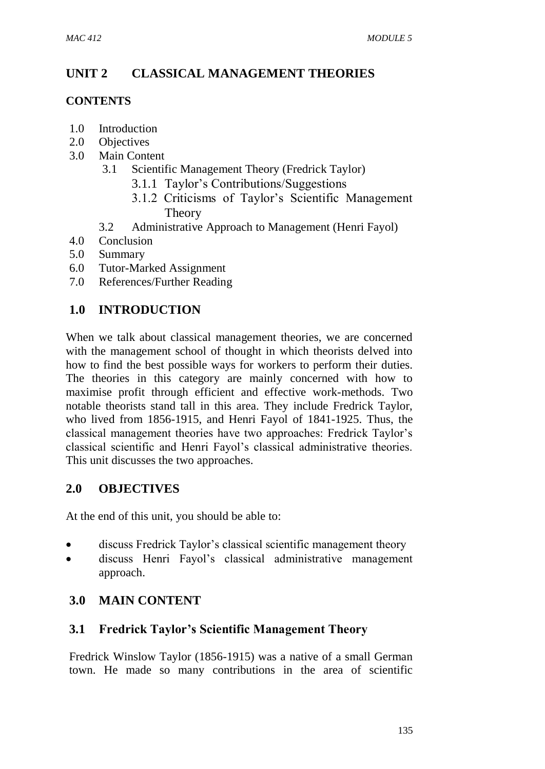# **UNIT 2 CLASSICAL MANAGEMENT THEORIES**

## **CONTENTS**

- 1.0 Introduction
- 2.0 Objectives
- 3.0 Main Content
	- 3.1 Scientific Management Theory (Fredrick Taylor)
		- 3.1.1 Taylor's Contributions/Suggestions
		- 3.1.2 Criticisms of Taylor's Scientific Management Theory
	- 3.2 Administrative Approach to Management (Henri Fayol)
- 4.0 Conclusion
- 5.0 Summary
- 6.0 Tutor-Marked Assignment
- 7.0 References/Further Reading

# **1.0 INTRODUCTION**

When we talk about classical management theories, we are concerned with the management school of thought in which theorists delved into how to find the best possible ways for workers to perform their duties. The theories in this category are mainly concerned with how to maximise profit through efficient and effective work-methods. Two notable theorists stand tall in this area. They include Fredrick Taylor, who lived from 1856-1915, and Henri Fayol of 1841-1925. Thus, the classical management theories have two approaches: Fredrick Taylor's classical scientific and Henri Fayol's classical administrative theories. This unit discusses the two approaches.

# **2.0 OBJECTIVES**

At the end of this unit, you should be able to:

- discuss Fredrick Taylor's classical scientific management theory
- discuss Henri Fayol's classical administrative management approach.

# **3.0 MAIN CONTENT**

# **3.1 Fredrick Taylor's Scientific Management Theory**

Fredrick Winslow Taylor (1856-1915) was a native of a small German town. He made so many contributions in the area of scientific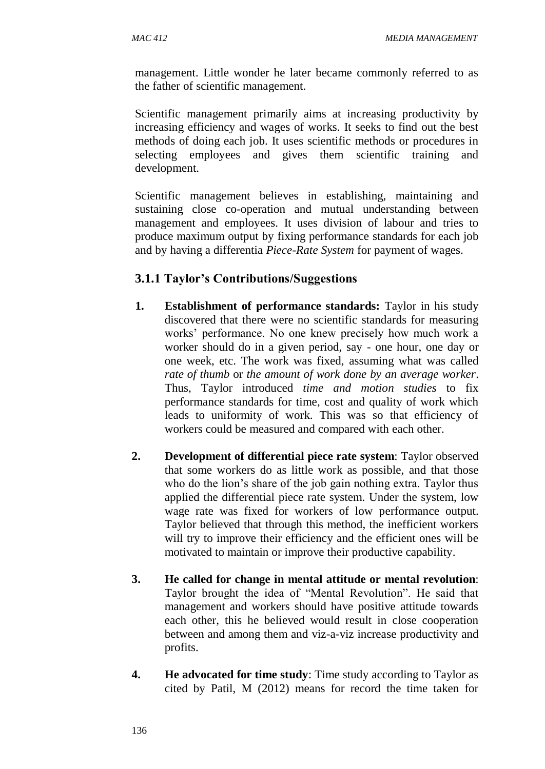management. Little wonder he later became commonly referred to as the father of scientific management.

Scientific management primarily aims at increasing productivity by increasing efficiency and wages of works. It seeks to find out the best methods of doing each job. It uses scientific methods or procedures in selecting employees and gives them scientific training and development.

Scientific management believes in establishing, maintaining and sustaining close co-operation and mutual understanding between management and employees. It uses division of labour and tries to produce maximum output by fixing performance standards for each job and by having a differentia *Piece-Rate System* for payment of wages.

### **3.1.1 Taylor's Contributions/Suggestions**

- **1. Establishment of performance standards:** Taylor in his study discovered that there were no scientific standards for measuring works' performance. No one knew precisely how much work a worker should do in a given period, say - one hour, one day or one week, etc. The work was fixed, assuming what was called *rate of thumb* or *the amount of work done by an average worker*. Thus, Taylor introduced *time and motion studies* to fix performance standards for time, cost and quality of work which leads to uniformity of work. This was so that efficiency of workers could be measured and compared with each other.
- **2. Development of differential piece rate system**: Taylor observed that some workers do as little work as possible, and that those who do the lion's share of the job gain nothing extra. Taylor thus applied the differential piece rate system. Under the system, low wage rate was fixed for workers of low performance output. Taylor believed that through this method, the inefficient workers will try to improve their efficiency and the efficient ones will be motivated to maintain or improve their productive capability.
- **3. He called for change in mental attitude or mental revolution**: Taylor brought the idea of "Mental Revolution". He said that management and workers should have positive attitude towards each other, this he believed would result in close cooperation between and among them and viz-a-viz increase productivity and profits.
- **4. He advocated for time study**: Time study according to Taylor as cited by Patil, M (2012) means for record the time taken for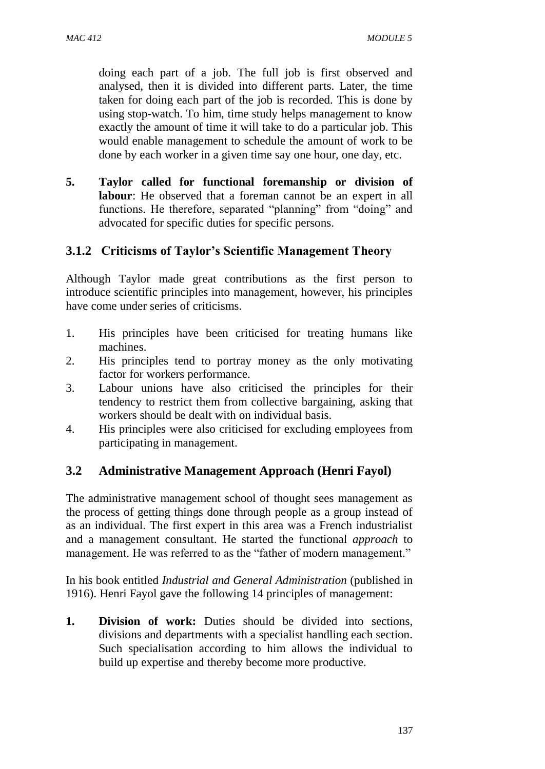doing each part of a job. The full job is first observed and analysed, then it is divided into different parts. Later, the time taken for doing each part of the job is recorded. This is done by using stop-watch. To him, time study helps management to know exactly the amount of time it will take to do a particular job. This would enable management to schedule the amount of work to be done by each worker in a given time say one hour, one day, etc.

**5. Taylor called for functional foremanship or division of labour**: He observed that a foreman cannot be an expert in all functions. He therefore, separated "planning" from "doing" and advocated for specific duties for specific persons.

# **3.1.2 Criticisms of Taylor's Scientific Management Theory**

Although Taylor made great contributions as the first person to introduce scientific principles into management, however, his principles have come under series of criticisms.

- 1. His principles have been criticised for treating humans like machines.
- 2. His principles tend to portray money as the only motivating factor for workers performance.
- 3. Labour unions have also criticised the principles for their tendency to restrict them from collective bargaining, asking that workers should be dealt with on individual basis.
- 4. His principles were also criticised for excluding employees from participating in management.

# **3.2 Administrative Management Approach (Henri Fayol)**

The administrative management school of thought sees management as the process of getting things done through people as a group instead of as an individual. The first expert in this area was a French industrialist and a management consultant. He started the functional *approach* to management. He was referred to as the "father of modern management."

In his book entitled *Industrial and General Administration* (published in 1916). Henri Fayol gave the following 14 principles of management:

**1. Division of work:** Duties should be divided into sections, divisions and departments with a specialist handling each section. Such specialisation according to him allows the individual to build up expertise and thereby become more productive.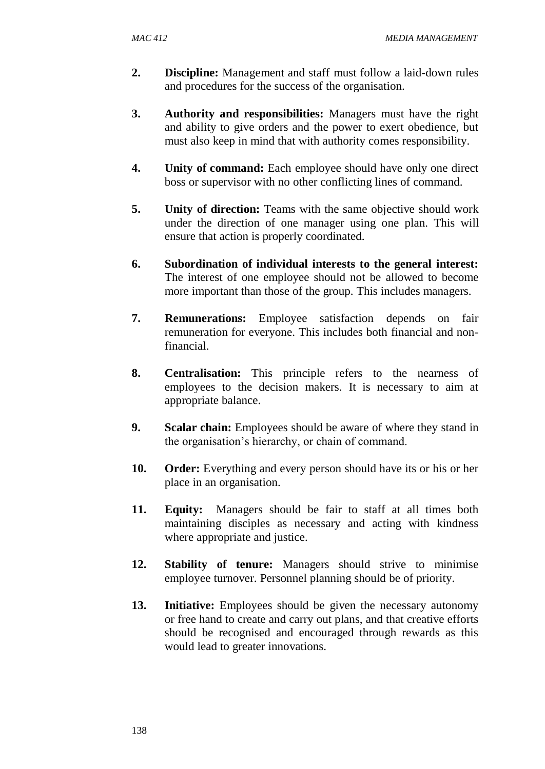- **2. Discipline:** Management and staff must follow a laid-down rules and procedures for the success of the organisation.
- **3. Authority and responsibilities:** Managers must have the right and ability to give orders and the power to exert obedience, but must also keep in mind that with authority comes responsibility.
- **4. Unity of command:** Each employee should have only one direct boss or supervisor with no other conflicting lines of command.
- **5. Unity of direction:** Teams with the same objective should work under the direction of one manager using one plan. This will ensure that action is properly coordinated.
- **6. Subordination of individual interests to the general interest:**  The interest of one employee should not be allowed to become more important than those of the group. This includes managers.
- **7. Remunerations:** Employee satisfaction depends on fair remuneration for everyone. This includes both financial and nonfinancial.
- **8. Centralisation:** This principle refers to the nearness of employees to the decision makers. It is necessary to aim at appropriate balance.
- **9. Scalar chain:** Employees should be aware of where they stand in the organisation's hierarchy, or chain of command.
- 10. **Order:** Everything and every person should have its or his or her place in an organisation.
- **11. Equity:** Managers should be fair to staff at all times both maintaining disciples as necessary and acting with kindness where appropriate and justice.
- **12. Stability of tenure:** Managers should strive to minimise employee turnover. Personnel planning should be of priority.
- 13. **Initiative:** Employees should be given the necessary autonomy or free hand to create and carry out plans, and that creative efforts should be recognised and encouraged through rewards as this would lead to greater innovations.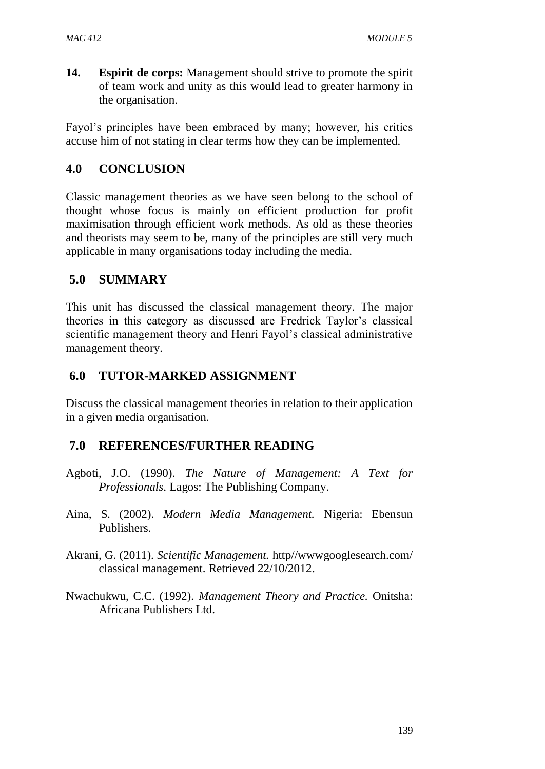**14. Espirit de corps:** Management should strive to promote the spirit of team work and unity as this would lead to greater harmony in the organisation.

Fayol's principles have been embraced by many; however, his critics accuse him of not stating in clear terms how they can be implemented.

# **4.0 CONCLUSION**

Classic management theories as we have seen belong to the school of thought whose focus is mainly on efficient production for profit maximisation through efficient work methods. As old as these theories and theorists may seem to be, many of the principles are still very much applicable in many organisations today including the media.

# **5.0 SUMMARY**

This unit has discussed the classical management theory. The major theories in this category as discussed are Fredrick Taylor's classical scientific management theory and Henri Fayol's classical administrative management theory.

# **6.0 TUTOR-MARKED ASSIGNMENT**

Discuss the classical management theories in relation to their application in a given media organisation.

# **7.0 REFERENCES/FURTHER READING**

- Agboti, J.O. (1990). *The Nature of Management: A Text for Professionals*. Lagos: The Publishing Company.
- Aina, S. (2002). *Modern Media Management.* Nigeria: Ebensun Publishers.
- Akrani, G. (2011). *Scientific Management.* http//wwwgooglesearch.com/ classical management. Retrieved 22/10/2012.
- Nwachukwu, C.C. (1992). *Management Theory and Practice.* Onitsha: Africana Publishers Ltd.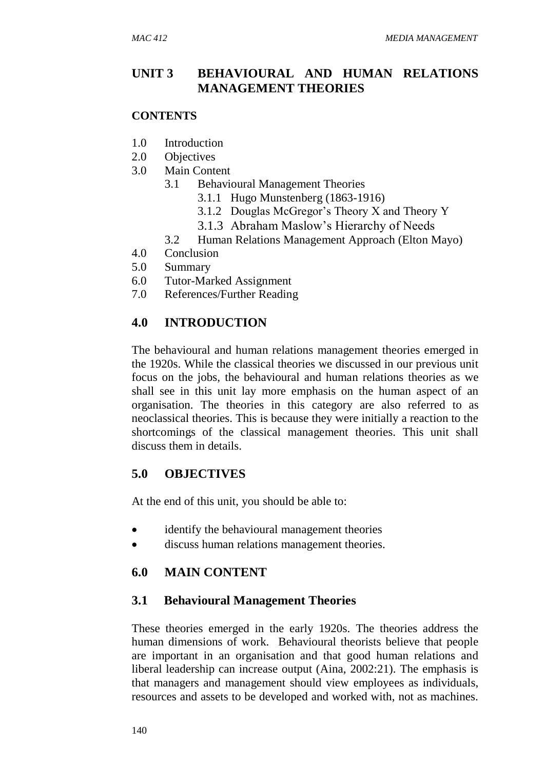## **UNIT 3 BEHAVIOURAL AND HUMAN RELATIONS MANAGEMENT THEORIES**

#### **CONTENTS**

- 1.0 Introduction
- 2.0 Objectives
- 3.0 Main Content
	- 3.1 Behavioural Management Theories
		- 3.1.1 Hugo Munstenberg (1863-1916)
		- 3.1.2 Douglas McGregor's Theory X and Theory Y
		- 3.1.3 Abraham Maslow's Hierarchy of Needs
	- 3.2 Human Relations Management Approach (Elton Mayo)
- 4.0 Conclusion
- 5.0 Summary
- 6.0 Tutor-Marked Assignment
- 7.0 References/Further Reading

### **4.0 INTRODUCTION**

The behavioural and human relations management theories emerged in the 1920s. While the classical theories we discussed in our previous unit focus on the jobs, the behavioural and human relations theories as we shall see in this unit lay more emphasis on the human aspect of an organisation. The theories in this category are also referred to as neoclassical theories. This is because they were initially a reaction to the shortcomings of the classical management theories. This unit shall discuss them in details.

### **5.0 OBJECTIVES**

At the end of this unit, you should be able to:

- identify the behavioural management theories
- discuss human relations management theories.

### **6.0 MAIN CONTENT**

### **3.1 Behavioural Management Theories**

These theories emerged in the early 1920s. The theories address the human dimensions of work. Behavioural theorists believe that people are important in an organisation and that good human relations and liberal leadership can increase output (Aina, 2002:21). The emphasis is that managers and management should view employees as individuals, resources and assets to be developed and worked with, not as machines.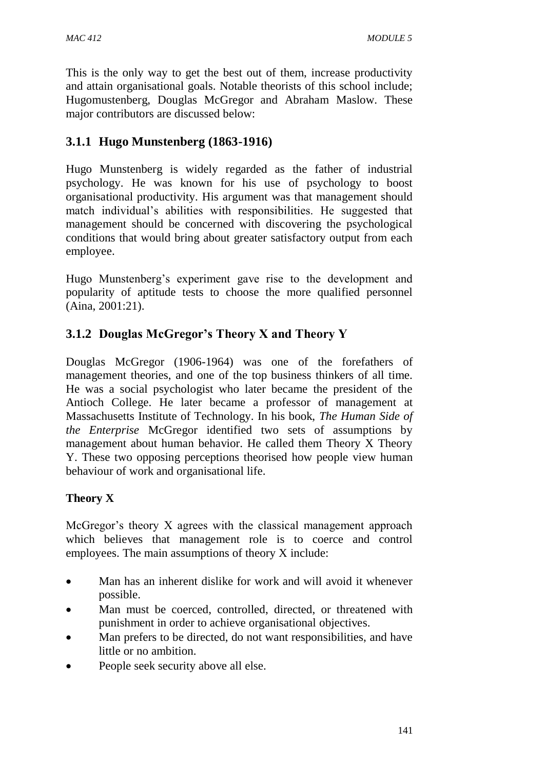This is the only way to get the best out of them, increase productivity and attain organisational goals. Notable theorists of this school include; Hugomustenberg, Douglas McGregor and Abraham Maslow. These major contributors are discussed below:

## **3.1.1 Hugo Munstenberg (1863-1916)**

Hugo Munstenberg is widely regarded as the father of industrial psychology. He was known for his use of psychology to boost organisational productivity. His argument was that management should match individual's abilities with responsibilities. He suggested that management should be concerned with discovering the psychological conditions that would bring about greater satisfactory output from each employee.

Hugo Munstenberg's experiment gave rise to the development and popularity of aptitude tests to choose the more qualified personnel (Aina, 2001:21).

## **3.1.2 Douglas McGregor's Theory X and Theory Y**

Douglas McGregor (1906-1964) was one of the forefathers of management theories, and one of the top business thinkers of all time. He was a social psychologist who later became the president of the Antioch College. He later became a professor of management at Massachusetts Institute of Technology. In his book, *The Human Side of the Enterprise* McGregor identified two sets of assumptions by management about human behavior. He called them Theory X Theory Y. These two opposing perceptions theorised how people view human behaviour of work and organisational life.

### **Theory X**

McGregor's theory X agrees with the classical management approach which believes that management role is to coerce and control employees. The main assumptions of theory X include:

- Man has an inherent dislike for work and will avoid it whenever possible.
- Man must be coerced, controlled, directed, or threatened with punishment in order to achieve organisational objectives.
- Man prefers to be directed, do not want responsibilities, and have little or no ambition.
- People seek security above all else.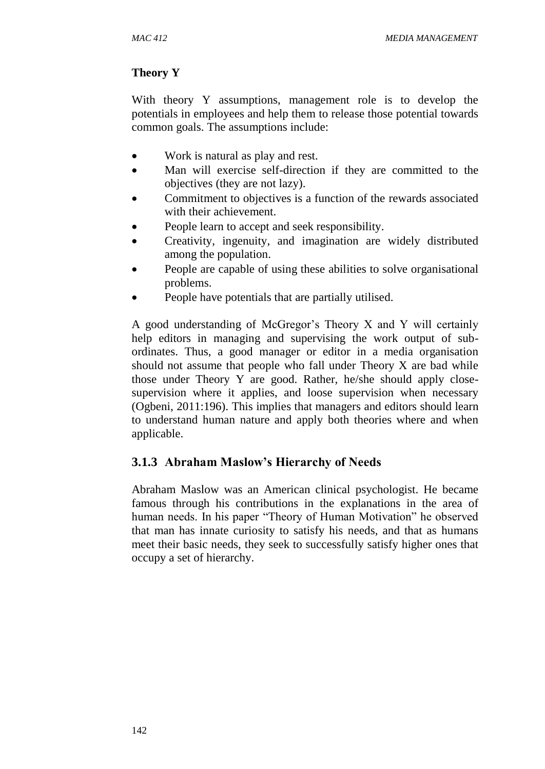### **Theory Y**

With theory Y assumptions, management role is to develop the potentials in employees and help them to release those potential towards common goals. The assumptions include:

- Work is natural as play and rest.
- Man will exercise self-direction if they are committed to the objectives (they are not lazy).
- Commitment to objectives is a function of the rewards associated with their achievement.
- People learn to accept and seek responsibility.
- Creativity, ingenuity, and imagination are widely distributed among the population.
- People are capable of using these abilities to solve organisational problems.
- People have potentials that are partially utilised.

A good understanding of McGregor's Theory X and Y will certainly help editors in managing and supervising the work output of subordinates. Thus, a good manager or editor in a media organisation should not assume that people who fall under Theory X are bad while those under Theory Y are good. Rather, he/she should apply closesupervision where it applies, and loose supervision when necessary (Ogbeni, 2011:196). This implies that managers and editors should learn to understand human nature and apply both theories where and when applicable.

### **3.1.3 Abraham Maslow's Hierarchy of Needs**

Abraham Maslow was an American clinical psychologist. He became famous through his contributions in the explanations in the area of human needs. In his paper "Theory of Human Motivation" he observed that man has innate curiosity to satisfy his needs, and that as humans meet their basic needs, they seek to successfully satisfy higher ones that occupy a set of hierarchy.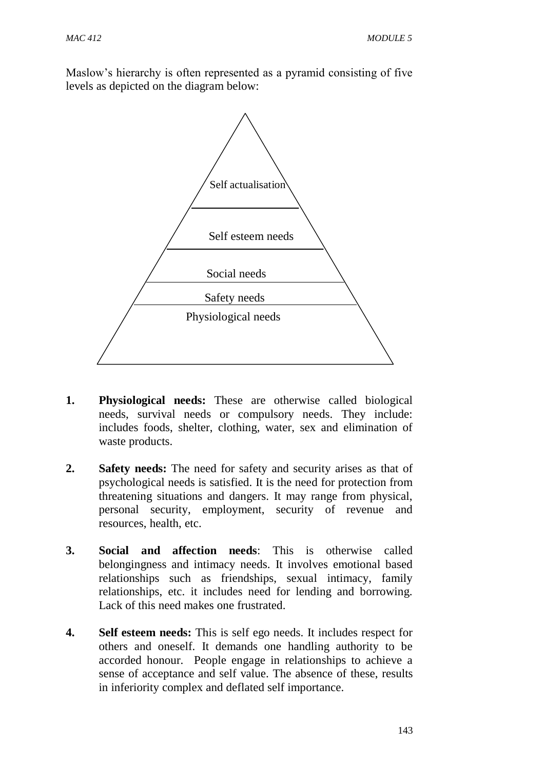Maslow's hierarchy is often represented as a pyramid consisting of five levels as depicted on the diagram below:



- **1. Physiological needs:** These are otherwise called biological needs, survival needs or compulsory needs. They include: includes foods, shelter, clothing, water, sex and elimination of waste products.
- **2. Safety needs:** The need for safety and security arises as that of psychological needs is satisfied. It is the need for protection from threatening situations and dangers. It may range from physical, personal security, employment, security of revenue and resources, health, etc.
- **3. Social and affection needs**: This is otherwise called belongingness and intimacy needs. It involves emotional based relationships such as friendships, sexual intimacy, family relationships, etc. it includes need for lending and borrowing. Lack of this need makes one frustrated.
- **4. Self esteem needs:** This is self ego needs. It includes respect for others and oneself. It demands one handling authority to be accorded honour. People engage in relationships to achieve a sense of acceptance and self value. The absence of these, results in inferiority complex and deflated self importance.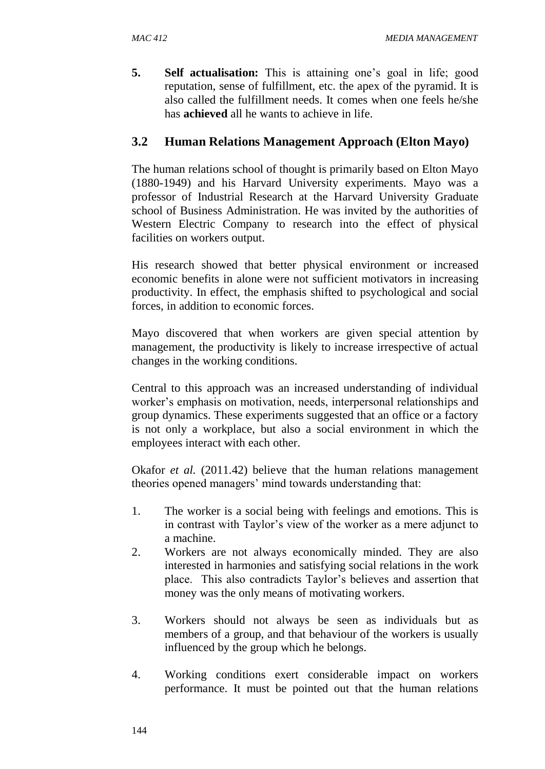**5. Self actualisation:** This is attaining one's goal in life; good reputation, sense of fulfillment, etc. the apex of the pyramid. It is also called the fulfillment needs. It comes when one feels he/she has **achieved** all he wants to achieve in life.

## **3.2 Human Relations Management Approach (Elton Mayo)**

The human relations school of thought is primarily based on Elton Mayo (1880-1949) and his Harvard University experiments. Mayo was a professor of Industrial Research at the Harvard University Graduate school of Business Administration. He was invited by the authorities of Western Electric Company to research into the effect of physical facilities on workers output.

His research showed that better physical environment or increased economic benefits in alone were not sufficient motivators in increasing productivity. In effect, the emphasis shifted to psychological and social forces, in addition to economic forces.

Mayo discovered that when workers are given special attention by management, the productivity is likely to increase irrespective of actual changes in the working conditions.

Central to this approach was an increased understanding of individual worker's emphasis on motivation, needs, interpersonal relationships and group dynamics. These experiments suggested that an office or a factory is not only a workplace, but also a social environment in which the employees interact with each other.

Okafor *et al.* (2011.42) believe that the human relations management theories opened managers' mind towards understanding that:

- 1. The worker is a social being with feelings and emotions. This is in contrast with Taylor's view of the worker as a mere adjunct to a machine.
- 2. Workers are not always economically minded. They are also interested in harmonies and satisfying social relations in the work place. This also contradicts Taylor's believes and assertion that money was the only means of motivating workers.
- 3. Workers should not always be seen as individuals but as members of a group, and that behaviour of the workers is usually influenced by the group which he belongs.
- 4. Working conditions exert considerable impact on workers performance. It must be pointed out that the human relations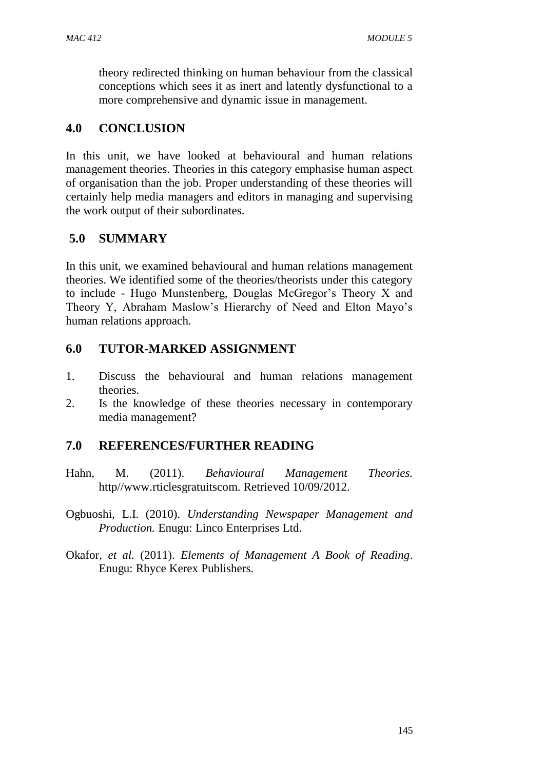theory redirected thinking on human behaviour from the classical conceptions which sees it as inert and latently dysfunctional to a more comprehensive and dynamic issue in management.

## **4.0 CONCLUSION**

In this unit, we have looked at behavioural and human relations management theories. Theories in this category emphasise human aspect of organisation than the job. Proper understanding of these theories will certainly help media managers and editors in managing and supervising the work output of their subordinates.

# **5.0 SUMMARY**

In this unit, we examined behavioural and human relations management theories. We identified some of the theories/theorists under this category to include - Hugo Munstenberg, Douglas McGregor's Theory X and Theory Y, Abraham Maslow's Hierarchy of Need and Elton Mayo's human relations approach.

## **6.0 TUTOR-MARKED ASSIGNMENT**

- 1. Discuss the behavioural and human relations management theories.
- 2. Is the knowledge of these theories necessary in contemporary media management?

### **7.0 REFERENCES/FURTHER READING**

- Hahn, M. (2011). *Behavioural Management Theories.* http//www.rticlesgratuitscom. Retrieved 10/09/2012.
- Ogbuoshi, L.I. (2010). *Understanding Newspaper Management and Production.* Enugu: Linco Enterprises Ltd.
- Okafor, *et al.* (2011). *Elements of Management A Book of Reading*. Enugu: Rhyce Kerex Publishers.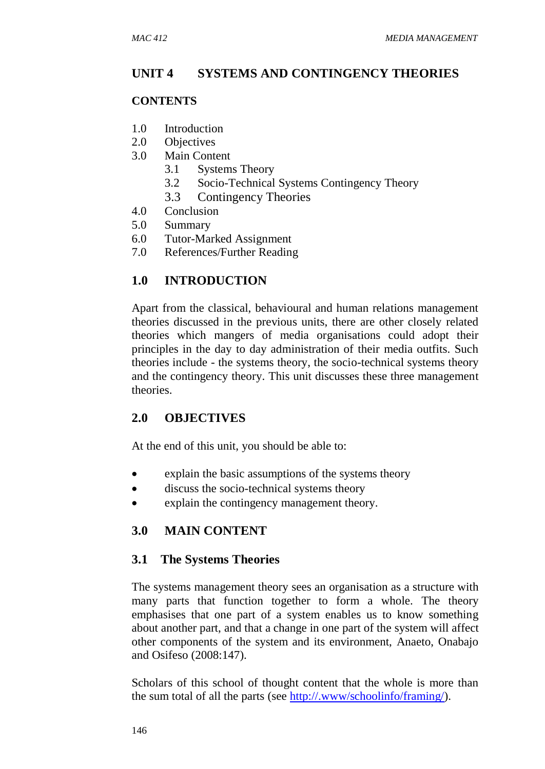### **UNIT 4 SYSTEMS AND CONTINGENCY THEORIES**

#### **CONTENTS**

- 1.0 Introduction
- 2.0 Objectives
- 3.0 Main Content
	- 3.1 Systems Theory
	- 3.2 Socio-Technical Systems Contingency Theory
	- 3.3 Contingency Theories
- 4.0 Conclusion
- 5.0 Summary
- 6.0 Tutor-Marked Assignment
- 7.0 References/Further Reading

### **1.0 INTRODUCTION**

Apart from the classical, behavioural and human relations management theories discussed in the previous units, there are other closely related theories which mangers of media organisations could adopt their principles in the day to day administration of their media outfits. Such theories include - the systems theory, the socio-technical systems theory and the contingency theory. This unit discusses these three management theories.

### **2.0 OBJECTIVES**

At the end of this unit, you should be able to:

- explain the basic assumptions of the systems theory
- discuss the socio-technical systems theory
- explain the contingency management theory.

### **3.0 MAIN CONTENT**

#### **3.1 The Systems Theories**

The systems management theory sees an organisation as a structure with many parts that function together to form a whole. The theory emphasises that one part of a system enables us to know something about another part, and that a change in one part of the system will affect other components of the system and its environment, Anaeto, Onabajo and Osifeso (2008:147).

Scholars of this school of thought content that the whole is more than the sum total of all the parts (see [http://.www/schoolinfo/framing/\)](http://.www/schoolinfo/framing/).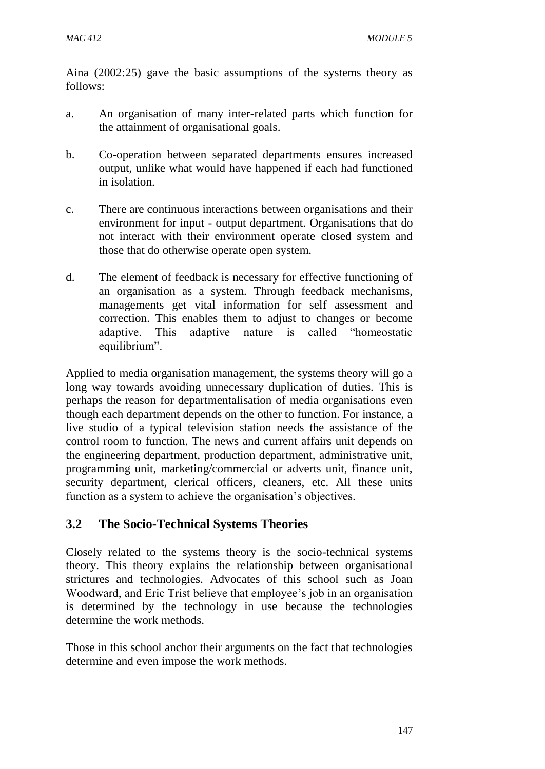Aina (2002:25) gave the basic assumptions of the systems theory as follows:

- a. An organisation of many inter-related parts which function for the attainment of organisational goals.
- b. Co-operation between separated departments ensures increased output, unlike what would have happened if each had functioned in isolation.
- c. There are continuous interactions between organisations and their environment for input - output department. Organisations that do not interact with their environment operate closed system and those that do otherwise operate open system.
- d. The element of feedback is necessary for effective functioning of an organisation as a system. Through feedback mechanisms, managements get vital information for self assessment and correction. This enables them to adjust to changes or become adaptive. This adaptive nature is called "homeostatic equilibrium".

Applied to media organisation management, the systems theory will go a long way towards avoiding unnecessary duplication of duties. This is perhaps the reason for departmentalisation of media organisations even though each department depends on the other to function. For instance, a live studio of a typical television station needs the assistance of the control room to function. The news and current affairs unit depends on the engineering department, production department, administrative unit, programming unit, marketing/commercial or adverts unit, finance unit, security department, clerical officers, cleaners, etc. All these units function as a system to achieve the organisation's objectives.

### **3.2 The Socio-Technical Systems Theories**

Closely related to the systems theory is the socio-technical systems theory. This theory explains the relationship between organisational strictures and technologies. Advocates of this school such as Joan Woodward, and Eric Trist believe that employee's job in an organisation is determined by the technology in use because the technologies determine the work methods.

Those in this school anchor their arguments on the fact that technologies determine and even impose the work methods.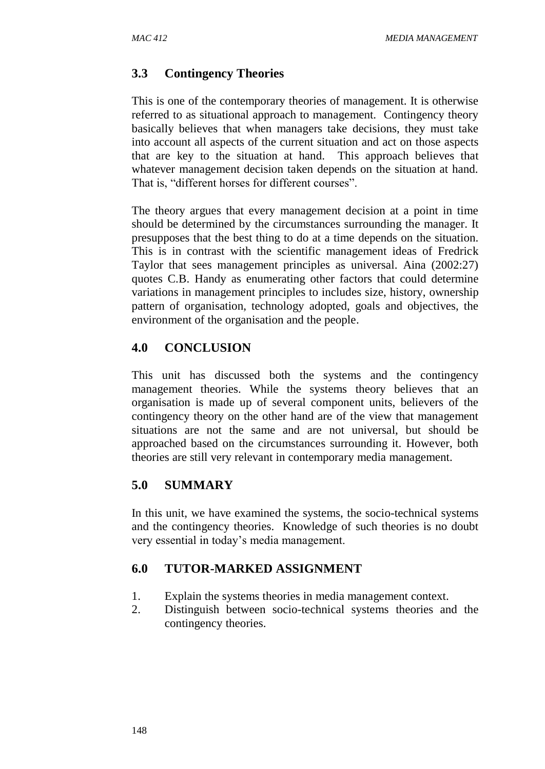### **3.3 Contingency Theories**

This is one of the contemporary theories of management. It is otherwise referred to as situational approach to management. Contingency theory basically believes that when managers take decisions, they must take into account all aspects of the current situation and act on those aspects that are key to the situation at hand. This approach believes that whatever management decision taken depends on the situation at hand. That is, "different horses for different courses".

The theory argues that every management decision at a point in time should be determined by the circumstances surrounding the manager. It presupposes that the best thing to do at a time depends on the situation. This is in contrast with the scientific management ideas of Fredrick Taylor that sees management principles as universal. Aina (2002:27) quotes C.B. Handy as enumerating other factors that could determine variations in management principles to includes size, history, ownership pattern of organisation, technology adopted, goals and objectives, the environment of the organisation and the people.

### **4.0 CONCLUSION**

This unit has discussed both the systems and the contingency management theories. While the systems theory believes that an organisation is made up of several component units, believers of the contingency theory on the other hand are of the view that management situations are not the same and are not universal, but should be approached based on the circumstances surrounding it. However, both theories are still very relevant in contemporary media management.

#### **5.0 SUMMARY**

In this unit, we have examined the systems, the socio-technical systems and the contingency theories. Knowledge of such theories is no doubt very essential in today's media management.

### **6.0 TUTOR-MARKED ASSIGNMENT**

- 1. Explain the systems theories in media management context.
- 2. Distinguish between socio-technical systems theories and the contingency theories.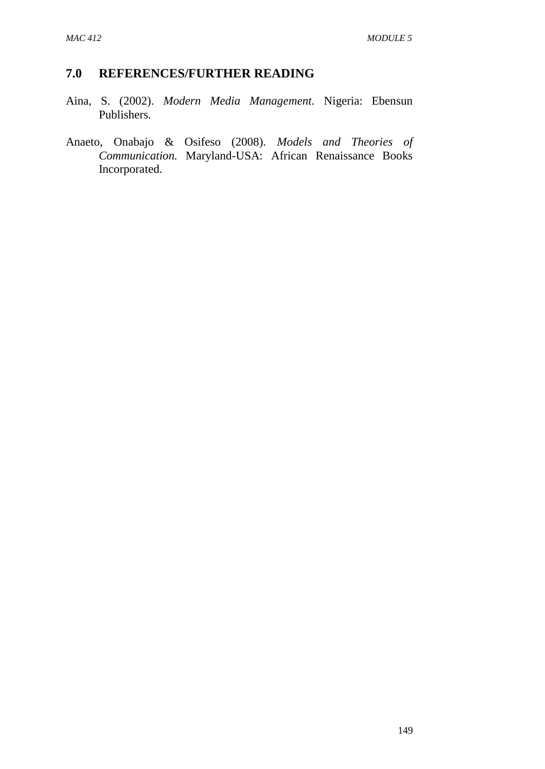### **7.0 REFERENCES/FURTHER READING**

- Aina, S. (2002). *Modern Media Management.* Nigeria: Ebensun Publishers.
- Anaeto, Onabajo & Osifeso (2008). *Models and Theories of Communication.* Maryland-USA: African Renaissance Books Incorporated.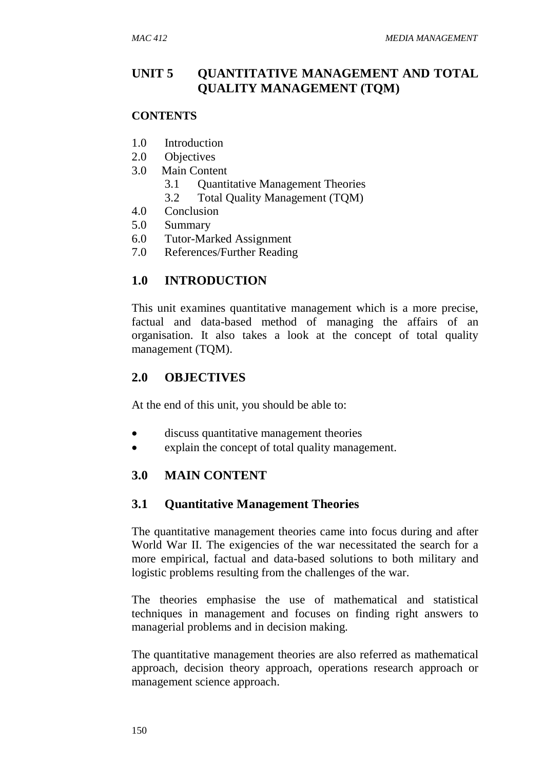## **UNIT 5 QUANTITATIVE MANAGEMENT AND TOTAL QUALITY MANAGEMENT (TQM)**

#### **CONTENTS**

- 1.0 Introduction
- 2.0 Objectives
- 3.0 Main Content
	- 3.1 Quantitative Management Theories
	- 3.2 Total Quality Management (TQM)
- 4.0 Conclusion
- 5.0 Summary
- 6.0 Tutor-Marked Assignment
- 7.0 References/Further Reading

## **1.0 INTRODUCTION**

This unit examines quantitative management which is a more precise, factual and data-based method of managing the affairs of an organisation. It also takes a look at the concept of total quality management (TQM).

## **2.0 OBJECTIVES**

At the end of this unit, you should be able to:

- discuss quantitative management theories
- explain the concept of total quality management.

### **3.0 MAIN CONTENT**

### **3.1 Quantitative Management Theories**

The quantitative management theories came into focus during and after World War II. The exigencies of the war necessitated the search for a more empirical, factual and data-based solutions to both military and logistic problems resulting from the challenges of the war.

The theories emphasise the use of mathematical and statistical techniques in management and focuses on finding right answers to managerial problems and in decision making.

The quantitative management theories are also referred as mathematical approach, decision theory approach, operations research approach or management science approach.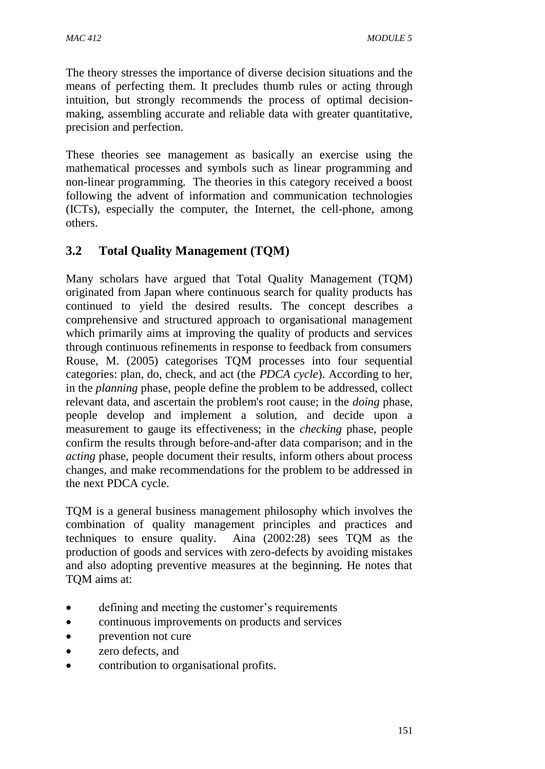The theory stresses the importance of diverse decision situations and the means of perfecting them. It precludes thumb rules or acting through intuition, but strongly recommends the process of optimal decisionmaking, assembling accurate and reliable data with greater quantitative, precision and perfection.

These theories see management as basically an exercise using the mathematical processes and symbols such as linear programming and non-linear programming. The theories in this category received a boost following the advent of information and communication technologies (ICTs), especially the computer, the Internet, the cell-phone, among others.

## **3.2 Total Quality Management (TQM)**

Many scholars have argued that Total Quality Management (TQM) originated from Japan where continuous search for quality products has continued to yield the desired results. The concept describes a comprehensive and structured approach to organisational management which primarily aims at improving the quality of products and services through continuous refinements in response to feedback from consumers Rouse, M. (2005) categorises TQM processes into four sequential categories: plan, do, check, and act (the *PDCA cycle*). According to her, in the *planning* phase, people define the problem to be addressed, collect relevant data, and ascertain the problem's root cause; in the *doing* phase, people develop and implement a solution, and decide upon a measurement to gauge its effectiveness; in the *checking* phase, people confirm the results through before-and-after data comparison; and in the *acting* phase, people document their results, inform others about process changes, and make recommendations for the problem to be addressed in the next PDCA cycle.

TQM is a general business management philosophy which involves the combination of quality management principles and practices and techniques to ensure quality. Aina (2002:28) sees TQM as the production of goods and services with zero-defects by avoiding mistakes and also adopting preventive measures at the beginning. He notes that TQM aims at:

- defining and meeting the customer's requirements
- continuous improvements on products and services
- prevention not cure
- zero defects, and
- contribution to organisational profits.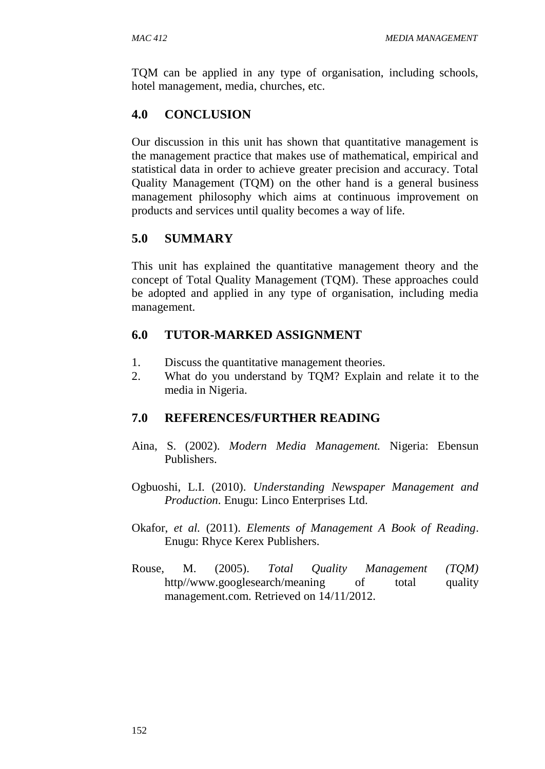TQM can be applied in any type of organisation, including schools, hotel management, media, churches, etc.

# **4.0 CONCLUSION**

Our discussion in this unit has shown that quantitative management is the management practice that makes use of mathematical, empirical and statistical data in order to achieve greater precision and accuracy. Total Quality Management (TQM) on the other hand is a general business management philosophy which aims at continuous improvement on products and services until quality becomes a way of life.

# **5.0 SUMMARY**

This unit has explained the quantitative management theory and the concept of Total Quality Management (TQM). These approaches could be adopted and applied in any type of organisation, including media management.

# **6.0 TUTOR-MARKED ASSIGNMENT**

- 1. Discuss the quantitative management theories.
- 2. What do you understand by TQM? Explain and relate it to the media in Nigeria.

### **7.0 REFERENCES/FURTHER READING**

- Aina, S. (2002). *Modern Media Management.* Nigeria: Ebensun Publishers.
- Ogbuoshi, L.I. (2010). *Understanding Newspaper Management and Production*. Enugu: Linco Enterprises Ltd.
- Okafor, *et al.* (2011). *Elements of Management A Book of Reading*. Enugu: Rhyce Kerex Publishers.
- Rouse, M. (2005). *Total Quality Management (TQM)* http//www.googlesearch/meaning of total quality management.com. Retrieved on 14/11/2012.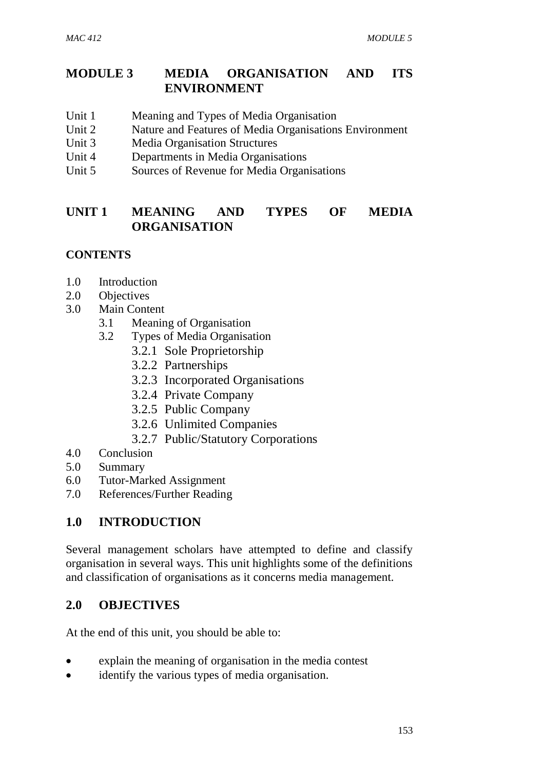## **MODULE 3 MEDIA ORGANISATION AND ITS ENVIRONMENT**

- Unit 1 Meaning and Types of Media Organisation
- Unit 2 Nature and Features of Media Organisations Environment
- Unit 3 Media Organisation Structures
- Unit 4 Departments in Media Organisations
- Unit 5 Sources of Revenue for Media Organisations

## **UNIT 1 MEANING AND TYPES OF MEDIA ORGANISATION**

### **CONTENTS**

- 1.0 Introduction
- 2.0 Objectives
- 3.0 Main Content
	- 3.1 Meaning of Organisation
	- 3.2 Types of Media Organisation
		- 3.2.1 Sole Proprietorship
		- 3.2.2 Partnerships
		- 3.2.3 Incorporated Organisations
		- 3.2.4 Private Company
		- 3.2.5 Public Company
		- 3.2.6 Unlimited Companies
		- 3.2.7 Public/Statutory Corporations
- 4.0 Conclusion
- 5.0 Summary
- 6.0 Tutor-Marked Assignment
- 7.0 References/Further Reading

# **1.0 INTRODUCTION**

Several management scholars have attempted to define and classify organisation in several ways. This unit highlights some of the definitions and classification of organisations as it concerns media management.

### **2.0 OBJECTIVES**

At the end of this unit, you should be able to:

- explain the meaning of organisation in the media contest
- identify the various types of media organisation.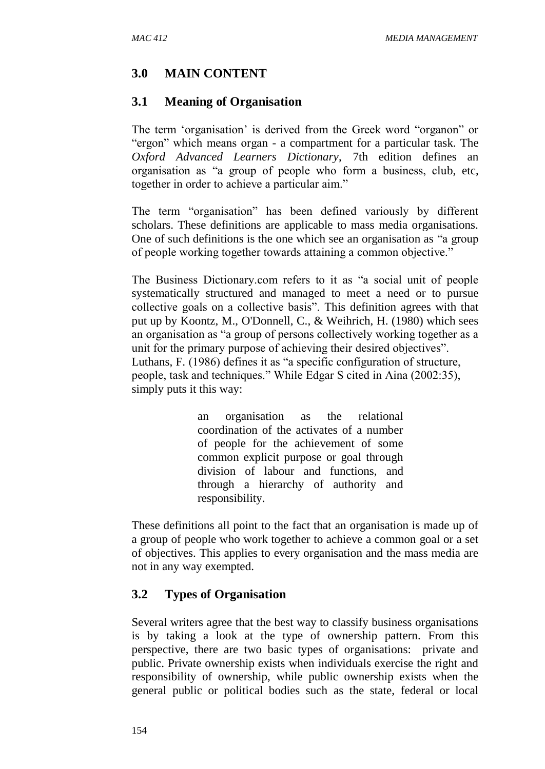### **3.0 MAIN CONTENT**

#### **3.1 Meaning of Organisation**

The term 'organisation' is derived from the Greek word "organon" or "ergon" which means organ - a compartment for a particular task. The *Oxford Advanced Learners Dictionary*, 7th edition defines an organisation as "a group of people who form a business, club, etc, together in order to achieve a particular aim."

The term "organisation" has been defined variously by different scholars. These definitions are applicable to mass media organisations. One of such definitions is the one which see an organisation as "a group of people working together towards attaining a common objective."

The Business Dictionary.com refers to it as "a social unit of people systematically structured and managed to meet a need or to pursue collective goals on a collective basis". This definition agrees with that put up by Koontz, M., O'Donnell, C., & Weihrich, H. (1980) which sees an organisation as "a group of persons collectively working together as a unit for the primary purpose of achieving their desired objectives". Luthans, F. (1986) defines it as "a specific configuration of structure, people, task and techniques." While Edgar S cited in Aina (2002:35), simply puts it this way:

> an organisation as the relational coordination of the activates of a number of people for the achievement of some common explicit purpose or goal through division of labour and functions, and through a hierarchy of authority and responsibility.

These definitions all point to the fact that an organisation is made up of a group of people who work together to achieve a common goal or a set of objectives. This applies to every organisation and the mass media are not in any way exempted.

#### **3.2 Types of Organisation**

Several writers agree that the best way to classify business organisations is by taking a look at the type of ownership pattern. From this perspective, there are two basic types of organisations: private and public. Private ownership exists when individuals exercise the right and responsibility of ownership, while public ownership exists when the general public or political bodies such as the state, federal or local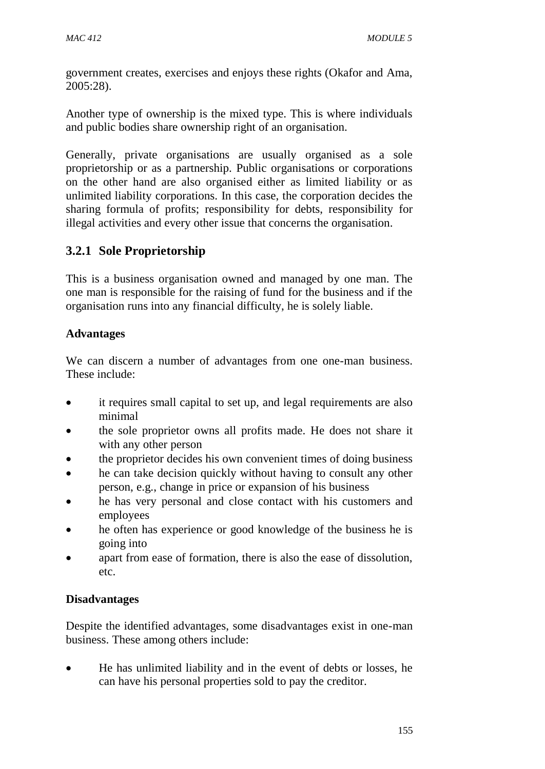government creates, exercises and enjoys these rights (Okafor and Ama, 2005:28).

Another type of ownership is the mixed type. This is where individuals and public bodies share ownership right of an organisation.

Generally, private organisations are usually organised as a sole proprietorship or as a partnership. Public organisations or corporations on the other hand are also organised either as limited liability or as unlimited liability corporations. In this case, the corporation decides the sharing formula of profits; responsibility for debts, responsibility for illegal activities and every other issue that concerns the organisation.

# **3.2.1 Sole Proprietorship**

This is a business organisation owned and managed by one man. The one man is responsible for the raising of fund for the business and if the organisation runs into any financial difficulty, he is solely liable.

### **Advantages**

We can discern a number of advantages from one one-man business. These include:

- it requires small capital to set up, and legal requirements are also minimal
- the sole proprietor owns all profits made. He does not share it with any other person
- the proprietor decides his own convenient times of doing business
- he can take decision quickly without having to consult any other person, e.g., change in price or expansion of his business
- he has very personal and close contact with his customers and employees
- he often has experience or good knowledge of the business he is going into
- apart from ease of formation, there is also the ease of dissolution, etc.

### **Disadvantages**

Despite the identified advantages, some disadvantages exist in one-man business. These among others include:

 He has unlimited liability and in the event of debts or losses, he can have his personal properties sold to pay the creditor.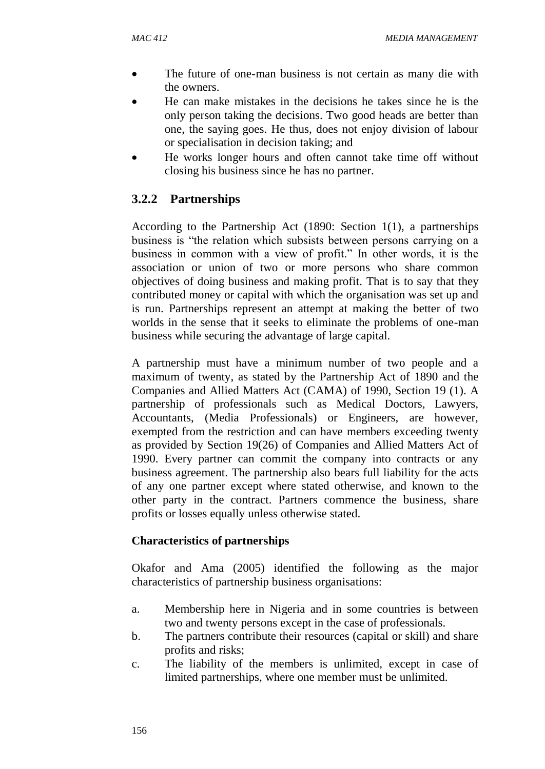- The future of one-man business is not certain as many die with the owners.
- He can make mistakes in the decisions he takes since he is the only person taking the decisions. Two good heads are better than one, the saying goes. He thus, does not enjoy division of labour or specialisation in decision taking; and
- He works longer hours and often cannot take time off without closing his business since he has no partner.

# **3.2.2 Partnerships**

According to the Partnership Act (1890: Section 1(1), a partnerships business is "the relation which subsists between persons carrying on a business in common with a view of profit." In other words, it is the association or union of two or more persons who share common objectives of doing business and making profit. That is to say that they contributed money or capital with which the organisation was set up and is run. Partnerships represent an attempt at making the better of two worlds in the sense that it seeks to eliminate the problems of one-man business while securing the advantage of large capital.

A partnership must have a minimum number of two people and a maximum of twenty, as stated by the Partnership Act of 1890 and the Companies and Allied Matters Act (CAMA) of 1990, Section 19 (1). A partnership of professionals such as Medical Doctors, Lawyers, Accountants, (Media Professionals) or Engineers, are however, exempted from the restriction and can have members exceeding twenty as provided by Section 19(26) of Companies and Allied Matters Act of 1990. Every partner can commit the company into contracts or any business agreement. The partnership also bears full liability for the acts of any one partner except where stated otherwise, and known to the other party in the contract. Partners commence the business, share profits or losses equally unless otherwise stated.

### **Characteristics of partnerships**

Okafor and Ama (2005) identified the following as the major characteristics of partnership business organisations:

- a. Membership here in Nigeria and in some countries is between two and twenty persons except in the case of professionals.
- b. The partners contribute their resources (capital or skill) and share profits and risks;
- c. The liability of the members is unlimited, except in case of limited partnerships, where one member must be unlimited.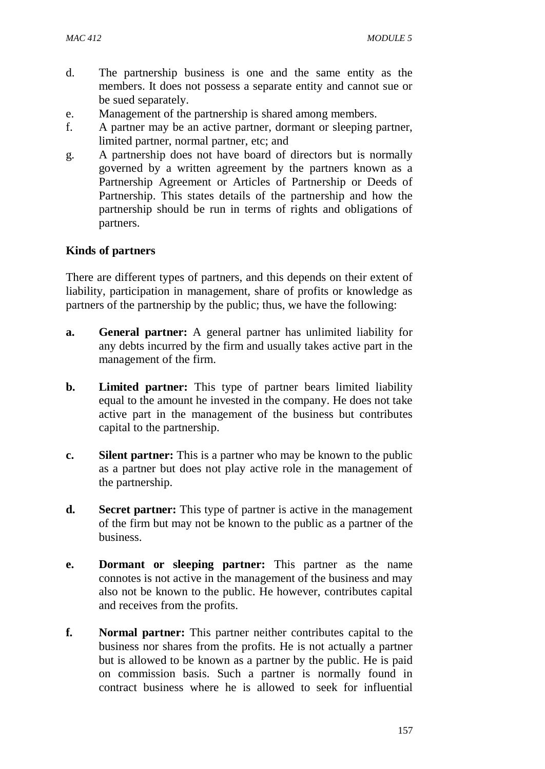- d. The partnership business is one and the same entity as the members. It does not possess a separate entity and cannot sue or be sued separately.
- e. Management of the partnership is shared among members.
- f. A partner may be an active partner, dormant or sleeping partner, limited partner, normal partner, etc; and
- g. A partnership does not have board of directors but is normally governed by a written agreement by the partners known as a Partnership Agreement or Articles of Partnership or Deeds of Partnership. This states details of the partnership and how the partnership should be run in terms of rights and obligations of partners.

#### **Kinds of partners**

There are different types of partners, and this depends on their extent of liability, participation in management, share of profits or knowledge as partners of the partnership by the public; thus, we have the following:

- **a. General partner:** A general partner has unlimited liability for any debts incurred by the firm and usually takes active part in the management of the firm.
- **b. Limited partner:** This type of partner bears limited liability equal to the amount he invested in the company. He does not take active part in the management of the business but contributes capital to the partnership.
- **c. Silent partner:** This is a partner who may be known to the public as a partner but does not play active role in the management of the partnership.
- **d. Secret partner:** This type of partner is active in the management of the firm but may not be known to the public as a partner of the business.
- **e. Dormant or sleeping partner:** This partner as the name connotes is not active in the management of the business and may also not be known to the public. He however, contributes capital and receives from the profits.
- **f. Normal partner:** This partner neither contributes capital to the business nor shares from the profits. He is not actually a partner but is allowed to be known as a partner by the public. He is paid on commission basis. Such a partner is normally found in contract business where he is allowed to seek for influential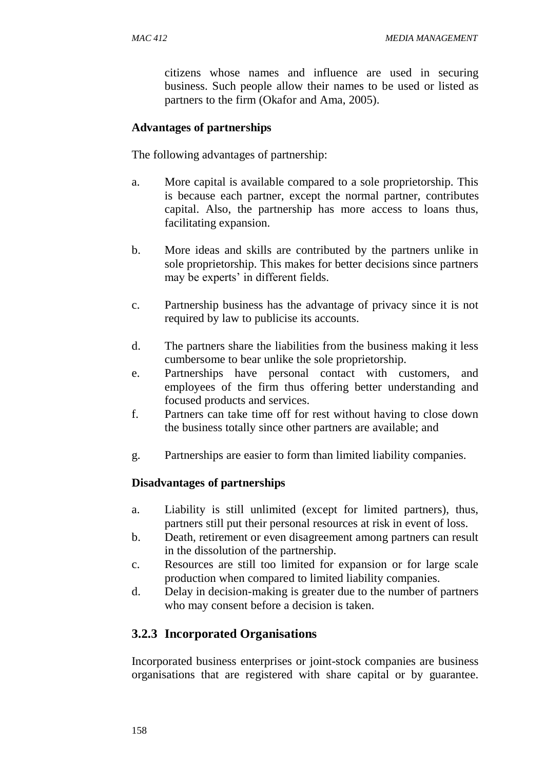citizens whose names and influence are used in securing business. Such people allow their names to be used or listed as partners to the firm (Okafor and Ama, 2005).

#### **Advantages of partnerships**

The following advantages of partnership:

- a. More capital is available compared to a sole proprietorship. This is because each partner, except the normal partner, contributes capital. Also, the partnership has more access to loans thus, facilitating expansion.
- b. More ideas and skills are contributed by the partners unlike in sole proprietorship. This makes for better decisions since partners may be experts' in different fields.
- c. Partnership business has the advantage of privacy since it is not required by law to publicise its accounts.
- d. The partners share the liabilities from the business making it less cumbersome to bear unlike the sole proprietorship.
- e. Partnerships have personal contact with customers, and employees of the firm thus offering better understanding and focused products and services.
- f. Partners can take time off for rest without having to close down the business totally since other partners are available; and
- g. Partnerships are easier to form than limited liability companies.

#### **Disadvantages of partnerships**

- a. Liability is still unlimited (except for limited partners), thus, partners still put their personal resources at risk in event of loss.
- b. Death, retirement or even disagreement among partners can result in the dissolution of the partnership.
- c. Resources are still too limited for expansion or for large scale production when compared to limited liability companies.
- d. Delay in decision-making is greater due to the number of partners who may consent before a decision is taken.

### **3.2.3 Incorporated Organisations**

Incorporated business enterprises or joint-stock companies are business organisations that are registered with share capital or by guarantee.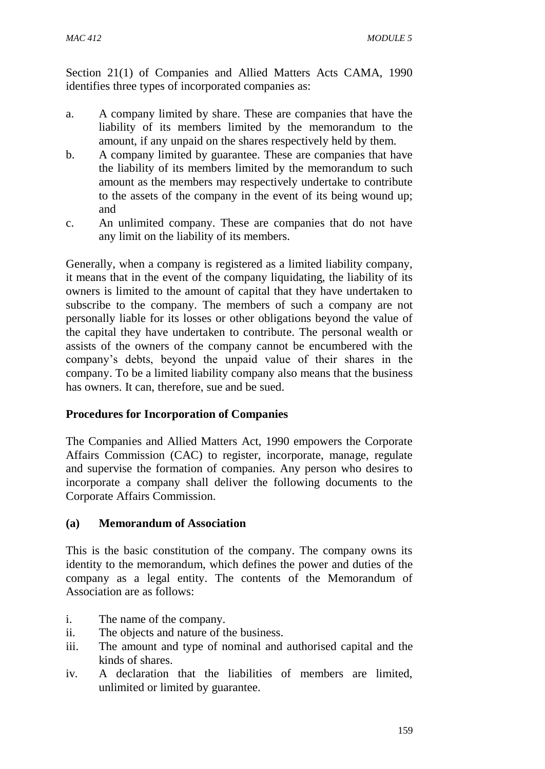Section 21(1) of Companies and Allied Matters Acts CAMA, 1990 identifies three types of incorporated companies as:

- a. A company limited by share. These are companies that have the liability of its members limited by the memorandum to the amount, if any unpaid on the shares respectively held by them.
- b. A company limited by guarantee. These are companies that have the liability of its members limited by the memorandum to such amount as the members may respectively undertake to contribute to the assets of the company in the event of its being wound up; and
- c. An unlimited company. These are companies that do not have any limit on the liability of its members.

Generally, when a company is registered as a limited liability company, it means that in the event of the company liquidating, the liability of its owners is limited to the amount of capital that they have undertaken to subscribe to the company. The members of such a company are not personally liable for its losses or other obligations beyond the value of the capital they have undertaken to contribute. The personal wealth or assists of the owners of the company cannot be encumbered with the company's debts, beyond the unpaid value of their shares in the company. To be a limited liability company also means that the business has owners. It can, therefore, sue and be sued.

#### **Procedures for Incorporation of Companies**

The Companies and Allied Matters Act, 1990 empowers the Corporate Affairs Commission (CAC) to register, incorporate, manage, regulate and supervise the formation of companies. Any person who desires to incorporate a company shall deliver the following documents to the Corporate Affairs Commission.

#### **(a) Memorandum of Association**

This is the basic constitution of the company. The company owns its identity to the memorandum, which defines the power and duties of the company as a legal entity. The contents of the Memorandum of Association are as follows:

- i. The name of the company.
- ii. The objects and nature of the business.
- iii. The amount and type of nominal and authorised capital and the kinds of shares.
- iv. A declaration that the liabilities of members are limited, unlimited or limited by guarantee.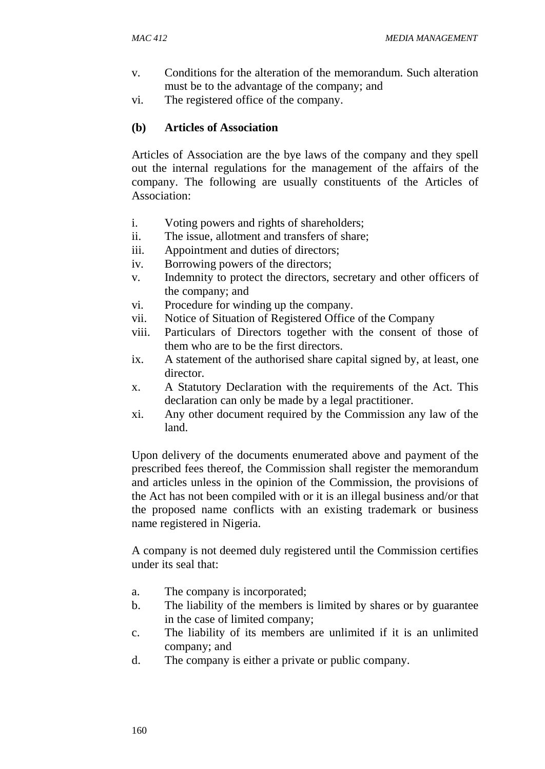- v. Conditions for the alteration of the memorandum. Such alteration must be to the advantage of the company; and
- vi. The registered office of the company.

### **(b) Articles of Association**

Articles of Association are the bye laws of the company and they spell out the internal regulations for the management of the affairs of the company. The following are usually constituents of the Articles of Association:

- i. Voting powers and rights of shareholders;
- ii. The issue, allotment and transfers of share;
- iii. Appointment and duties of directors;
- iv. Borrowing powers of the directors;
- v. Indemnity to protect the directors, secretary and other officers of the company; and
- vi. Procedure for winding up the company.
- vii. Notice of Situation of Registered Office of the Company
- viii. Particulars of Directors together with the consent of those of them who are to be the first directors.
- ix. A statement of the authorised share capital signed by, at least, one director.
- x. A Statutory Declaration with the requirements of the Act. This declaration can only be made by a legal practitioner.
- xi. Any other document required by the Commission any law of the land.

Upon delivery of the documents enumerated above and payment of the prescribed fees thereof, the Commission shall register the memorandum and articles unless in the opinion of the Commission, the provisions of the Act has not been compiled with or it is an illegal business and/or that the proposed name conflicts with an existing trademark or business name registered in Nigeria.

A company is not deemed duly registered until the Commission certifies under its seal that:

- a. The company is incorporated;
- b. The liability of the members is limited by shares or by guarantee in the case of limited company;
- c. The liability of its members are unlimited if it is an unlimited company; and
- d. The company is either a private or public company.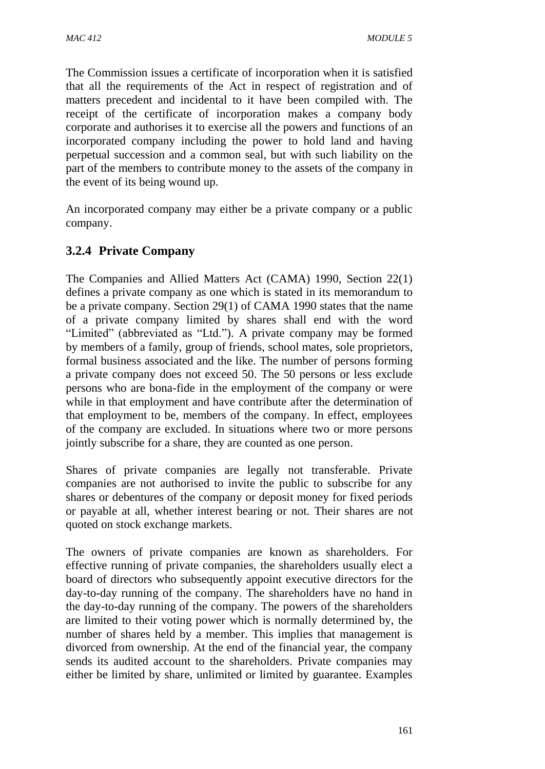The Commission issues a certificate of incorporation when it is satisfied that all the requirements of the Act in respect of registration and of matters precedent and incidental to it have been compiled with. The receipt of the certificate of incorporation makes a company body corporate and authorises it to exercise all the powers and functions of an incorporated company including the power to hold land and having perpetual succession and a common seal, but with such liability on the part of the members to contribute money to the assets of the company in the event of its being wound up.

An incorporated company may either be a private company or a public company.

## **3.2.4 Private Company**

The Companies and Allied Matters Act (CAMA) 1990, Section 22(1) defines a private company as one which is stated in its memorandum to be a private company. Section 29(1) of CAMA 1990 states that the name of a private company limited by shares shall end with the word "Limited" (abbreviated as "Ltd."). A private company may be formed by members of a family, group of friends, school mates, sole proprietors, formal business associated and the like. The number of persons forming a private company does not exceed 50. The 50 persons or less exclude persons who are bona-fide in the employment of the company or were while in that employment and have contribute after the determination of that employment to be, members of the company. In effect, employees of the company are excluded. In situations where two or more persons jointly subscribe for a share, they are counted as one person.

Shares of private companies are legally not transferable. Private companies are not authorised to invite the public to subscribe for any shares or debentures of the company or deposit money for fixed periods or payable at all, whether interest bearing or not. Their shares are not quoted on stock exchange markets.

The owners of private companies are known as shareholders. For effective running of private companies, the shareholders usually elect a board of directors who subsequently appoint executive directors for the day-to-day running of the company. The shareholders have no hand in the day-to-day running of the company. The powers of the shareholders are limited to their voting power which is normally determined by, the number of shares held by a member. This implies that management is divorced from ownership. At the end of the financial year, the company sends its audited account to the shareholders. Private companies may either be limited by share, unlimited or limited by guarantee. Examples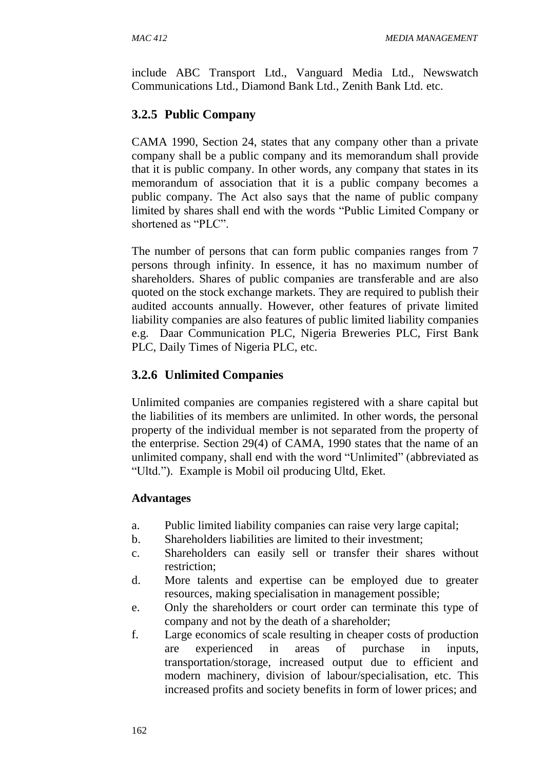include ABC Transport Ltd., Vanguard Media Ltd., Newswatch Communications Ltd., Diamond Bank Ltd., Zenith Bank Ltd. etc.

## **3.2.5 Public Company**

CAMA 1990, Section 24, states that any company other than a private company shall be a public company and its memorandum shall provide that it is public company. In other words, any company that states in its memorandum of association that it is a public company becomes a public company. The Act also says that the name of public company limited by shares shall end with the words "Public Limited Company or shortened as "PLC".

The number of persons that can form public companies ranges from 7 persons through infinity. In essence, it has no maximum number of shareholders. Shares of public companies are transferable and are also quoted on the stock exchange markets. They are required to publish their audited accounts annually. However, other features of private limited liability companies are also features of public limited liability companies e.g. Daar Communication PLC, Nigeria Breweries PLC, First Bank PLC, Daily Times of Nigeria PLC, etc.

## **3.2.6 Unlimited Companies**

Unlimited companies are companies registered with a share capital but the liabilities of its members are unlimited. In other words, the personal property of the individual member is not separated from the property of the enterprise. Section 29(4) of CAMA, 1990 states that the name of an unlimited company, shall end with the word "Unlimited" (abbreviated as "Ultd."). Example is Mobil oil producing Ultd, Eket.

#### **Advantages**

- a. Public limited liability companies can raise very large capital;
- b. Shareholders liabilities are limited to their investment;
- c. Shareholders can easily sell or transfer their shares without restriction;
- d. More talents and expertise can be employed due to greater resources, making specialisation in management possible;
- e. Only the shareholders or court order can terminate this type of company and not by the death of a shareholder;
- f. Large economics of scale resulting in cheaper costs of production are experienced in areas of purchase in inputs, transportation/storage, increased output due to efficient and modern machinery, division of labour/specialisation, etc. This increased profits and society benefits in form of lower prices; and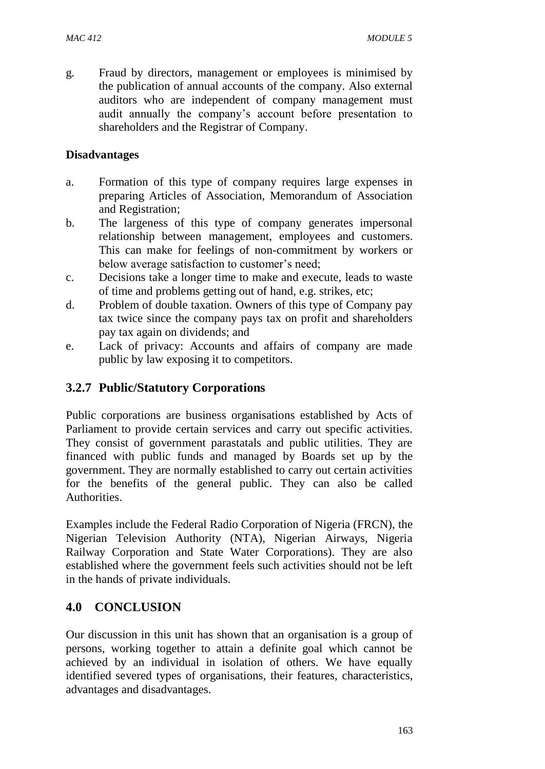g. Fraud by directors, management or employees is minimised by the publication of annual accounts of the company. Also external auditors who are independent of company management must audit annually the company's account before presentation to shareholders and the Registrar of Company.

#### **Disadvantages**

- a. Formation of this type of company requires large expenses in preparing Articles of Association, Memorandum of Association and Registration;
- b. The largeness of this type of company generates impersonal relationship between management, employees and customers. This can make for feelings of non-commitment by workers or below average satisfaction to customer's need;
- c. Decisions take a longer time to make and execute, leads to waste of time and problems getting out of hand, e.g. strikes, etc;
- d. Problem of double taxation. Owners of this type of Company pay tax twice since the company pays tax on profit and shareholders pay tax again on dividends; and
- e. Lack of privacy: Accounts and affairs of company are made public by law exposing it to competitors.

## **3.2.7 Public/Statutory Corporations**

Public corporations are business organisations established by Acts of Parliament to provide certain services and carry out specific activities. They consist of government parastatals and public utilities. They are financed with public funds and managed by Boards set up by the government. They are normally established to carry out certain activities for the benefits of the general public. They can also be called Authorities.

Examples include the Federal Radio Corporation of Nigeria (FRCN), the Nigerian Television Authority (NTA), Nigerian Airways, Nigeria Railway Corporation and State Water Corporations). They are also established where the government feels such activities should not be left in the hands of private individuals.

# **4.0 CONCLUSION**

Our discussion in this unit has shown that an organisation is a group of persons, working together to attain a definite goal which cannot be achieved by an individual in isolation of others. We have equally identified severed types of organisations, their features, characteristics, advantages and disadvantages.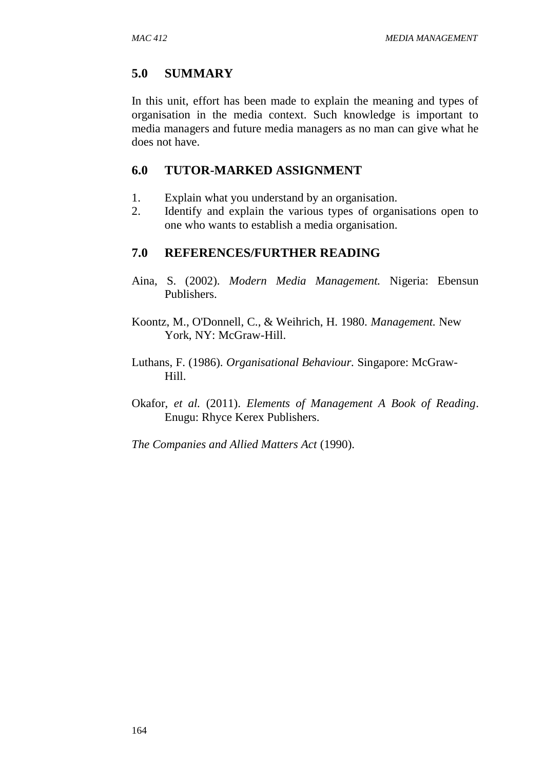### **5.0 SUMMARY**

In this unit, effort has been made to explain the meaning and types of organisation in the media context. Such knowledge is important to media managers and future media managers as no man can give what he does not have.

### **6.0 TUTOR-MARKED ASSIGNMENT**

- 1. Explain what you understand by an organisation.
- 2. Identify and explain the various types of organisations open to one who wants to establish a media organisation.

### **7.0 REFERENCES/FURTHER READING**

- Aina, S. (2002). *Modern Media Management.* Nigeria: Ebensun Publishers.
- Koontz, M., O'Donnell, C., & Weihrich, H. 1980. *Management.* New York, NY: McGraw-Hill.
- Luthans, F. (1986). *Organisational Behaviour.* Singapore: McGraw-Hill.
- Okafor, *et al.* (2011). *Elements of Management A Book of Reading*. Enugu: Rhyce Kerex Publishers.

*The Companies and Allied Matters Act* (1990).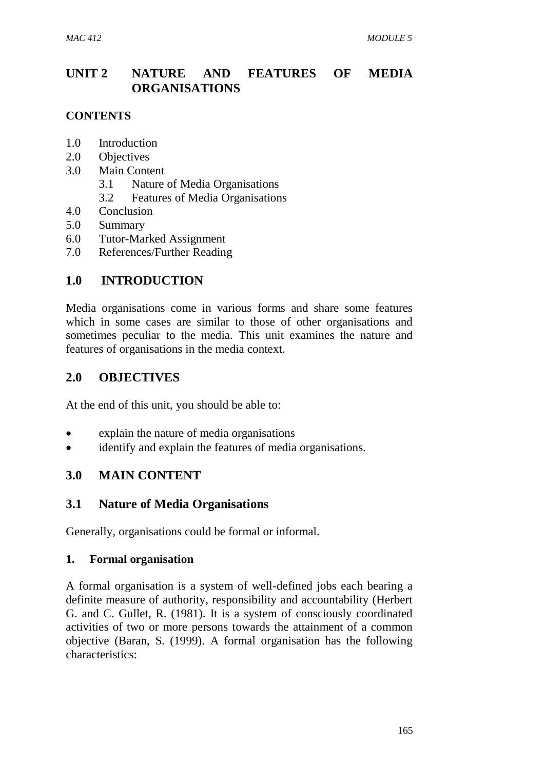# **UNIT 2 NATURE AND FEATURES OF MEDIA ORGANISATIONS**

### **CONTENTS**

- 1.0 Introduction
- 2.0 Objectives
- 3.0 Main Content
	- 3.1 Nature of Media Organisations
	- 3.2 Features of Media Organisations
- 4.0 Conclusion
- 5.0 Summary
- 6.0 Tutor-Marked Assignment
- 7.0 References/Further Reading

## **1.0 INTRODUCTION**

Media organisations come in various forms and share some features which in some cases are similar to those of other organisations and sometimes peculiar to the media. This unit examines the nature and features of organisations in the media context.

### **2.0 OBJECTIVES**

At the end of this unit, you should be able to:

- explain the nature of media organisations
- identify and explain the features of media organisations.

### **3.0 MAIN CONTENT**

### **3.1 Nature of Media Organisations**

Generally, organisations could be formal or informal.

#### **1. Formal organisation**

A formal organisation is a system of well-defined jobs each bearing a definite measure of authority, responsibility and accountability (Herbert G. and C. Gullet, R. (1981). It is a system of consciously coordinated activities of two or more persons towards the attainment of a common objective (Baran, S. (1999). A formal organisation has the following characteristics: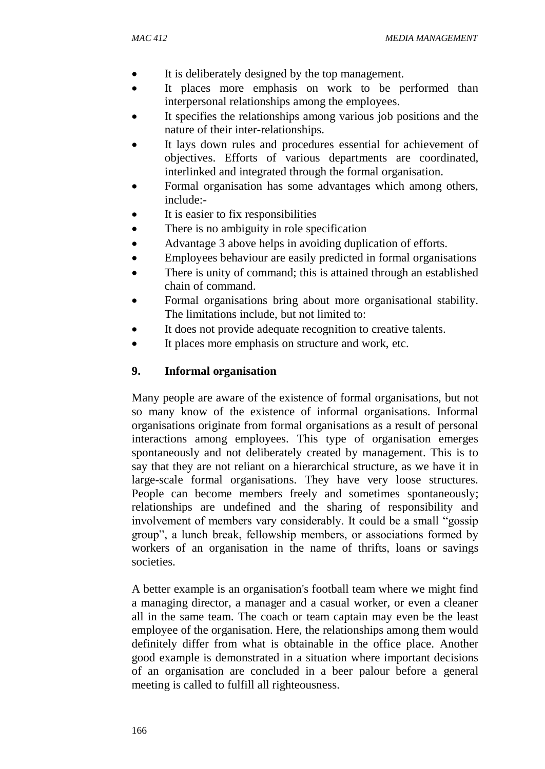- It is deliberately designed by the top management.
- It places more emphasis on work to be performed than interpersonal relationships among the employees.
- It specifies the relationships among various job positions and the nature of their inter-relationships.
- It lays down rules and procedures essential for achievement of objectives. Efforts of various departments are coordinated, interlinked and integrated through the formal organisation.
- Formal organisation has some advantages which among others, include:-
- It is easier to fix responsibilities
- There is no ambiguity in role specification
- Advantage 3 above helps in avoiding duplication of efforts.
- Employees behaviour are easily predicted in formal organisations
- There is unity of command; this is attained through an established chain of command.
- Formal organisations bring about more organisational stability. The limitations include, but not limited to:
- It does not provide adequate recognition to creative talents.
- It places more emphasis on structure and work, etc.

### **9. Informal organisation**

Many people are aware of the existence of formal organisations, but not so many know of the existence of informal organisations. Informal organisations originate from formal organisations as a result of personal interactions among employees. This type of organisation emerges spontaneously and not deliberately created by management. This is to say that they are not reliant on a hierarchical structure, as we have it in large-scale formal organisations. They have very loose structures. People can become members freely and sometimes spontaneously; relationships are undefined and the sharing of responsibility and involvement of members vary considerably. It could be a small "gossip group", a lunch break, fellowship members, or associations formed by workers of an organisation in the name of thrifts, loans or savings societies.

A better example is an organisation's football team where we might find a managing director, a manager and a casual worker, or even a cleaner all in the same team. The coach or team captain may even be the least employee of the organisation. Here, the relationships among them would definitely differ from what is obtainable in the office place. Another good example is demonstrated in a situation where important decisions of an organisation are concluded in a beer palour before a general meeting is called to fulfill all righteousness.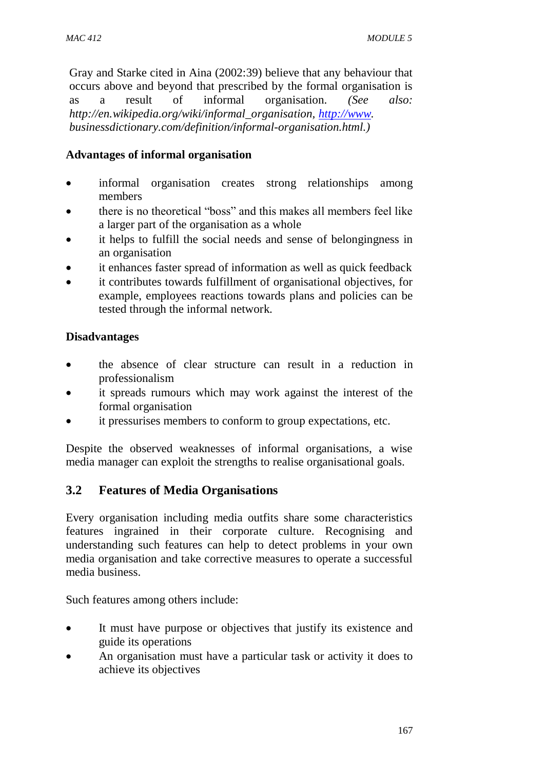Gray and Starke cited in Aina (2002:39) believe that any behaviour that occurs above and beyond that prescribed by the formal organisation is as a result of informal organisation. *(See also: http://en.wikipedia.org/wiki/informal\_organisation, [http://www.](http://www/) businessdictionary.com/definition/informal-organisation.html.)*

### **Advantages of informal organisation**

- informal organisation creates strong relationships among members
- there is no theoretical "boss" and this makes all members feel like a larger part of the organisation as a whole
- it helps to fulfill the social needs and sense of belongingness in an organisation
- it enhances faster spread of information as well as quick feedback
- it contributes towards fulfillment of organisational objectives, for example, employees reactions towards plans and policies can be tested through the informal network.

### **Disadvantages**

- the absence of clear structure can result in a reduction in professionalism
- it spreads rumours which may work against the interest of the formal organisation
- it pressurises members to conform to group expectations, etc.

Despite the observed weaknesses of informal organisations, a wise media manager can exploit the strengths to realise organisational goals.

### **3.2 Features of Media Organisations**

Every organisation including media outfits share some characteristics features ingrained in their corporate culture. Recognising and understanding such features can help to detect problems in your own media organisation and take corrective measures to operate a successful media business.

Such features among others include:

- It must have purpose or objectives that justify its existence and guide its operations
- An organisation must have a particular task or activity it does to achieve its objectives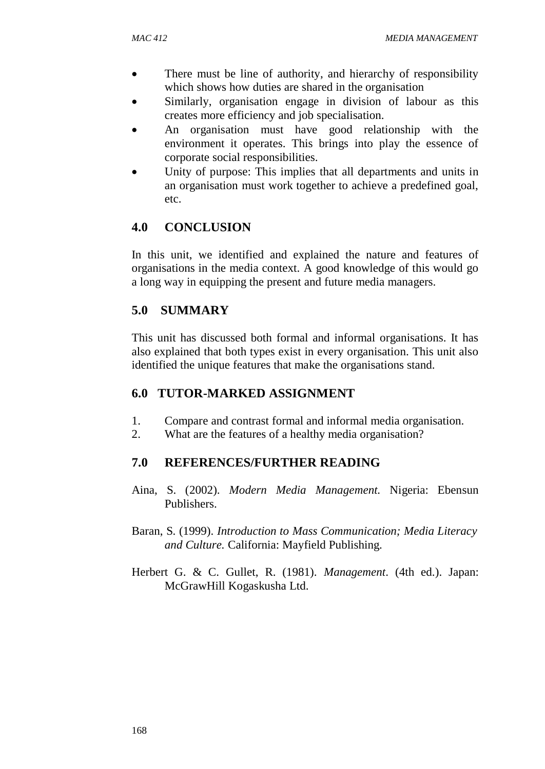- There must be line of authority, and hierarchy of responsibility which shows how duties are shared in the organisation
- Similarly, organisation engage in division of labour as this creates more efficiency and job specialisation.
- An organisation must have good relationship with the environment it operates. This brings into play the essence of corporate social responsibilities.
- Unity of purpose: This implies that all departments and units in an organisation must work together to achieve a predefined goal, etc.

### **4.0 CONCLUSION**

In this unit, we identified and explained the nature and features of organisations in the media context. A good knowledge of this would go a long way in equipping the present and future media managers.

### **5.0 SUMMARY**

This unit has discussed both formal and informal organisations. It has also explained that both types exist in every organisation. This unit also identified the unique features that make the organisations stand.

#### **6.0 TUTOR-MARKED ASSIGNMENT**

- 1. Compare and contrast formal and informal media organisation.
- 2. What are the features of a healthy media organisation?

#### **7.0 REFERENCES/FURTHER READING**

- Aina, S. (2002). *Modern Media Management.* Nigeria: Ebensun Publishers.
- Baran, S. (1999). *Introduction to Mass Communication; Media Literacy and Culture.* California: Mayfield Publishing.
- Herbert G. & C. Gullet, R. (1981). *Management*. (4th ed.). Japan: McGrawHill Kogaskusha Ltd.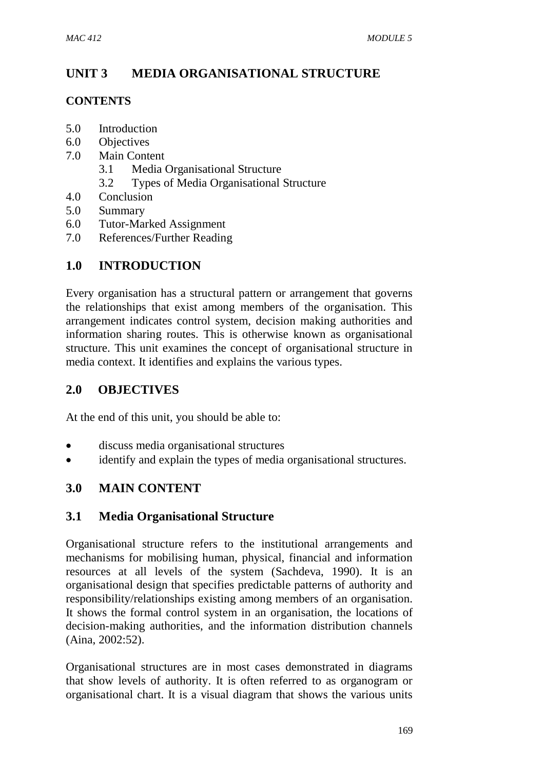# **UNIT 3 MEDIA ORGANISATIONAL STRUCTURE**

### **CONTENTS**

- 5.0 Introduction
- 6.0 Objectives
- 7.0 Main Content
	- 3.1 Media Organisational Structure
	- 3.2 Types of Media Organisational Structure
- 4.0 Conclusion
- 5.0 Summary
- 6.0 Tutor-Marked Assignment
- 7.0 References/Further Reading

# **1.0 INTRODUCTION**

Every organisation has a structural pattern or arrangement that governs the relationships that exist among members of the organisation. This arrangement indicates control system, decision making authorities and information sharing routes. This is otherwise known as organisational structure. This unit examines the concept of organisational structure in media context. It identifies and explains the various types.

## **2.0 OBJECTIVES**

At the end of this unit, you should be able to:

- discuss media organisational structures
- identify and explain the types of media organisational structures.

### **3.0 MAIN CONTENT**

#### **3.1 Media Organisational Structure**

Organisational structure refers to the institutional arrangements and mechanisms for mobilising human, physical, financial and information resources at all levels of the system (Sachdeva, 1990). It is an organisational design that specifies predictable patterns of authority and responsibility/relationships existing among members of an organisation. It shows the formal control system in an organisation, the locations of decision-making authorities, and the information distribution channels (Aina, 2002:52).

Organisational structures are in most cases demonstrated in diagrams that show levels of authority. It is often referred to as organogram or organisational chart. It is a visual diagram that shows the various units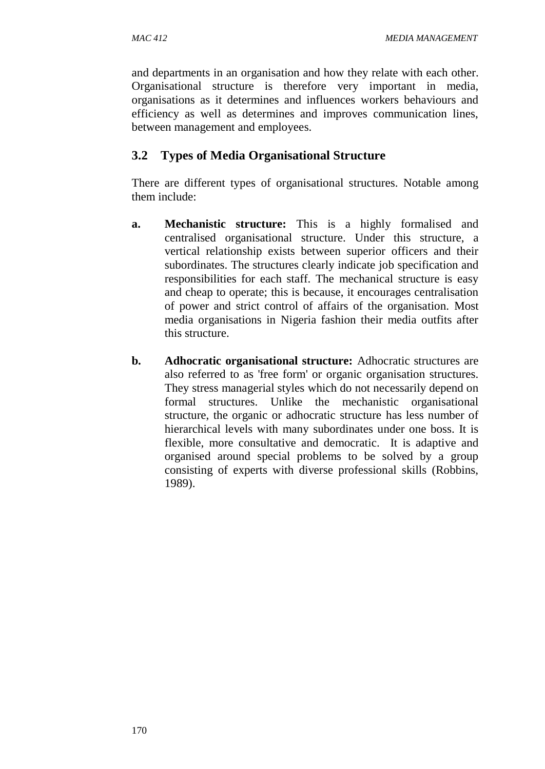*MAC 412 MEDIA MANAGEMENT* 

and departments in an organisation and how they relate with each other. Organisational structure is therefore very important in media, organisations as it determines and influences workers behaviours and efficiency as well as determines and improves communication lines, between management and employees.

## **3.2 Types of Media Organisational Structure**

There are different types of organisational structures. Notable among them include:

- **a. Mechanistic structure:** This is a highly formalised and centralised organisational structure. Under this structure, a vertical relationship exists between superior officers and their subordinates. The structures clearly indicate job specification and responsibilities for each staff. The mechanical structure is easy and cheap to operate; this is because, it encourages centralisation of power and strict control of affairs of the organisation. Most media organisations in Nigeria fashion their media outfits after this structure.
- **b.** Adhocratic organisational structure: Adhocratic structures are also referred to as 'free form' or organic organisation structures. They stress managerial styles which do not necessarily depend on formal structures. Unlike the mechanistic organisational structure, the organic or adhocratic structure has less number of hierarchical levels with many subordinates under one boss. It is flexible, more consultative and democratic. It is adaptive and organised around special problems to be solved by a group consisting of experts with diverse professional skills (Robbins, 1989).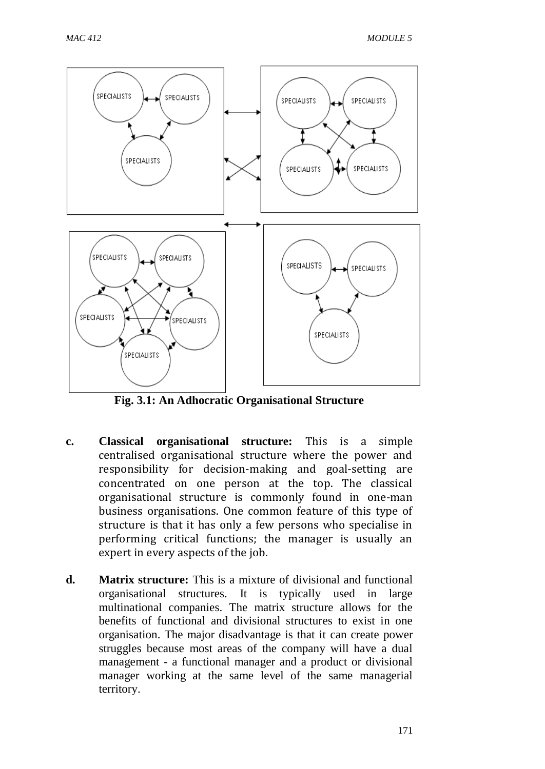

**Fig. 3.1: An Adhocratic Organisational Structure**

- **c. Classical organisational structure:** This is a simple centralised organisational structure where the power and responsibility for decision-making and goal-setting are concentrated on one person at the top. The classical organisational structure is commonly found in one-man business organisations. One common feature of this type of structure is that it has only a few persons who specialise in performing critical functions; the manager is usually an expert in every aspects of the job.
- **d. Matrix structure:** This is a mixture of divisional and functional organisational structures. It is typically used in large multinational companies. The matrix structure allows for the benefits of functional and divisional structures to exist in one organisation. The major disadvantage is that it can create power struggles because most areas of the company will have a dual management - a functional manager and a product or divisional manager working at the same level of the same managerial territory.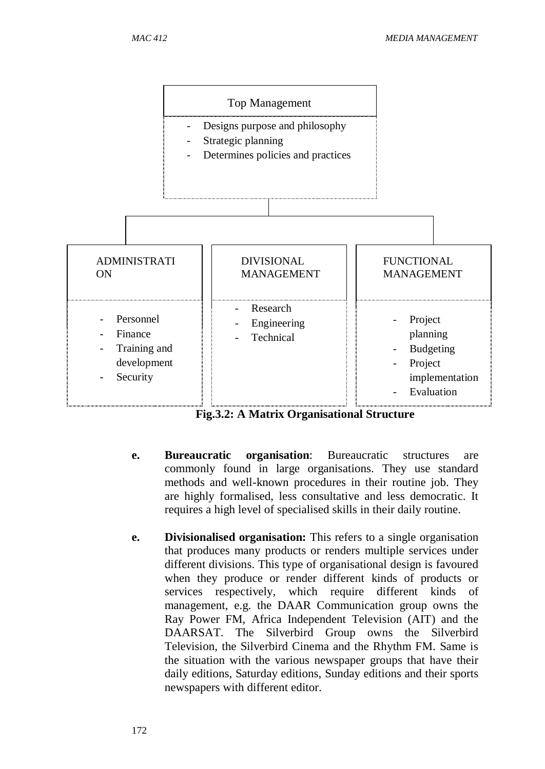

**Fig.3.2: A Matrix Organisational Structure**

- **e. Bureaucratic organisation**: Bureaucratic structures are commonly found in large organisations. They use standard methods and well-known procedures in their routine job. They are highly formalised, less consultative and less democratic. It requires a high level of specialised skills in their daily routine.
- **e. Divisionalised organisation:** This refers to a single organisation that produces many products or renders multiple services under different divisions. This type of organisational design is favoured when they produce or render different kinds of products or services respectively, which require different kinds of management, e.g. the DAAR Communication group owns the Ray Power FM, Africa Independent Television (AIT) and the DAARSAT. The Silverbird Group owns the Silverbird Television, the Silverbird Cinema and the Rhythm FM. Same is the situation with the various newspaper groups that have their daily editions, Saturday editions, Sunday editions and their sports newspapers with different editor.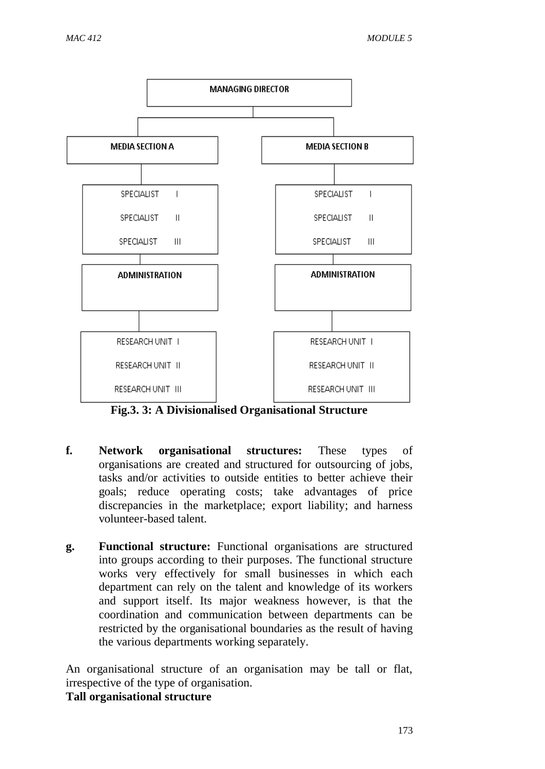

**Fig.3. 3: A Divisionalised Organisational Structure**

- **f. Network organisational structures:** These types of organisations are created and structured for outsourcing of jobs, tasks and/or activities to outside entities to better achieve their goals; reduce operating costs; take advantages of price discrepancies in the marketplace; export liability; and harness volunteer-based talent.
- **g. Functional structure:** Functional organisations are structured into groups according to their purposes. The functional structure works very effectively for small businesses in which each department can rely on the talent and knowledge of its workers and support itself. Its major weakness however, is that the coordination and communication between departments can be restricted by the organisational boundaries as the result of having the various departments working separately.

An organisational structure of an organisation may be tall or flat, irrespective of the type of organisation.

**Tall organisational structure**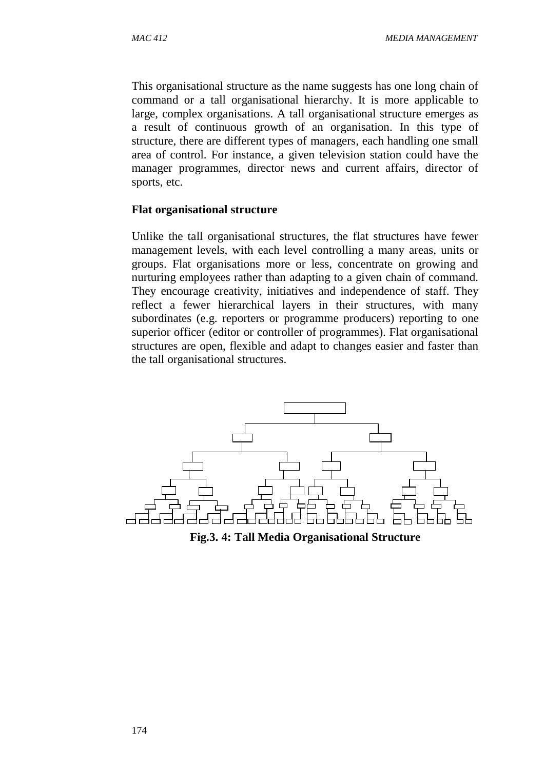This organisational structure as the name suggests has one long chain of command or a tall organisational hierarchy. It is more applicable to large, complex organisations. A tall organisational structure emerges as a result of continuous growth of an organisation. In this type of structure, there are different types of managers, each handling one small area of control. For instance, a given television station could have the manager programmes, director news and current affairs, director of sports, etc.

#### **Flat organisational structure**

Unlike the tall organisational structures, the flat structures have fewer management levels, with each level controlling a many areas, units or groups. Flat organisations more or less, concentrate on growing and nurturing employees rather than adapting to a given chain of command. They encourage creativity, initiatives and independence of staff. They reflect a fewer hierarchical layers in their structures, with many subordinates (e.g. reporters or programme producers) reporting to one superior officer (editor or controller of programmes). Flat organisational structures are open, flexible and adapt to changes easier and faster than the tall organisational structures.



**Fig.3. 4: Tall Media Organisational Structure**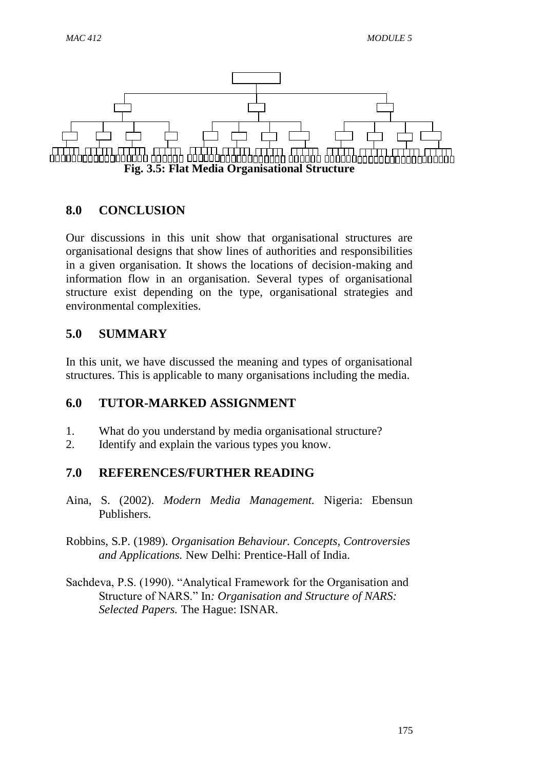

### **8.0 CONCLUSION**

Our discussions in this unit show that organisational structures are organisational designs that show lines of authorities and responsibilities in a given organisation. It shows the locations of decision-making and information flow in an organisation. Several types of organisational structure exist depending on the type, organisational strategies and environmental complexities.

### **5.0 SUMMARY**

In this unit, we have discussed the meaning and types of organisational structures. This is applicable to many organisations including the media.

### **6.0 TUTOR-MARKED ASSIGNMENT**

- 1. What do you understand by media organisational structure?
- 2. Identify and explain the various types you know.

### **7.0 REFERENCES/FURTHER READING**

- Aina, S. (2002). *Modern Media Management.* Nigeria: Ebensun Publishers.
- Robbins, S.P. (1989). *Organisation Behaviour. Concepts, Controversies and Applications.* New Delhi: Prentice-Hall of India.
- Sachdeva, P.S. (1990). "Analytical Framework for the Organisation and Structure of NARS." In*: Organisation and Structure of NARS: Selected Papers.* The Hague: ISNAR.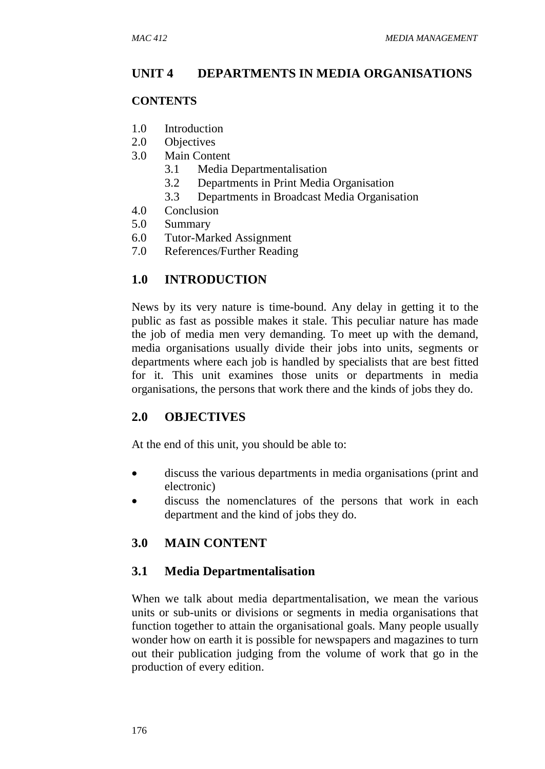### **UNIT 4 DEPARTMENTS IN MEDIA ORGANISATIONS**

#### **CONTENTS**

- 1.0 Introduction
- 2.0 Objectives
- 3.0 Main Content
	- 3.1 Media Departmentalisation
	- 3.2 Departments in Print Media Organisation
	- 3.3 Departments in Broadcast Media Organisation
- 4.0 Conclusion
- 5.0 Summary
- 6.0 Tutor-Marked Assignment
- 7.0 References/Further Reading

### **1.0 INTRODUCTION**

News by its very nature is time-bound. Any delay in getting it to the public as fast as possible makes it stale. This peculiar nature has made the job of media men very demanding. To meet up with the demand, media organisations usually divide their jobs into units, segments or departments where each job is handled by specialists that are best fitted for it. This unit examines those units or departments in media organisations, the persons that work there and the kinds of jobs they do.

### **2.0 OBJECTIVES**

At the end of this unit, you should be able to:

- discuss the various departments in media organisations (print and electronic)
- discuss the nomenclatures of the persons that work in each department and the kind of jobs they do.

### **3.0 MAIN CONTENT**

### **3.1 Media Departmentalisation**

When we talk about media departmentalisation, we mean the various units or sub-units or divisions or segments in media organisations that function together to attain the organisational goals. Many people usually wonder how on earth it is possible for newspapers and magazines to turn out their publication judging from the volume of work that go in the production of every edition.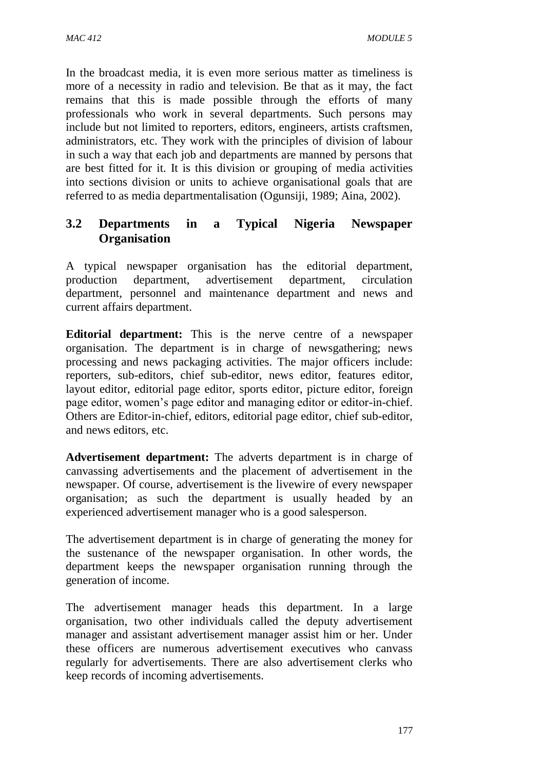In the broadcast media, it is even more serious matter as timeliness is more of a necessity in radio and television. Be that as it may, the fact remains that this is made possible through the efforts of many professionals who work in several departments. Such persons may include but not limited to reporters, editors, engineers, artists craftsmen, administrators, etc. They work with the principles of division of labour in such a way that each job and departments are manned by persons that are best fitted for it. It is this division or grouping of media activities into sections division or units to achieve organisational goals that are referred to as media departmentalisation (Ogunsiji, 1989; Aina, 2002).

## **3.2 Departments in a Typical Nigeria Newspaper Organisation**

A typical newspaper organisation has the editorial department, production department, advertisement department, circulation department, personnel and maintenance department and news and current affairs department.

**Editorial department:** This is the nerve centre of a newspaper organisation. The department is in charge of newsgathering; news processing and news packaging activities. The major officers include: reporters, sub-editors, chief sub-editor, news editor, features editor, layout editor, editorial page editor, sports editor, picture editor, foreign page editor, women's page editor and managing editor or editor-in-chief. Others are Editor-in-chief, editors, editorial page editor, chief sub-editor, and news editors, etc.

**Advertisement department:** The adverts department is in charge of canvassing advertisements and the placement of advertisement in the newspaper. Of course, advertisement is the livewire of every newspaper organisation; as such the department is usually headed by an experienced advertisement manager who is a good salesperson.

The advertisement department is in charge of generating the money for the sustenance of the newspaper organisation. In other words, the department keeps the newspaper organisation running through the generation of income.

The advertisement manager heads this department. In a large organisation, two other individuals called the deputy advertisement manager and assistant advertisement manager assist him or her. Under these officers are numerous advertisement executives who canvass regularly for advertisements. There are also advertisement clerks who keep records of incoming advertisements.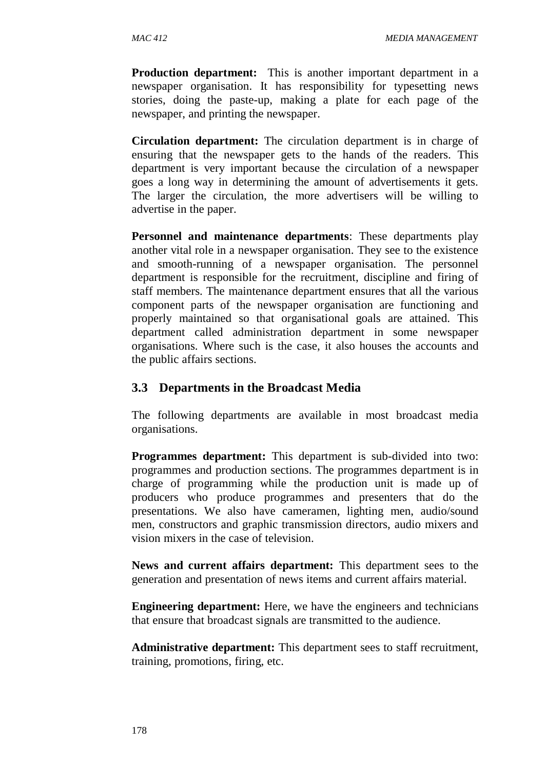**Production department:** This is another important department in a newspaper organisation. It has responsibility for typesetting news stories, doing the paste-up, making a plate for each page of the newspaper, and printing the newspaper.

**Circulation department:** The circulation department is in charge of ensuring that the newspaper gets to the hands of the readers. This department is very important because the circulation of a newspaper goes a long way in determining the amount of advertisements it gets. The larger the circulation, the more advertisers will be willing to advertise in the paper.

**Personnel and maintenance departments**: These departments play another vital role in a newspaper organisation. They see to the existence and smooth-running of a newspaper organisation. The personnel department is responsible for the recruitment, discipline and firing of staff members. The maintenance department ensures that all the various component parts of the newspaper organisation are functioning and properly maintained so that organisational goals are attained. This department called administration department in some newspaper organisations. Where such is the case, it also houses the accounts and the public affairs sections.

#### **3.3 Departments in the Broadcast Media**

The following departments are available in most broadcast media organisations.

**Programmes department:** This department is sub-divided into two: programmes and production sections. The programmes department is in charge of programming while the production unit is made up of producers who produce programmes and presenters that do the presentations. We also have cameramen, lighting men, audio/sound men, constructors and graphic transmission directors, audio mixers and vision mixers in the case of television.

**News and current affairs department:** This department sees to the generation and presentation of news items and current affairs material.

**Engineering department:** Here, we have the engineers and technicians that ensure that broadcast signals are transmitted to the audience.

**Administrative department:** This department sees to staff recruitment, training, promotions, firing, etc.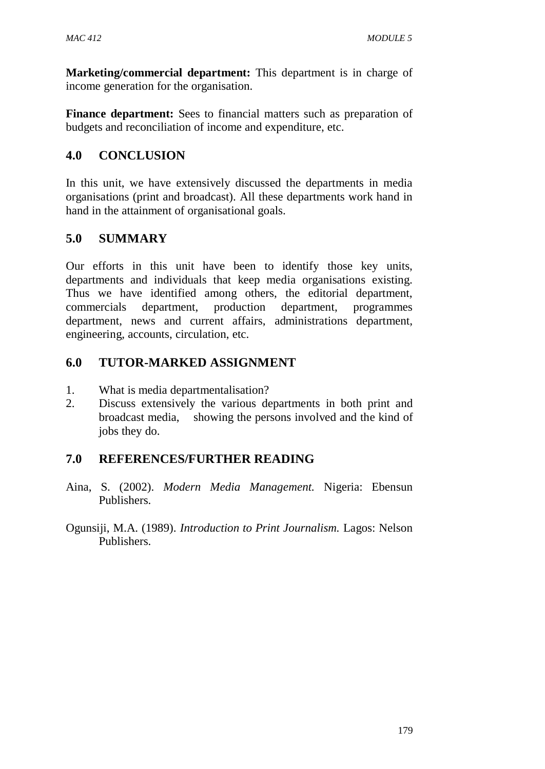**Marketing/commercial department:** This department is in charge of income generation for the organisation.

**Finance department:** Sees to financial matters such as preparation of budgets and reconciliation of income and expenditure, etc.

# **4.0 CONCLUSION**

In this unit, we have extensively discussed the departments in media organisations (print and broadcast). All these departments work hand in hand in the attainment of organisational goals.

# **5.0 SUMMARY**

Our efforts in this unit have been to identify those key units, departments and individuals that keep media organisations existing. Thus we have identified among others, the editorial department, commercials department, production department, programmes department, news and current affairs, administrations department, engineering, accounts, circulation, etc.

## **6.0 TUTOR-MARKED ASSIGNMENT**

- 1. What is media departmentalisation?
- 2. Discuss extensively the various departments in both print and broadcast media, showing the persons involved and the kind of jobs they do.

# **7.0 REFERENCES/FURTHER READING**

- Aina, S. (2002). *Modern Media Management.* Nigeria: Ebensun Publishers.
- Ogunsiji, M.A. (1989). *Introduction to Print Journalism.* Lagos: Nelson Publishers.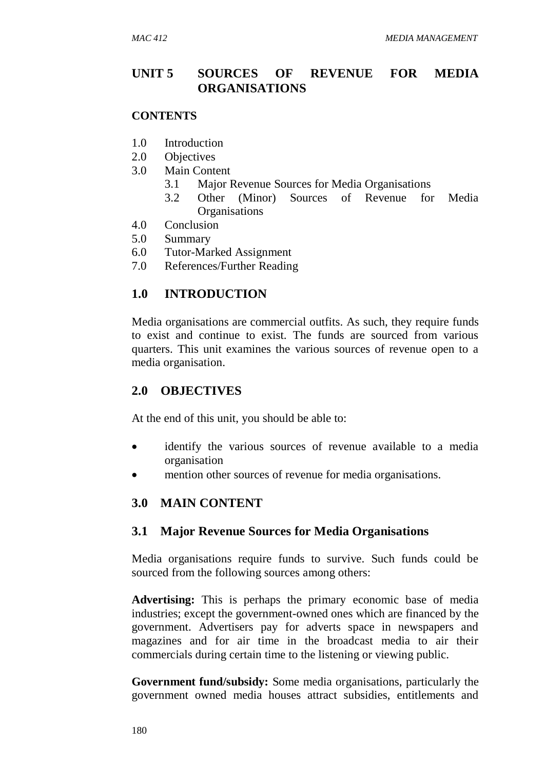### **UNIT 5 SOURCES OF REVENUE FOR MEDIA ORGANISATIONS**

#### **CONTENTS**

- 1.0 Introduction
- 2.0 Objectives
- 3.0 Main Content
	- 3.1 Major Revenue Sources for Media Organisations
	- 3.2 Other (Minor) Sources of Revenue for Media **Organisations**
- 4.0 Conclusion
- 5.0 Summary
- 6.0 Tutor-Marked Assignment
- 7.0 References/Further Reading

### **1.0 INTRODUCTION**

Media organisations are commercial outfits. As such, they require funds to exist and continue to exist. The funds are sourced from various quarters. This unit examines the various sources of revenue open to a media organisation.

### **2.0 OBJECTIVES**

At the end of this unit, you should be able to:

- identify the various sources of revenue available to a media organisation
- mention other sources of revenue for media organisations.

### **3.0 MAIN CONTENT**

### **3.1 Major Revenue Sources for Media Organisations**

Media organisations require funds to survive. Such funds could be sourced from the following sources among others:

**Advertising:** This is perhaps the primary economic base of media industries; except the government-owned ones which are financed by the government. Advertisers pay for adverts space in newspapers and magazines and for air time in the broadcast media to air their commercials during certain time to the listening or viewing public.

**Government fund/subsidy:** Some media organisations, particularly the government owned media houses attract subsidies, entitlements and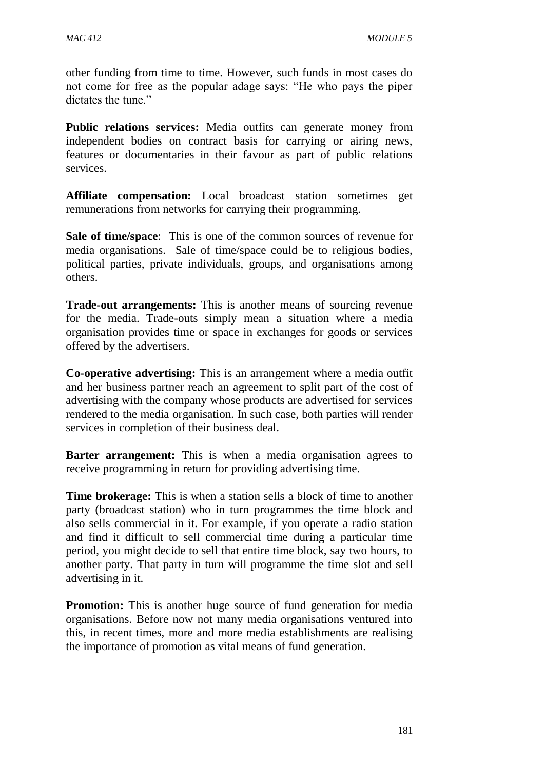other funding from time to time. However, such funds in most cases do not come for free as the popular adage says: "He who pays the piper dictates the tune."

**Public relations services:** Media outfits can generate money from independent bodies on contract basis for carrying or airing news, features or documentaries in their favour as part of public relations services.

**Affiliate compensation:** Local broadcast station sometimes get remunerations from networks for carrying their programming.

**Sale of time/space**: This is one of the common sources of revenue for media organisations. Sale of time/space could be to religious bodies, political parties, private individuals, groups, and organisations among others.

**Trade-out arrangements:** This is another means of sourcing revenue for the media. Trade-outs simply mean a situation where a media organisation provides time or space in exchanges for goods or services offered by the advertisers.

**Co-operative advertising:** This is an arrangement where a media outfit and her business partner reach an agreement to split part of the cost of advertising with the company whose products are advertised for services rendered to the media organisation. In such case, both parties will render services in completion of their business deal.

**Barter arrangement:** This is when a media organisation agrees to receive programming in return for providing advertising time.

**Time brokerage:** This is when a station sells a block of time to another party (broadcast station) who in turn programmes the time block and also sells commercial in it. For example, if you operate a radio station and find it difficult to sell commercial time during a particular time period, you might decide to sell that entire time block, say two hours, to another party. That party in turn will programme the time slot and sell advertising in it.

**Promotion:** This is another huge source of fund generation for media organisations. Before now not many media organisations ventured into this, in recent times, more and more media establishments are realising the importance of promotion as vital means of fund generation.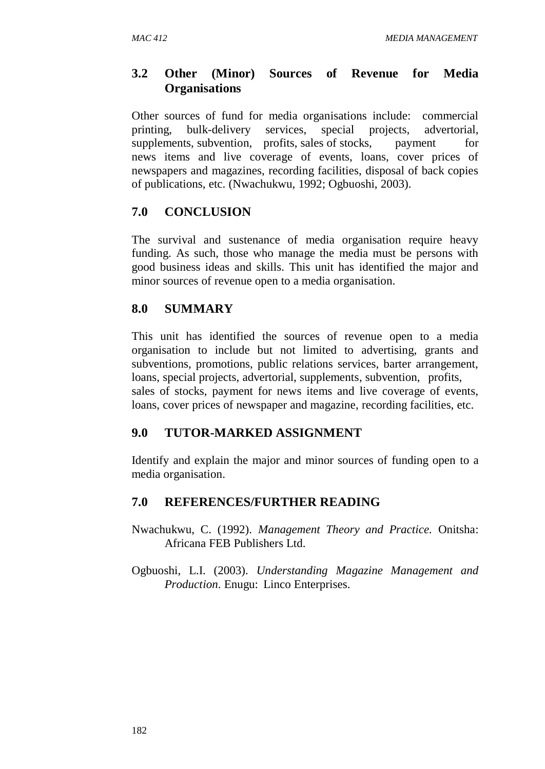# **3.2 Other (Minor) Sources of Revenue for Media Organisations**

Other sources of fund for media organisations include: commercial printing, bulk-delivery services, special projects, advertorial, supplements, subvention, profits, sales of stocks, payment for news items and live coverage of events, loans, cover prices of newspapers and magazines, recording facilities, disposal of back copies of publications, etc. (Nwachukwu, 1992; Ogbuoshi, 2003).

## **7.0 CONCLUSION**

The survival and sustenance of media organisation require heavy funding. As such, those who manage the media must be persons with good business ideas and skills. This unit has identified the major and minor sources of revenue open to a media organisation.

## **8.0 SUMMARY**

This unit has identified the sources of revenue open to a media organisation to include but not limited to advertising, grants and subventions, promotions, public relations services, barter arrangement, loans, special projects, advertorial, supplements, subvention, profits, sales of stocks, payment for news items and live coverage of events, loans, cover prices of newspaper and magazine, recording facilities, etc.

# **9.0 TUTOR-MARKED ASSIGNMENT**

Identify and explain the major and minor sources of funding open to a media organisation.

# **7.0 REFERENCES/FURTHER READING**

- Nwachukwu, C. (1992). *Management Theory and Practice.* Onitsha: Africana FEB Publishers Ltd.
- Ogbuoshi, L.I. (2003). *Understanding Magazine Management and Production*. Enugu: Linco Enterprises.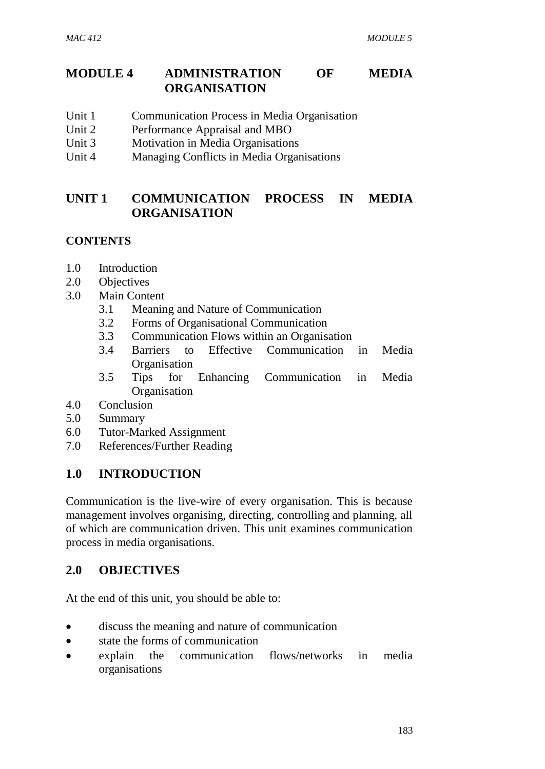## **MODULE 4 ADMINISTRATION OF MEDIA ORGANISATION**

- Unit 1 Communication Process in Media Organisation
- Unit 2 Performance Appraisal and MBO
- Unit 3 Motivation in Media Organisations
- Unit 4 Managing Conflicts in Media Organisations

# **UNIT 1 COMMUNICATION PROCESS IN MEDIA ORGANISATION**

## **CONTENTS**

- 1.0 Introduction
- 2.0 Objectives
- 3.0 Main Content
	- 3.1 Meaning and Nature of Communication
	- 3.2 Forms of Organisational Communication
	- 3.3 Communication Flows within an Organisation
	- 3.4 Barriers to Effective Communication in Media **Organisation**
	- 3.5 Tips for Enhancing Communication in Media **Organisation**
- 4.0 Conclusion
- 5.0 Summary
- 6.0 Tutor-Marked Assignment
- 7.0 References/Further Reading

### **1.0 INTRODUCTION**

Communication is the live-wire of every organisation. This is because management involves organising, directing, controlling and planning, all of which are communication driven. This unit examines communication process in media organisations.

### **2.0 OBJECTIVES**

At the end of this unit, you should be able to:

- discuss the meaning and nature of communication
- state the forms of communication
- explain the communication flows/networks in media organisations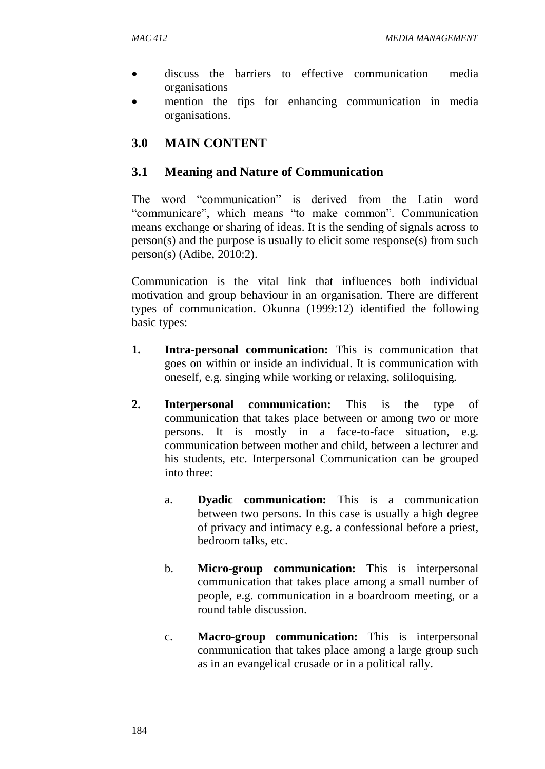- discuss the barriers to effective communication media organisations
- mention the tips for enhancing communication in media organisations.

# **3.0 MAIN CONTENT**

### **3.1 Meaning and Nature of Communication**

The word "communication" is derived from the Latin word "communicare", which means "to make common". Communication means exchange or sharing of ideas. It is the sending of signals across to person(s) and the purpose is usually to elicit some response(s) from such person(s) (Adibe, 2010:2).

Communication is the vital link that influences both individual motivation and group behaviour in an organisation. There are different types of communication. Okunna (1999:12) identified the following basic types:

- **1. Intra-personal communication:** This is communication that goes on within or inside an individual. It is communication with oneself, e.g. singing while working or relaxing, soliloquising.
- **2. Interpersonal communication:** This is the type of communication that takes place between or among two or more persons. It is mostly in a face-to-face situation, e.g. communication between mother and child, between a lecturer and his students, etc. Interpersonal Communication can be grouped into three:
	- a. **Dyadic communication:** This is a communication between two persons. In this case is usually a high degree of privacy and intimacy e.g. a confessional before a priest, bedroom talks, etc.
	- b. **Micro-group communication:** This is interpersonal communication that takes place among a small number of people, e.g. communication in a boardroom meeting, or a round table discussion.
	- c. **Macro-group communication:** This is interpersonal communication that takes place among a large group such as in an evangelical crusade or in a political rally.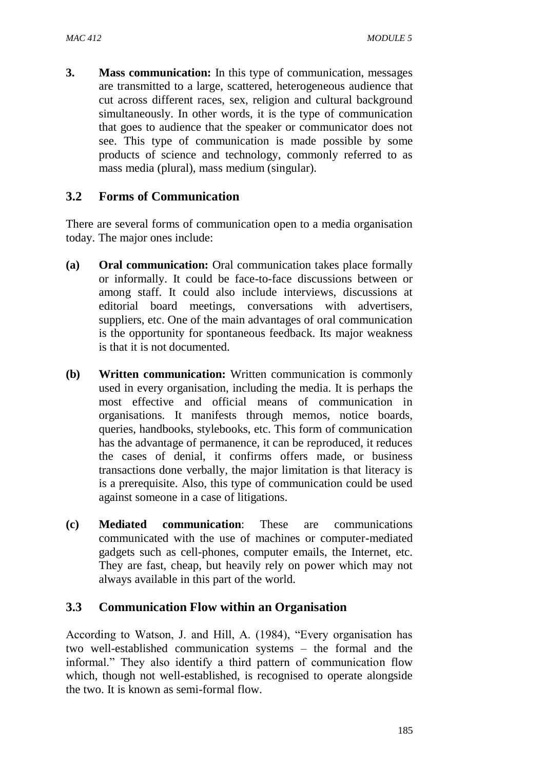**3. Mass communication:** In this type of communication, messages are transmitted to a large, scattered, heterogeneous audience that cut across different races, sex, religion and cultural background simultaneously. In other words, it is the type of communication that goes to audience that the speaker or communicator does not see. This type of communication is made possible by some products of science and technology, commonly referred to as mass media (plural), mass medium (singular).

### **3.2 Forms of Communication**

There are several forms of communication open to a media organisation today. The major ones include:

- **(a) Oral communication:** Oral communication takes place formally or informally. It could be face-to-face discussions between or among staff. It could also include interviews, discussions at editorial board meetings, conversations with advertisers, suppliers, etc. One of the main advantages of oral communication is the opportunity for spontaneous feedback. Its major weakness is that it is not documented.
- **(b) Written communication:** Written communication is commonly used in every organisation, including the media. It is perhaps the most effective and official means of communication in organisations. It manifests through memos, notice boards, queries, handbooks, stylebooks, etc. This form of communication has the advantage of permanence, it can be reproduced, it reduces the cases of denial, it confirms offers made, or business transactions done verbally, the major limitation is that literacy is is a prerequisite. Also, this type of communication could be used against someone in a case of litigations.
- **(c) Mediated communication**: These are communications communicated with the use of machines or computer-mediated gadgets such as cell-phones, computer emails, the Internet, etc. They are fast, cheap, but heavily rely on power which may not always available in this part of the world.

### **3.3 Communication Flow within an Organisation**

According to Watson, J. and Hill, A. (1984), "Every organisation has two well-established communication systems – the formal and the informal." They also identify a third pattern of communication flow which, though not well-established, is recognised to operate alongside the two. It is known as semi-formal flow.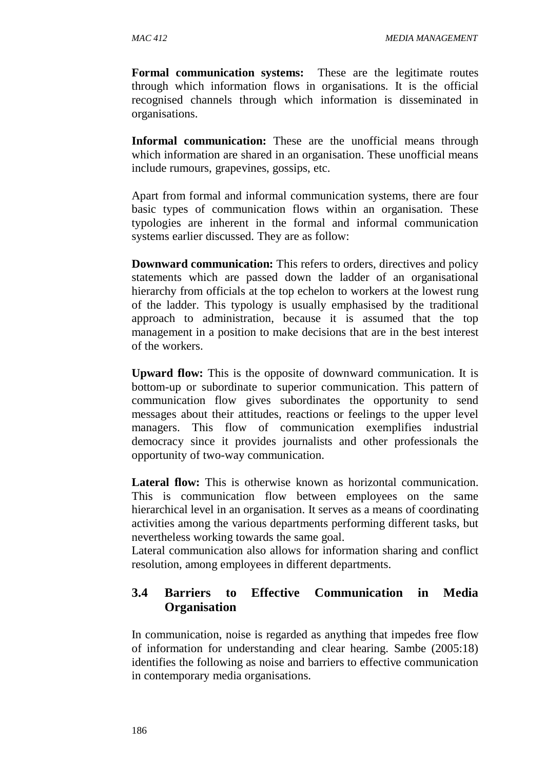**Formal communication systems:** These are the legitimate routes through which information flows in organisations. It is the official recognised channels through which information is disseminated in organisations.

**Informal communication:** These are the unofficial means through which information are shared in an organisation. These unofficial means include rumours, grapevines, gossips, etc.

Apart from formal and informal communication systems, there are four basic types of communication flows within an organisation. These typologies are inherent in the formal and informal communication systems earlier discussed. They are as follow:

**Downward communication:** This refers to orders, directives and policy statements which are passed down the ladder of an organisational hierarchy from officials at the top echelon to workers at the lowest rung of the ladder. This typology is usually emphasised by the traditional approach to administration, because it is assumed that the top management in a position to make decisions that are in the best interest of the workers.

**Upward flow:** This is the opposite of downward communication. It is bottom-up or subordinate to superior communication. This pattern of communication flow gives subordinates the opportunity to send messages about their attitudes, reactions or feelings to the upper level managers. This flow of communication exemplifies industrial democracy since it provides journalists and other professionals the opportunity of two-way communication.

Lateral flow: This is otherwise known as horizontal communication. This is communication flow between employees on the same hierarchical level in an organisation. It serves as a means of coordinating activities among the various departments performing different tasks, but nevertheless working towards the same goal.

Lateral communication also allows for information sharing and conflict resolution, among employees in different departments.

## **3.4 Barriers to Effective Communication in Media Organisation**

In communication, noise is regarded as anything that impedes free flow of information for understanding and clear hearing. Sambe (2005:18) identifies the following as noise and barriers to effective communication in contemporary media organisations.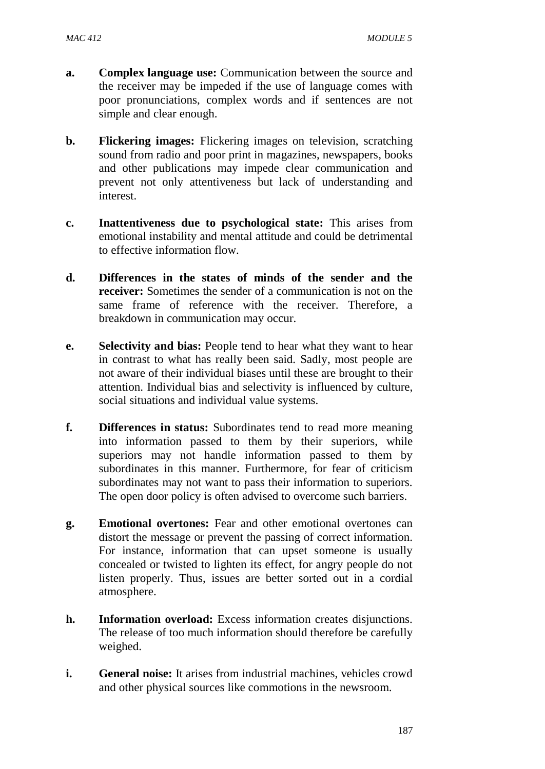- **a. Complex language use:** Communication between the source and the receiver may be impeded if the use of language comes with poor pronunciations, complex words and if sentences are not simple and clear enough.
- **b. Flickering images:** Flickering images on television, scratching sound from radio and poor print in magazines, newspapers, books and other publications may impede clear communication and prevent not only attentiveness but lack of understanding and interest.
- **c. Inattentiveness due to psychological state:** This arises from emotional instability and mental attitude and could be detrimental to effective information flow.
- **d. Differences in the states of minds of the sender and the receiver:** Sometimes the sender of a communication is not on the same frame of reference with the receiver. Therefore, a breakdown in communication may occur.
- **e. Selectivity and bias:** People tend to hear what they want to hear in contrast to what has really been said. Sadly, most people are not aware of their individual biases until these are brought to their attention. Individual bias and selectivity is influenced by culture, social situations and individual value systems.
- **f. Differences in status:** Subordinates tend to read more meaning into information passed to them by their superiors, while superiors may not handle information passed to them by subordinates in this manner. Furthermore, for fear of criticism subordinates may not want to pass their information to superiors. The open door policy is often advised to overcome such barriers.
- **g. Emotional overtones:** Fear and other emotional overtones can distort the message or prevent the passing of correct information. For instance, information that can upset someone is usually concealed or twisted to lighten its effect, for angry people do not listen properly. Thus, issues are better sorted out in a cordial atmosphere.
- **h. Information overload:** Excess information creates disjunctions. The release of too much information should therefore be carefully weighed.
- **i. General noise:** It arises from industrial machines, vehicles crowd and other physical sources like commotions in the newsroom.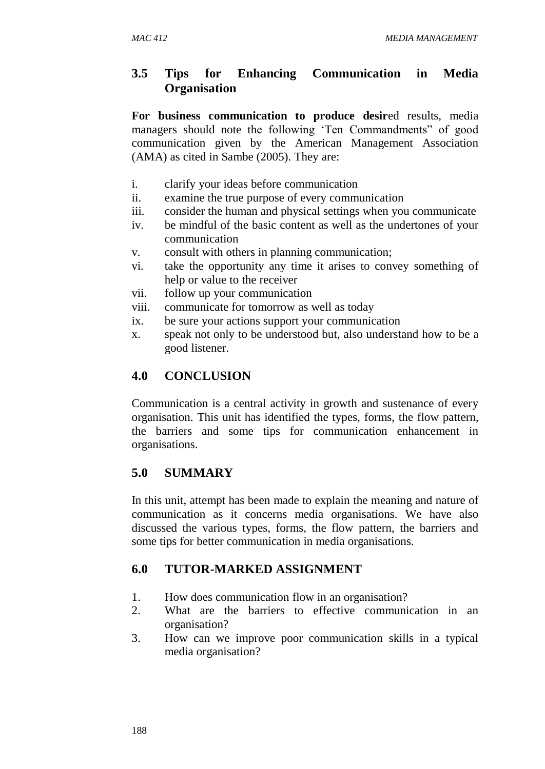### **3.5 Tips for Enhancing Communication in Media Organisation**

**For business communication to produce desir**ed results, media managers should note the following 'Ten Commandments" of good communication given by the American Management Association (AMA) as cited in Sambe (2005). They are:

- i. clarify your ideas before communication
- ii. examine the true purpose of every communication
- iii. consider the human and physical settings when you communicate
- iv. be mindful of the basic content as well as the undertones of your communication
- v. consult with others in planning communication;
- vi. take the opportunity any time it arises to convey something of help or value to the receiver
- vii. follow up your communication
- viii. communicate for tomorrow as well as today
- ix. be sure your actions support your communication
- x. speak not only to be understood but, also understand how to be a good listener.

#### **4.0 CONCLUSION**

Communication is a central activity in growth and sustenance of every organisation. This unit has identified the types, forms, the flow pattern, the barriers and some tips for communication enhancement in organisations.

### **5.0 SUMMARY**

In this unit, attempt has been made to explain the meaning and nature of communication as it concerns media organisations. We have also discussed the various types, forms, the flow pattern, the barriers and some tips for better communication in media organisations.

### **6.0 TUTOR-MARKED ASSIGNMENT**

- 1. How does communication flow in an organisation?
- 2. What are the barriers to effective communication in an organisation?
- 3. How can we improve poor communication skills in a typical media organisation?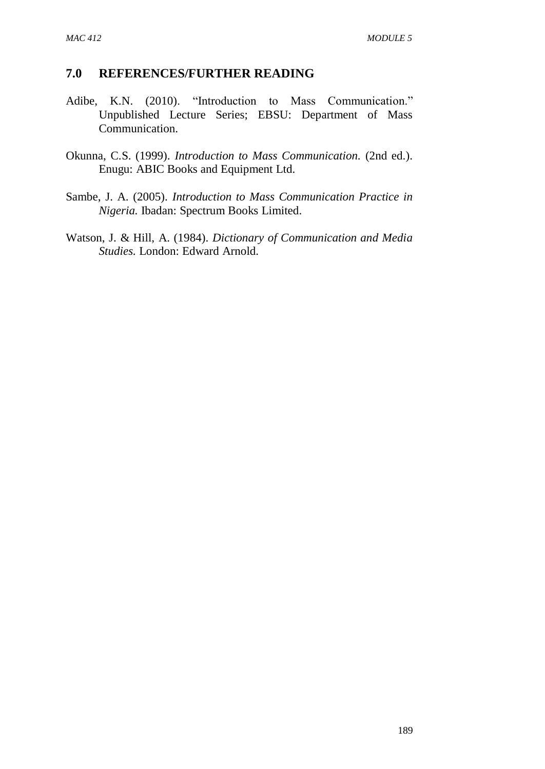### **7.0 REFERENCES/FURTHER READING**

- Adibe, K.N. (2010). "Introduction to Mass Communication." Unpublished Lecture Series; EBSU: Department of Mass Communication.
- Okunna, C.S. (1999). *Introduction to Mass Communication.* (2nd ed.). Enugu: ABIC Books and Equipment Ltd.
- Sambe, J. A. (2005). *Introduction to Mass Communication Practice in Nigeria.* Ibadan: Spectrum Books Limited.
- Watson, J. & Hill, A. (1984). *Dictionary of Communication and Media Studies.* London: Edward Arnold.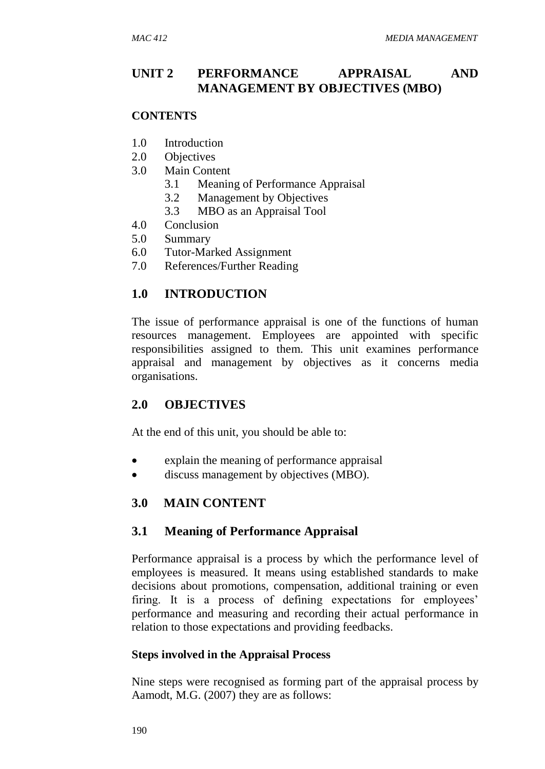## **UNIT 2 PERFORMANCE APPRAISAL AND MANAGEMENT BY OBJECTIVES (MBO)**

#### **CONTENTS**

- 1.0 Introduction
- 2.0 Objectives
- 3.0 Main Content
	- 3.1 Meaning of Performance Appraisal
	- 3.2 Management by Objectives
	- 3.3 MBO as an Appraisal Tool
- 4.0 Conclusion
- 5.0 Summary
- 6.0 Tutor-Marked Assignment
- 7.0 References/Further Reading

## **1.0 INTRODUCTION**

The issue of performance appraisal is one of the functions of human resources management. Employees are appointed with specific responsibilities assigned to them. This unit examines performance appraisal and management by objectives as it concerns media organisations.

### **2.0 OBJECTIVES**

At the end of this unit, you should be able to:

- explain the meaning of performance appraisal
- discuss management by objectives (MBO).

### **3.0 MAIN CONTENT**

### **3.1 Meaning of Performance Appraisal**

Performance appraisal is a process by which the performance level of employees is measured. It means using established standards to make decisions about promotions, compensation, additional training or even firing. It is a process of defining expectations for employees' performance and measuring and recording their actual performance in relation to those expectations and providing feedbacks.

### **Steps involved in the Appraisal Process**

Nine steps were recognised as forming part of the appraisal process by Aamodt, M.G. (2007) they are as follows: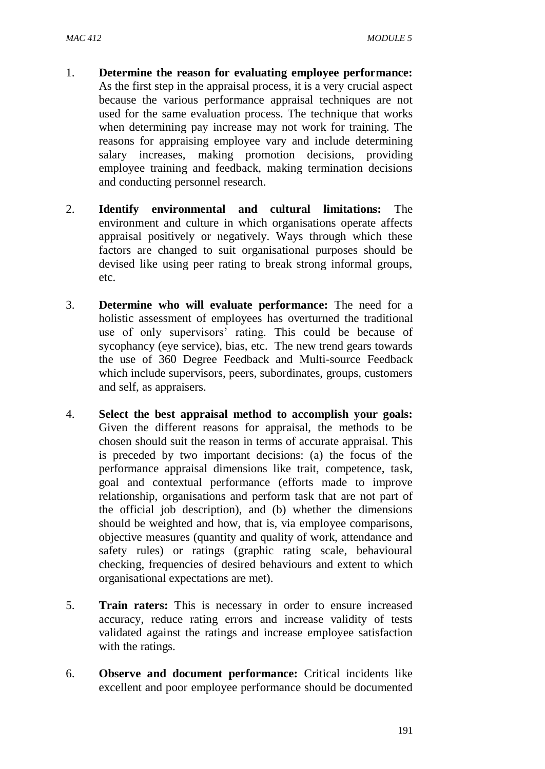- 1. **Determine the reason for evaluating employee performance:**  As the first step in the appraisal process, it is a very crucial aspect because the various performance appraisal techniques are not used for the same evaluation process. The technique that works when determining pay increase may not work for training. The reasons for appraising employee vary and include determining salary increases, making promotion decisions, providing employee training and feedback, making termination decisions and conducting personnel research.
- 2. **Identify environmental and cultural limitations:** The environment and culture in which organisations operate affects appraisal positively or negatively. Ways through which these factors are changed to suit organisational purposes should be devised like using peer rating to break strong informal groups, etc.
- 3. **Determine who will evaluate performance:** The need for a holistic assessment of employees has overturned the traditional use of only supervisors' rating. This could be because of sycophancy (eye service), bias, etc. The new trend gears towards the use of 360 Degree Feedback and Multi-source Feedback which include supervisors, peers, subordinates, groups, customers and self, as appraisers.
- 4. **Select the best appraisal method to accomplish your goals:**  Given the different reasons for appraisal, the methods to be chosen should suit the reason in terms of accurate appraisal. This is preceded by two important decisions: (a) the focus of the performance appraisal dimensions like trait, competence, task, goal and contextual performance (efforts made to improve relationship, organisations and perform task that are not part of the official job description), and (b) whether the dimensions should be weighted and how, that is, via employee comparisons, objective measures (quantity and quality of work, attendance and safety rules) or ratings (graphic rating scale, behavioural checking, frequencies of desired behaviours and extent to which organisational expectations are met).
- 5. **Train raters:** This is necessary in order to ensure increased accuracy, reduce rating errors and increase validity of tests validated against the ratings and increase employee satisfaction with the ratings.
- 6. **Observe and document performance:** Critical incidents like excellent and poor employee performance should be documented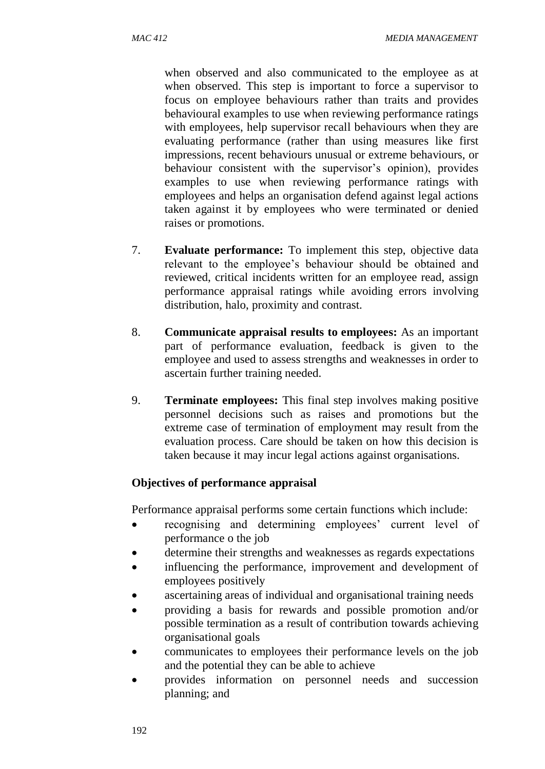when observed and also communicated to the employee as at when observed. This step is important to force a supervisor to focus on employee behaviours rather than traits and provides behavioural examples to use when reviewing performance ratings with employees, help supervisor recall behaviours when they are evaluating performance (rather than using measures like first impressions, recent behaviours unusual or extreme behaviours, or behaviour consistent with the supervisor's opinion), provides examples to use when reviewing performance ratings with employees and helps an organisation defend against legal actions taken against it by employees who were terminated or denied raises or promotions.

- 7. **Evaluate performance:** To implement this step, objective data relevant to the employee's behaviour should be obtained and reviewed, critical incidents written for an employee read, assign performance appraisal ratings while avoiding errors involving distribution, halo, proximity and contrast.
- 8. **Communicate appraisal results to employees:** As an important part of performance evaluation, feedback is given to the employee and used to assess strengths and weaknesses in order to ascertain further training needed.
- 9. **Terminate employees:** This final step involves making positive personnel decisions such as raises and promotions but the extreme case of termination of employment may result from the evaluation process. Care should be taken on how this decision is taken because it may incur legal actions against organisations.

#### **Objectives of performance appraisal**

Performance appraisal performs some certain functions which include:

- recognising and determining employees' current level of performance o the job
- determine their strengths and weaknesses as regards expectations
- influencing the performance, improvement and development of employees positively
- ascertaining areas of individual and organisational training needs
- providing a basis for rewards and possible promotion and/or possible termination as a result of contribution towards achieving organisational goals
- communicates to employees their performance levels on the job and the potential they can be able to achieve
- provides information on personnel needs and succession planning; and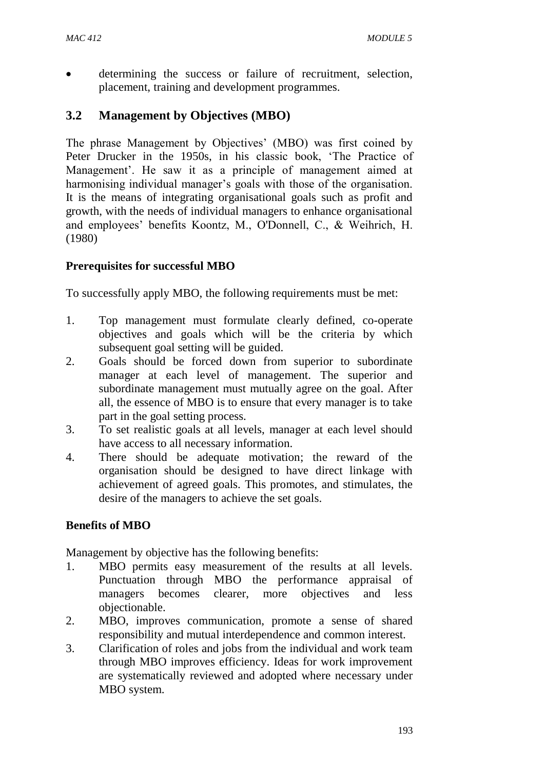determining the success or failure of recruitment, selection, placement, training and development programmes.

## **3.2 Management by Objectives (MBO)**

The phrase Management by Objectives' (MBO) was first coined by Peter Drucker in the 1950s, in his classic book, 'The Practice of Management'. He saw it as a principle of management aimed at harmonising individual manager's goals with those of the organisation. It is the means of integrating organisational goals such as profit and growth, with the needs of individual managers to enhance organisational and employees' benefits Koontz, M., O'Donnell, C., & Weihrich, H. (1980)

### **Prerequisites for successful MBO**

To successfully apply MBO, the following requirements must be met:

- 1. Top management must formulate clearly defined, co-operate objectives and goals which will be the criteria by which subsequent goal setting will be guided.
- 2. Goals should be forced down from superior to subordinate manager at each level of management. The superior and subordinate management must mutually agree on the goal. After all, the essence of MBO is to ensure that every manager is to take part in the goal setting process.
- 3. To set realistic goals at all levels, manager at each level should have access to all necessary information.
- 4. There should be adequate motivation; the reward of the organisation should be designed to have direct linkage with achievement of agreed goals. This promotes, and stimulates, the desire of the managers to achieve the set goals.

### **Benefits of MBO**

Management by objective has the following benefits:

- 1. MBO permits easy measurement of the results at all levels. Punctuation through MBO the performance appraisal of managers becomes clearer, more objectives and less objectionable.
- 2. MBO, improves communication, promote a sense of shared responsibility and mutual interdependence and common interest.
- 3. Clarification of roles and jobs from the individual and work team through MBO improves efficiency. Ideas for work improvement are systematically reviewed and adopted where necessary under MBO system.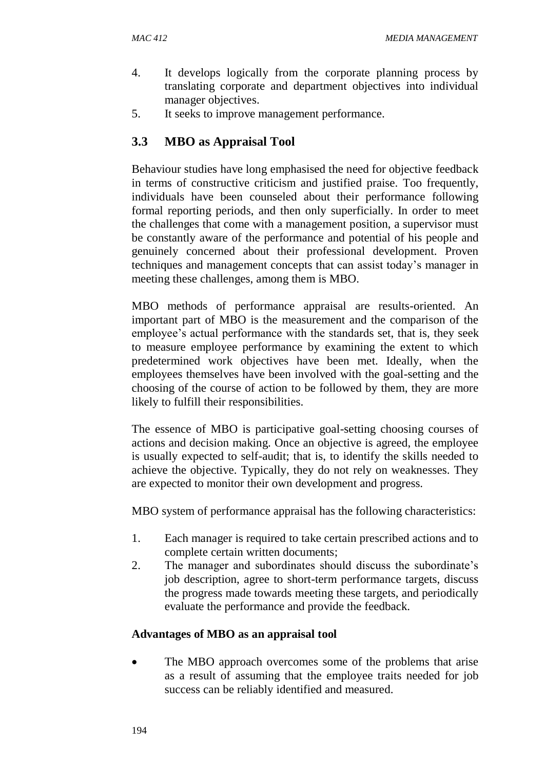- 4. It develops logically from the corporate planning process by translating corporate and department objectives into individual manager objectives.
- 5. It seeks to improve management performance.

# **3.3 MBO as Appraisal Tool**

Behaviour studies have long emphasised the need for objective feedback in terms of constructive criticism and justified praise. Too frequently, individuals have been counseled about their performance following formal reporting periods, and then only superficially. In order to meet the challenges that come with a management position, a supervisor must be constantly aware of the performance and potential of his people and genuinely concerned about their professional development. Proven techniques and management concepts that can assist today's manager in meeting these challenges, among them is MBO.

MBO methods of performance appraisal are results-oriented. An important part of MBO is the measurement and the comparison of the employee's actual performance with the standards set, that is, they seek to measure employee performance by examining the extent to which predetermined work objectives have been met. Ideally, when the employees themselves have been involved with the goal-setting and the choosing of the course of action to be followed by them, they are more likely to fulfill their responsibilities.

The essence of MBO is participative goal-setting choosing courses of actions and decision making. Once an objective is agreed, the employee is usually expected to self-audit; that is, to identify the skills needed to achieve the objective. Typically, they do not rely on weaknesses. They are expected to monitor their own development and progress.

MBO system of performance appraisal has the following characteristics:

- 1. Each manager is required to take certain prescribed actions and to complete certain written documents;
- 2. The manager and subordinates should discuss the subordinate's job description, agree to short-term performance targets, discuss the progress made towards meeting these targets, and periodically evaluate the performance and provide the feedback.

### **Advantages of MBO as an appraisal tool**

 The MBO approach overcomes some of the problems that arise as a result of assuming that the employee traits needed for job success can be reliably identified and measured.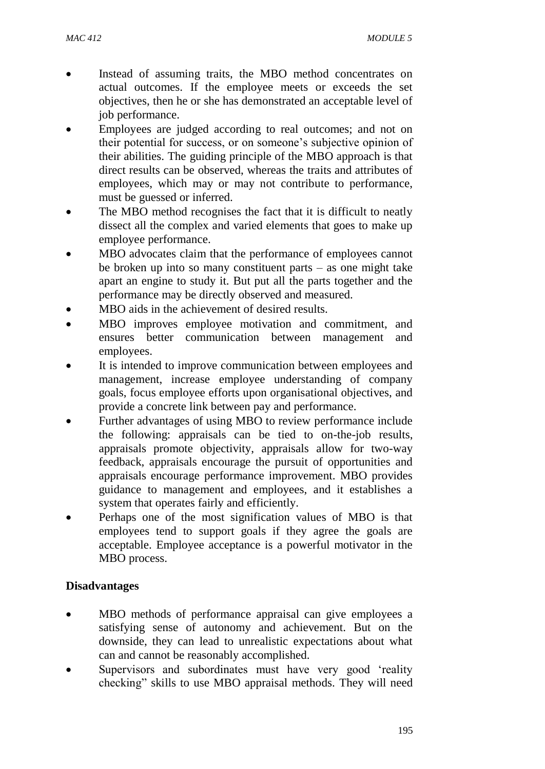- Instead of assuming traits, the MBO method concentrates on actual outcomes. If the employee meets or exceeds the set objectives, then he or she has demonstrated an acceptable level of job performance.
- Employees are judged according to real outcomes; and not on their potential for success, or on someone's subjective opinion of their abilities. The guiding principle of the MBO approach is that direct results can be observed, whereas the traits and attributes of employees, which may or may not contribute to performance, must be guessed or inferred.
- The MBO method recognises the fact that it is difficult to neatly dissect all the complex and varied elements that goes to make up employee performance.
- MBO advocates claim that the performance of employees cannot be broken up into so many constituent parts – as one might take apart an engine to study it. But put all the parts together and the performance may be directly observed and measured.
- MBO aids in the achievement of desired results.
- MBO improves employee motivation and commitment, and ensures better communication between management and employees.
- It is intended to improve communication between employees and management, increase employee understanding of company goals, focus employee efforts upon organisational objectives, and provide a concrete link between pay and performance.
- Further advantages of using MBO to review performance include the following: appraisals can be tied to on-the-job results, appraisals promote objectivity, appraisals allow for two-way feedback, appraisals encourage the pursuit of opportunities and appraisals encourage performance improvement. MBO provides guidance to management and employees, and it establishes a system that operates fairly and efficiently.
- Perhaps one of the most signification values of MBO is that employees tend to support goals if they agree the goals are acceptable. Employee acceptance is a powerful motivator in the MBO process.

### **Disadvantages**

- MBO methods of performance appraisal can give employees a satisfying sense of autonomy and achievement. But on the downside, they can lead to unrealistic expectations about what can and cannot be reasonably accomplished.
- Supervisors and subordinates must have very good 'reality checking" skills to use MBO appraisal methods. They will need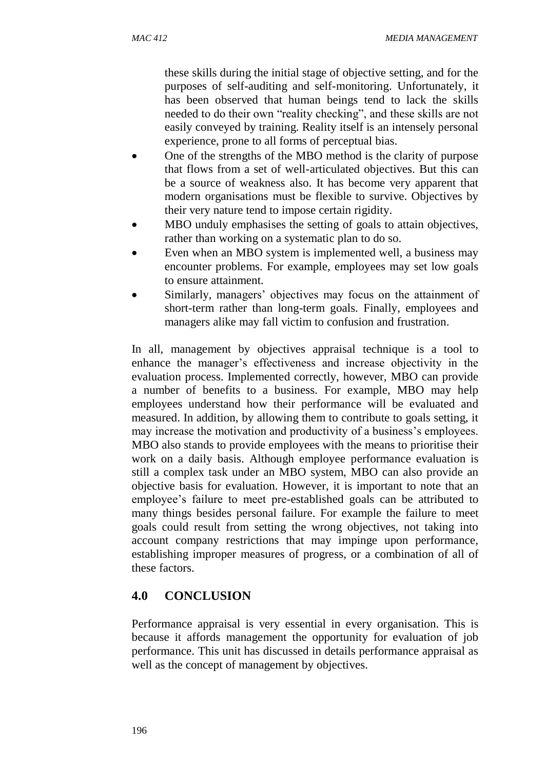these skills during the initial stage of objective setting, and for the purposes of self-auditing and self-monitoring. Unfortunately, it has been observed that human beings tend to lack the skills needed to do their own "reality checking", and these skills are not easily conveyed by training. Reality itself is an intensely personal experience, prone to all forms of perceptual bias.

- One of the strengths of the MBO method is the clarity of purpose that flows from a set of well-articulated objectives. But this can be a source of weakness also. It has become very apparent that modern organisations must be flexible to survive. Objectives by their very nature tend to impose certain rigidity.
- MBO unduly emphasises the setting of goals to attain objectives, rather than working on a systematic plan to do so.
- Even when an MBO system is implemented well, a business may encounter problems. For example, employees may set low goals to ensure attainment.
- Similarly, managers' objectives may focus on the attainment of short-term rather than long-term goals. Finally, employees and managers alike may fall victim to confusion and frustration.

In all, management by objectives appraisal technique is a tool to enhance the manager's effectiveness and increase objectivity in the evaluation process. Implemented correctly, however, MBO can provide a number of benefits to a business. For example, MBO may help employees understand how their performance will be evaluated and measured. In addition, by allowing them to contribute to goals setting, it may increase the motivation and productivity of a business's employees. MBO also stands to provide employees with the means to prioritise their work on a daily basis. Although employee performance evaluation is still a complex task under an MBO system, MBO can also provide an objective basis for evaluation. However, it is important to note that an employee's failure to meet pre-established goals can be attributed to many things besides personal failure. For example the failure to meet goals could result from setting the wrong objectives, not taking into account company restrictions that may impinge upon performance, establishing improper measures of progress, or a combination of all of these factors.

# **4.0 CONCLUSION**

Performance appraisal is very essential in every organisation. This is because it affords management the opportunity for evaluation of job performance. This unit has discussed in details performance appraisal as well as the concept of management by objectives.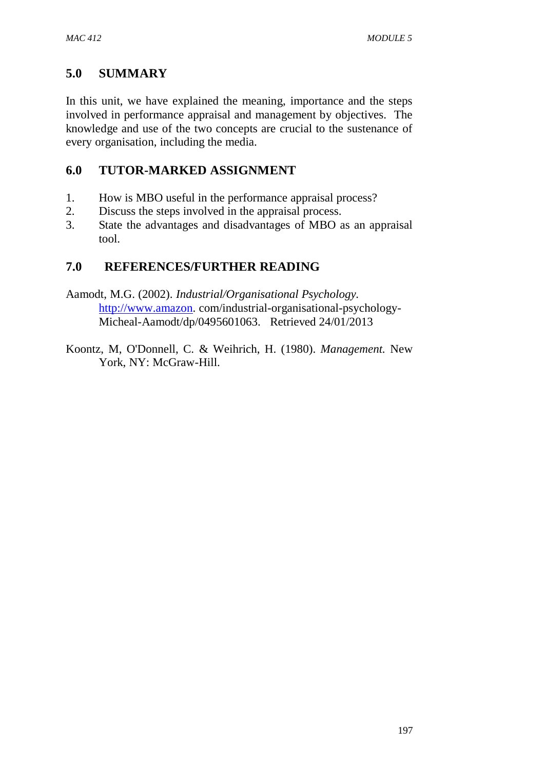## **5.0 SUMMARY**

In this unit, we have explained the meaning, importance and the steps involved in performance appraisal and management by objectives. The knowledge and use of the two concepts are crucial to the sustenance of every organisation, including the media.

## **6.0 TUTOR-MARKED ASSIGNMENT**

- 1. How is MBO useful in the performance appraisal process?
- 2. Discuss the steps involved in the appraisal process.
- 3. State the advantages and disadvantages of MBO as an appraisal tool.

# **7.0 REFERENCES/FURTHER READING**

- Aamodt, M.G. (2002). *Industrial/Organisational Psychology.* [http://www.amazon.](http://www.amazon/) com/industrial-organisational-psychology-Micheal-Aamodt/dp/0495601063. Retrieved 24/01/2013
- Koontz, M, O'Donnell, C. & Weihrich, H. (1980). *Management.* New York, NY: McGraw-Hill.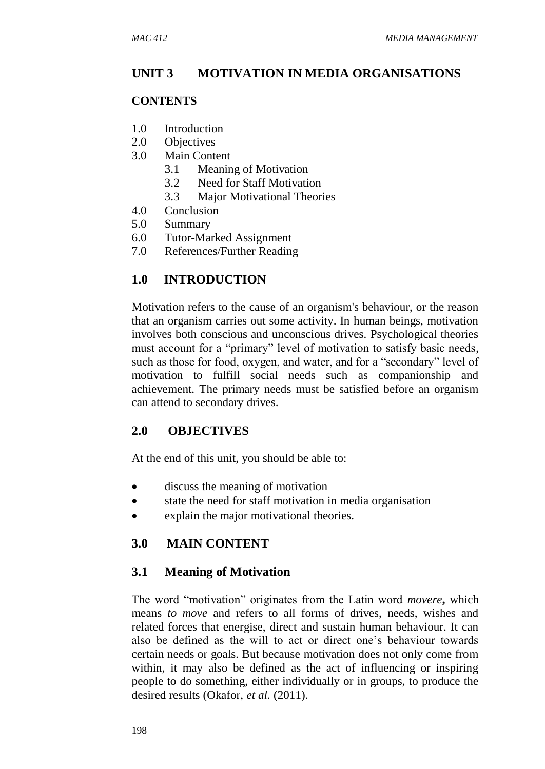### **UNIT 3 MOTIVATION IN MEDIA ORGANISATIONS**

#### **CONTENTS**

- 1.0 Introduction
- 2.0 Objectives
- 3.0 Main Content
	- 3.1 Meaning of Motivation
	- 3.2 Need for Staff Motivation
	- 3.3 Major Motivational Theories
- 4.0 Conclusion
- 5.0 Summary
- 6.0 Tutor-Marked Assignment
- 7.0 References/Further Reading

### **1.0 INTRODUCTION**

Motivation refers to the cause of an organism's behaviour, or the reason that an organism carries out some activity. In human beings, motivation involves both conscious and unconscious drives. Psychological theories must account for a "primary" level of motivation to satisfy basic needs, such as those for food, oxygen, and water, and for a "secondary" level of motivation to fulfill social needs such as companionship and achievement. The primary needs must be satisfied before an organism can attend to secondary drives.

### **2.0 OBJECTIVES**

At the end of this unit, you should be able to:

- discuss the meaning of motivation
- state the need for staff motivation in media organisation
- explain the major motivational theories.

### **3.0 MAIN CONTENT**

### **3.1 Meaning of Motivation**

The word "motivation" originates from the Latin word *movere***,** which means *to move* and refers to all forms of drives, needs, wishes and related forces that energise, direct and sustain human behaviour. It can also be defined as the will to act or direct one's behaviour towards certain needs or goals. But because motivation does not only come from within, it may also be defined as the act of influencing or inspiring people to do something, either individually or in groups, to produce the desired results (Okafor, *et al.* (2011).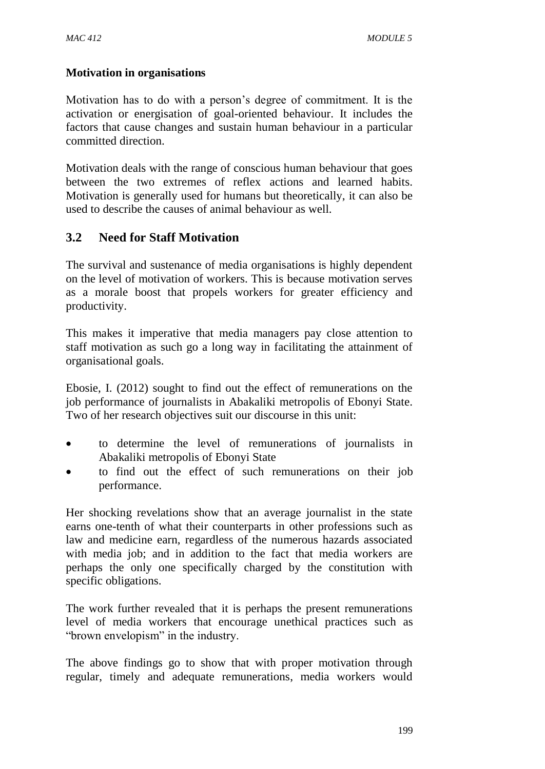### **Motivation in organisations**

Motivation has to do with a person's degree of commitment. It is the activation or energisation of goal-oriented behaviour. It includes the factors that cause changes and sustain human behaviour in a particular committed direction.

Motivation deals with the range of conscious human behaviour that goes between the two extremes of reflex actions and learned habits. Motivation is generally used for humans but theoretically, it can also be used to describe the causes of animal behaviour as well.

### **3.2 Need for Staff Motivation**

The survival and sustenance of media organisations is highly dependent on the level of motivation of workers. This is because motivation serves as a morale boost that propels workers for greater efficiency and productivity.

This makes it imperative that media managers pay close attention to staff motivation as such go a long way in facilitating the attainment of organisational goals.

Ebosie, I. (2012) sought to find out the effect of remunerations on the job performance of journalists in Abakaliki metropolis of Ebonyi State. Two of her research objectives suit our discourse in this unit:

- to determine the level of remunerations of journalists in Abakaliki metropolis of Ebonyi State
- to find out the effect of such remunerations on their job performance.

Her shocking revelations show that an average journalist in the state earns one-tenth of what their counterparts in other professions such as law and medicine earn, regardless of the numerous hazards associated with media job; and in addition to the fact that media workers are perhaps the only one specifically charged by the constitution with specific obligations.

The work further revealed that it is perhaps the present remunerations level of media workers that encourage unethical practices such as "brown envelopism" in the industry.

The above findings go to show that with proper motivation through regular, timely and adequate remunerations, media workers would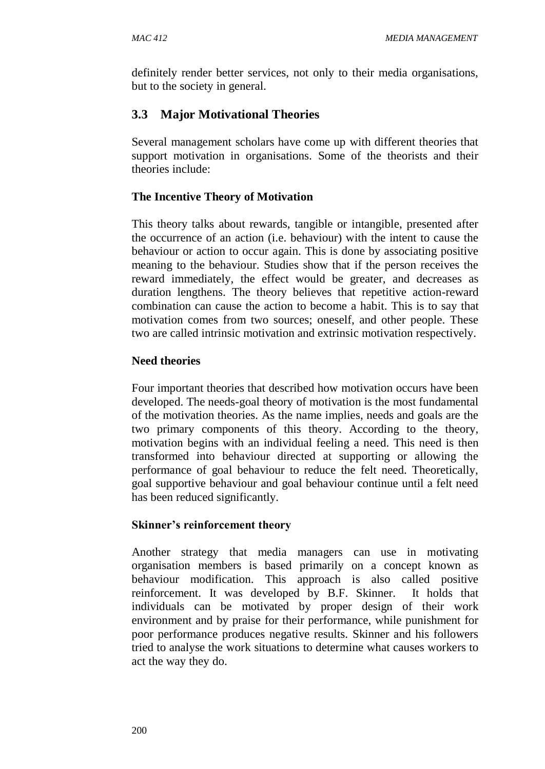definitely render better services, not only to their media organisations, but to the society in general.

# **3.3 Major Motivational Theories**

Several management scholars have come up with different theories that support motivation in organisations. Some of the theorists and their theories include:

## **The Incentive Theory of Motivation**

This theory talks about rewards, tangible or intangible, presented after the occurrence of an action (i.e. behaviour) with the intent to cause the behaviour or action to occur again. This is done by associating positive meaning to the behaviour. Studies show that if the person receives the reward immediately, the effect would be greater, and decreases as duration lengthens. The theory believes that repetitive action-reward combination can cause the action to become a habit. This is to say that motivation comes from two sources; oneself, and other people. These two are called intrinsic motivation and extrinsic motivation respectively.

## **Need theories**

Four important theories that described how motivation occurs have been developed. The needs-goal theory of motivation is the most fundamental of the motivation theories. As the name implies, needs and goals are the two primary components of this theory. According to the theory, motivation begins with an individual feeling a need. This need is then transformed into behaviour directed at supporting or allowing the performance of goal behaviour to reduce the felt need. Theoretically, goal supportive behaviour and goal behaviour continue until a felt need has been reduced significantly.

### **Skinner's reinforcement theory**

Another strategy that media managers can use in motivating organisation members is based primarily on a concept known as behaviour modification. This approach is also called positive reinforcement. It was developed by B.F. Skinner. It holds that individuals can be motivated by proper design of their work environment and by praise for their performance, while punishment for poor performance produces negative results. Skinner and his followers tried to analyse the work situations to determine what causes workers to act the way they do.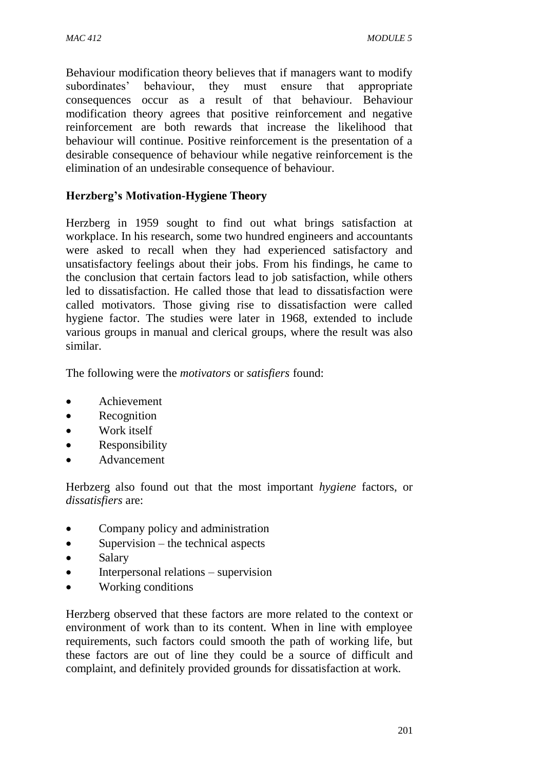Behaviour modification theory believes that if managers want to modify subordinates' behaviour, they must ensure that appropriate consequences occur as a result of that behaviour. Behaviour modification theory agrees that positive reinforcement and negative reinforcement are both rewards that increase the likelihood that behaviour will continue. Positive reinforcement is the presentation of a desirable consequence of behaviour while negative reinforcement is the elimination of an undesirable consequence of behaviour.

### **Herzberg's Motivation-Hygiene Theory**

Herzberg in 1959 sought to find out what brings satisfaction at workplace. In his research, some two hundred engineers and accountants were asked to recall when they had experienced satisfactory and unsatisfactory feelings about their jobs. From his findings, he came to the conclusion that certain factors lead to job satisfaction, while others led to dissatisfaction. He called those that lead to dissatisfaction were called motivators. Those giving rise to dissatisfaction were called hygiene factor. The studies were later in 1968, extended to include various groups in manual and clerical groups, where the result was also similar.

The following were the *motivators* or *satisfiers* found:

- Achievement
- Recognition
- Work itself
- Responsibility
- Advancement

Herbzerg also found out that the most important *hygiene* factors, or *dissatisfiers* are:

- Company policy and administration
- $\bullet$  Supervision the technical aspects
- Salary
- Interpersonal relations supervision
- Working conditions

Herzberg observed that these factors are more related to the context or environment of work than to its content. When in line with employee requirements, such factors could smooth the path of working life, but these factors are out of line they could be a source of difficult and complaint, and definitely provided grounds for dissatisfaction at work.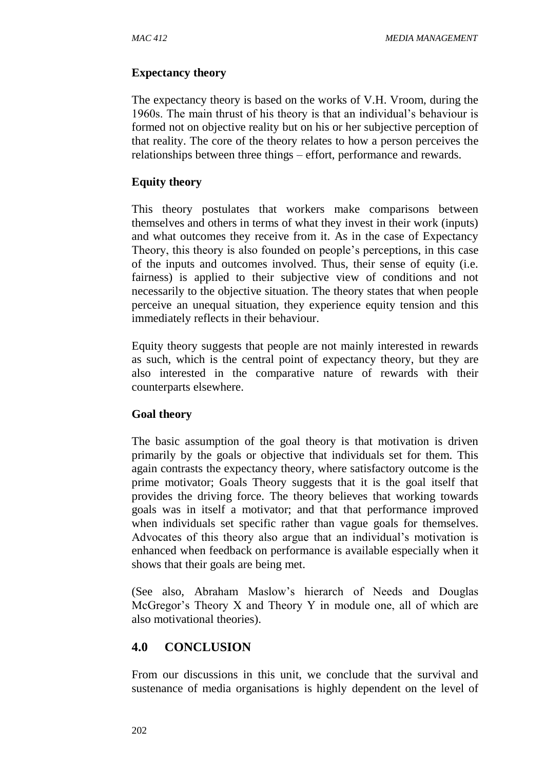#### **Expectancy theory**

The expectancy theory is based on the works of V.H. Vroom, during the 1960s. The main thrust of his theory is that an individual's behaviour is formed not on objective reality but on his or her subjective perception of that reality. The core of the theory relates to how a person perceives the relationships between three things – effort, performance and rewards.

#### **Equity theory**

This theory postulates that workers make comparisons between themselves and others in terms of what they invest in their work (inputs) and what outcomes they receive from it. As in the case of Expectancy Theory, this theory is also founded on people's perceptions, in this case of the inputs and outcomes involved. Thus, their sense of equity (i.e. fairness) is applied to their subjective view of conditions and not necessarily to the objective situation. The theory states that when people perceive an unequal situation, they experience equity tension and this immediately reflects in their behaviour.

Equity theory suggests that people are not mainly interested in rewards as such, which is the central point of expectancy theory, but they are also interested in the comparative nature of rewards with their counterparts elsewhere.

### **Goal theory**

The basic assumption of the goal theory is that motivation is driven primarily by the goals or objective that individuals set for them. This again contrasts the expectancy theory, where satisfactory outcome is the prime motivator; Goals Theory suggests that it is the goal itself that provides the driving force. The theory believes that working towards goals was in itself a motivator; and that that performance improved when individuals set specific rather than vague goals for themselves. Advocates of this theory also argue that an individual's motivation is enhanced when feedback on performance is available especially when it shows that their goals are being met.

(See also, Abraham Maslow's hierarch of Needs and Douglas McGregor's Theory X and Theory Y in module one, all of which are also motivational theories).

### **4.0 CONCLUSION**

From our discussions in this unit, we conclude that the survival and sustenance of media organisations is highly dependent on the level of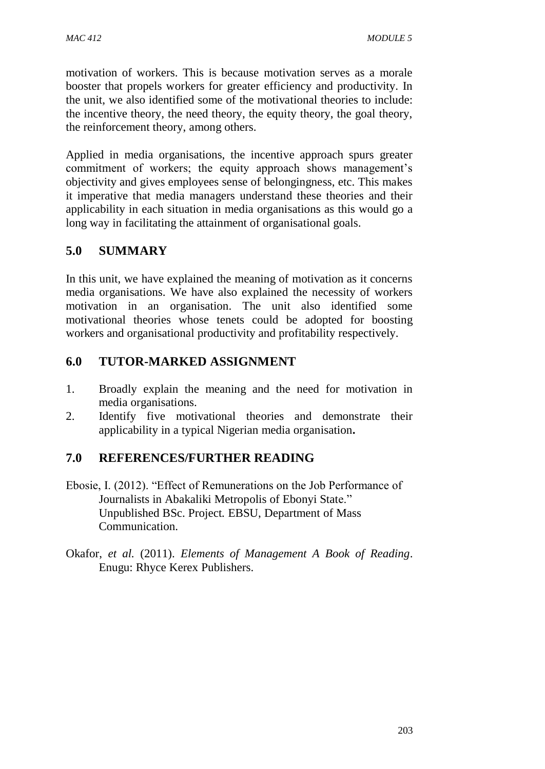motivation of workers. This is because motivation serves as a morale booster that propels workers for greater efficiency and productivity. In the unit, we also identified some of the motivational theories to include: the incentive theory, the need theory, the equity theory, the goal theory, the reinforcement theory, among others.

Applied in media organisations, the incentive approach spurs greater commitment of workers; the equity approach shows management's objectivity and gives employees sense of belongingness, etc. This makes it imperative that media managers understand these theories and their applicability in each situation in media organisations as this would go a long way in facilitating the attainment of organisational goals.

# **5.0 SUMMARY**

In this unit, we have explained the meaning of motivation as it concerns media organisations. We have also explained the necessity of workers motivation in an organisation. The unit also identified some motivational theories whose tenets could be adopted for boosting workers and organisational productivity and profitability respectively.

### **6.0 TUTOR-MARKED ASSIGNMENT**

- 1. Broadly explain the meaning and the need for motivation in media organisations.
- 2. Identify five motivational theories and demonstrate their applicability in a typical Nigerian media organisation**.**

### **7.0 REFERENCES/FURTHER READING**

- Ebosie, I. (2012). "Effect of Remunerations on the Job Performance of Journalists in Abakaliki Metropolis of Ebonyi State." Unpublished BSc. Project*.* EBSU, Department of Mass Communication.
- Okafor, *et al.* (2011). *Elements of Management A Book of Reading*. Enugu: Rhyce Kerex Publishers.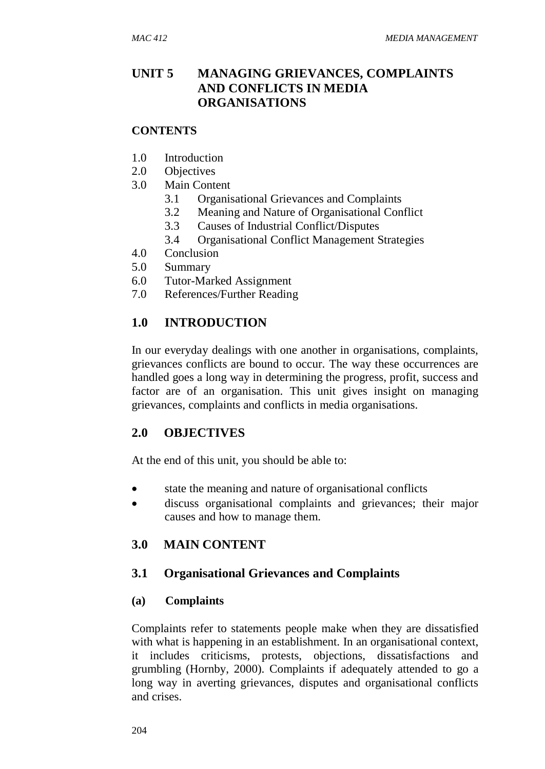## **UNIT 5 MANAGING GRIEVANCES, COMPLAINTS AND CONFLICTS IN MEDIA ORGANISATIONS**

#### **CONTENTS**

- 1.0 Introduction
- 2.0 Objectives
- 3.0 Main Content
	- 3.1 Organisational Grievances and Complaints
	- 3.2 Meaning and Nature of Organisational Conflict
	- 3.3 Causes of Industrial Conflict/Disputes
	- 3.4 Organisational Conflict Management Strategies
- 4.0 Conclusion
- 5.0 Summary
- 6.0 Tutor-Marked Assignment
- 7.0 References/Further Reading

## **1.0 INTRODUCTION**

In our everyday dealings with one another in organisations, complaints, grievances conflicts are bound to occur. The way these occurrences are handled goes a long way in determining the progress, profit, success and factor are of an organisation. This unit gives insight on managing grievances, complaints and conflicts in media organisations.

# **2.0 OBJECTIVES**

At the end of this unit, you should be able to:

- state the meaning and nature of organisational conflicts
- discuss organisational complaints and grievances; their major causes and how to manage them.

# **3.0 MAIN CONTENT**

### **3.1 Organisational Grievances and Complaints**

### **(a) Complaints**

Complaints refer to statements people make when they are dissatisfied with what is happening in an establishment. In an organisational context, it includes criticisms, protests, objections, dissatisfactions and grumbling (Hornby, 2000). Complaints if adequately attended to go a long way in averting grievances, disputes and organisational conflicts and crises.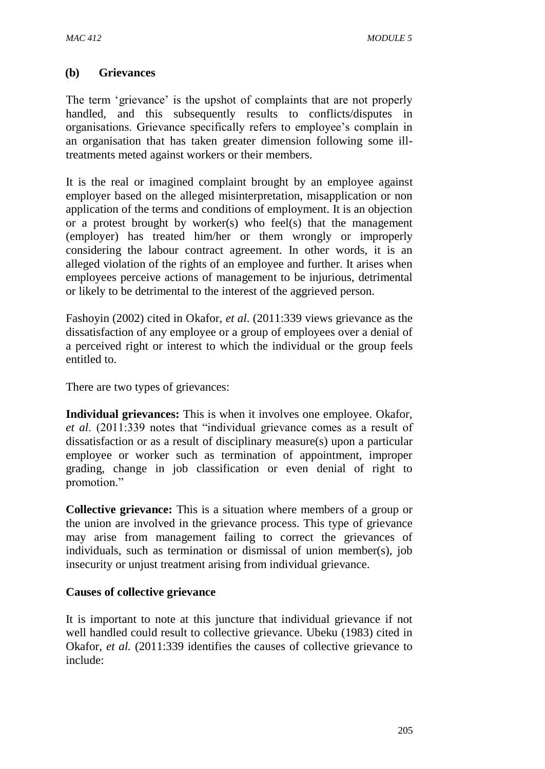### **(b) Grievances**

The term 'grievance' is the upshot of complaints that are not properly handled, and this subsequently results to conflicts/disputes in organisations. Grievance specifically refers to employee's complain in an organisation that has taken greater dimension following some illtreatments meted against workers or their members.

It is the real or imagined complaint brought by an employee against employer based on the alleged misinterpretation, misapplication or non application of the terms and conditions of employment. It is an objection or a protest brought by worker(s) who feel(s) that the management (employer) has treated him/her or them wrongly or improperly considering the labour contract agreement. In other words, it is an alleged violation of the rights of an employee and further. It arises when employees perceive actions of management to be injurious, detrimental or likely to be detrimental to the interest of the aggrieved person.

Fashoyin (2002) cited in Okafor, *et al*. (2011:339 views grievance as the dissatisfaction of any employee or a group of employees over a denial of a perceived right or interest to which the individual or the group feels entitled to.

There are two types of grievances:

**Individual grievances:** This is when it involves one employee. Okafor, *et al*. (2011:339 notes that "individual grievance comes as a result of dissatisfaction or as a result of disciplinary measure(s) upon a particular employee or worker such as termination of appointment, improper grading, change in job classification or even denial of right to promotion."

**Collective grievance:** This is a situation where members of a group or the union are involved in the grievance process. This type of grievance may arise from management failing to correct the grievances of individuals, such as termination or dismissal of union member(s), job insecurity or unjust treatment arising from individual grievance.

### **Causes of collective grievance**

It is important to note at this juncture that individual grievance if not well handled could result to collective grievance. Ubeku (1983) cited in Okafor, *et al.* (2011:339 identifies the causes of collective grievance to include: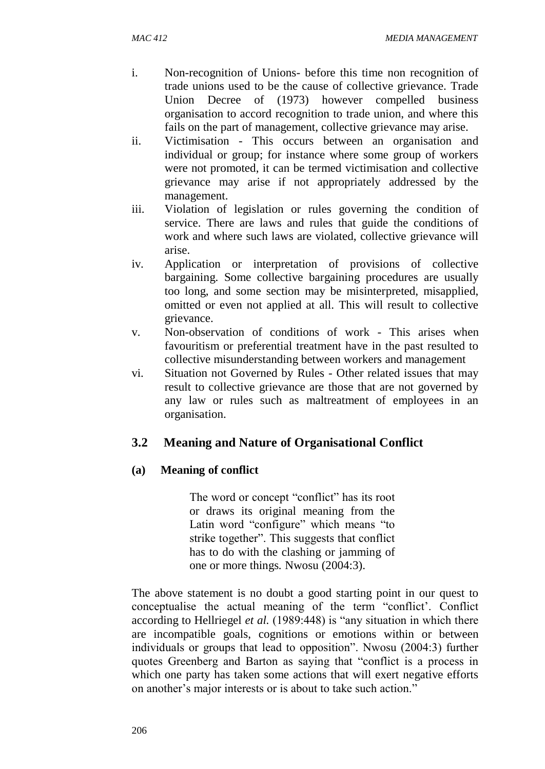- i. Non-recognition of Unions- before this time non recognition of trade unions used to be the cause of collective grievance. Trade Union Decree of (1973) however compelled business organisation to accord recognition to trade union, and where this fails on the part of management, collective grievance may arise.
- ii. Victimisation This occurs between an organisation and individual or group; for instance where some group of workers were not promoted, it can be termed victimisation and collective grievance may arise if not appropriately addressed by the management.
- iii. Violation of legislation or rules governing the condition of service. There are laws and rules that guide the conditions of work and where such laws are violated, collective grievance will arise.
- iv. Application or interpretation of provisions of collective bargaining. Some collective bargaining procedures are usually too long, and some section may be misinterpreted, misapplied, omitted or even not applied at all. This will result to collective grievance.
- v. Non-observation of conditions of work This arises when favouritism or preferential treatment have in the past resulted to collective misunderstanding between workers and management
- vi. Situation not Governed by Rules Other related issues that may result to collective grievance are those that are not governed by any law or rules such as maltreatment of employees in an organisation.

# **3.2 Meaning and Nature of Organisational Conflict**

### **(a) Meaning of conflict**

The word or concept "conflict" has its root or draws its original meaning from the Latin word "configure" which means "to strike together". This suggests that conflict has to do with the clashing or jamming of one or more things*.* Nwosu (2004:3).

The above statement is no doubt a good starting point in our quest to conceptualise the actual meaning of the term "conflict'. Conflict according to Hellriegel *et al.* (1989:448) is "any situation in which there are incompatible goals, cognitions or emotions within or between individuals or groups that lead to opposition". Nwosu (2004:3) further quotes Greenberg and Barton as saying that "conflict is a process in which one party has taken some actions that will exert negative efforts on another's major interests or is about to take such action."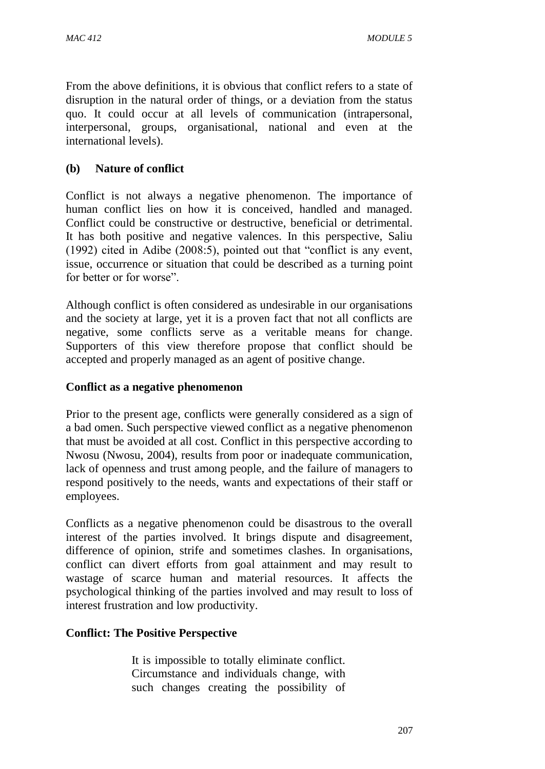From the above definitions, it is obvious that conflict refers to a state of disruption in the natural order of things, or a deviation from the status quo. It could occur at all levels of communication (intrapersonal, interpersonal, groups, organisational, national and even at the international levels).

### **(b) Nature of conflict**

Conflict is not always a negative phenomenon. The importance of human conflict lies on how it is conceived, handled and managed. Conflict could be constructive or destructive, beneficial or detrimental. It has both positive and negative valences. In this perspective, Saliu (1992) cited in Adibe (2008:5), pointed out that "conflict is any event, issue, occurrence or situation that could be described as a turning point for better or for worse".

Although conflict is often considered as undesirable in our organisations and the society at large, yet it is a proven fact that not all conflicts are negative, some conflicts serve as a veritable means for change. Supporters of this view therefore propose that conflict should be accepted and properly managed as an agent of positive change.

### **Conflict as a negative phenomenon**

Prior to the present age, conflicts were generally considered as a sign of a bad omen. Such perspective viewed conflict as a negative phenomenon that must be avoided at all cost. Conflict in this perspective according to Nwosu (Nwosu, 2004), results from poor or inadequate communication, lack of openness and trust among people, and the failure of managers to respond positively to the needs, wants and expectations of their staff or employees.

Conflicts as a negative phenomenon could be disastrous to the overall interest of the parties involved. It brings dispute and disagreement, difference of opinion, strife and sometimes clashes. In organisations, conflict can divert efforts from goal attainment and may result to wastage of scarce human and material resources. It affects the psychological thinking of the parties involved and may result to loss of interest frustration and low productivity.

### **Conflict: The Positive Perspective**

It is impossible to totally eliminate conflict. Circumstance and individuals change, with such changes creating the possibility of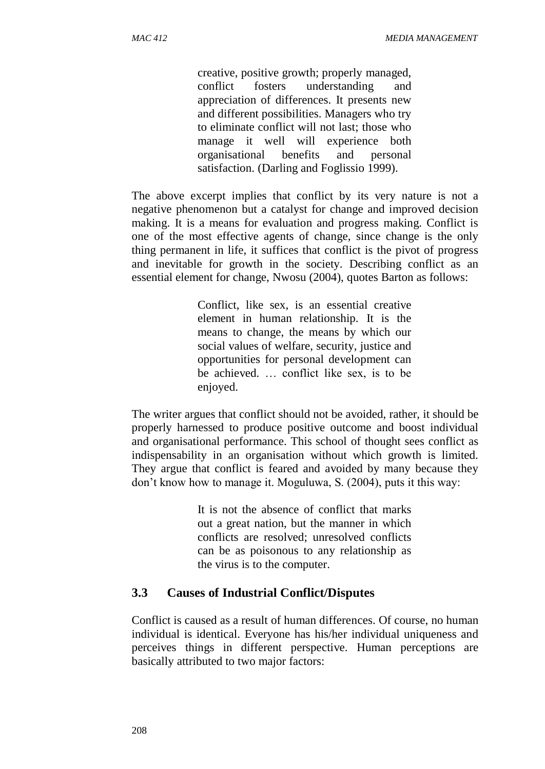creative, positive growth; properly managed, conflict fosters understanding and appreciation of differences. It presents new and different possibilities. Managers who try to eliminate conflict will not last; those who manage it well will experience both organisational benefits and personal satisfaction. (Darling and Foglissio 1999).

The above excerpt implies that conflict by its very nature is not a negative phenomenon but a catalyst for change and improved decision making. It is a means for evaluation and progress making. Conflict is one of the most effective agents of change, since change is the only thing permanent in life, it suffices that conflict is the pivot of progress and inevitable for growth in the society. Describing conflict as an essential element for change, Nwosu (2004), quotes Barton as follows:

> Conflict, like sex, is an essential creative element in human relationship. It is the means to change, the means by which our social values of welfare, security, justice and opportunities for personal development can be achieved. … conflict like sex, is to be enjoyed.

The writer argues that conflict should not be avoided, rather, it should be properly harnessed to produce positive outcome and boost individual and organisational performance. This school of thought sees conflict as indispensability in an organisation without which growth is limited. They argue that conflict is feared and avoided by many because they don't know how to manage it. Moguluwa, S. (2004), puts it this way:

> It is not the absence of conflict that marks out a great nation, but the manner in which conflicts are resolved; unresolved conflicts can be as poisonous to any relationship as the virus is to the computer.

### **3.3****Causes of Industrial Conflict/Disputes**

Conflict is caused as a result of human differences. Of course, no human individual is identical. Everyone has his/her individual uniqueness and perceives things in different perspective. Human perceptions are basically attributed to two major factors: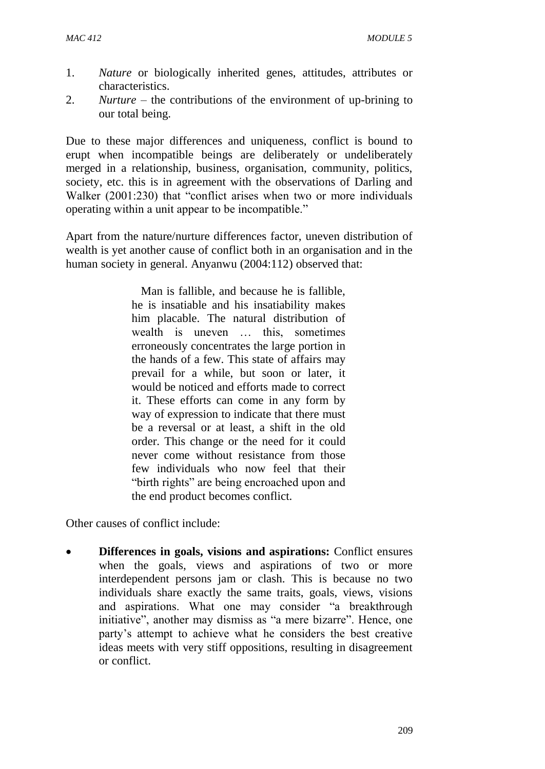- 1. *Nature* or biologically inherited genes, attitudes, attributes or characteristics.
- 2. *Nurture* the contributions of the environment of up-brining to our total being.

Due to these major differences and uniqueness, conflict is bound to erupt when incompatible beings are deliberately or undeliberately merged in a relationship, business, organisation, community, politics, society, etc. this is in agreement with the observations of Darling and Walker (2001:230) that "conflict arises when two or more individuals operating within a unit appear to be incompatible."

Apart from the nature/nurture differences factor, uneven distribution of wealth is yet another cause of conflict both in an organisation and in the human society in general. Anyanwu (2004:112) observed that:

> Man is fallible, and because he is fallible, he is insatiable and his insatiability makes him placable. The natural distribution of wealth is uneven … this, sometimes erroneously concentrates the large portion in the hands of a few. This state of affairs may prevail for a while, but soon or later, it would be noticed and efforts made to correct it. These efforts can come in any form by way of expression to indicate that there must be a reversal or at least, a shift in the old order. This change or the need for it could never come without resistance from those few individuals who now feel that their "birth rights" are being encroached upon and the end product becomes conflict.

Other causes of conflict include:

 **Differences in goals, visions and aspirations:** Conflict ensures when the goals, views and aspirations of two or more interdependent persons jam or clash. This is because no two individuals share exactly the same traits, goals, views, visions and aspirations. What one may consider "a breakthrough initiative", another may dismiss as "a mere bizarre". Hence, one party's attempt to achieve what he considers the best creative ideas meets with very stiff oppositions, resulting in disagreement or conflict.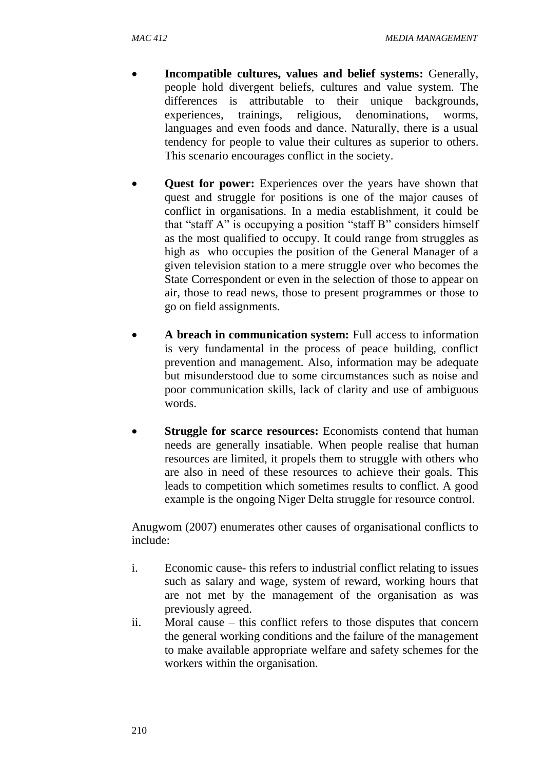- **Incompatible cultures, values and belief systems:** Generally, people hold divergent beliefs, cultures and value system. The differences is attributable to their unique backgrounds, experiences, trainings, religious, denominations, worms, languages and even foods and dance. Naturally, there is a usual tendency for people to value their cultures as superior to others. This scenario encourages conflict in the society.
- **Quest for power:** Experiences over the years have shown that quest and struggle for positions is one of the major causes of conflict in organisations. In a media establishment, it could be that "staff A" is occupying a position "staff B" considers himself as the most qualified to occupy. It could range from struggles as high as who occupies the position of the General Manager of a given television station to a mere struggle over who becomes the State Correspondent or even in the selection of those to appear on air, those to read news, those to present programmes or those to go on field assignments.
- **A breach in communication system:** Full access to information is very fundamental in the process of peace building, conflict prevention and management. Also, information may be adequate but misunderstood due to some circumstances such as noise and poor communication skills, lack of clarity and use of ambiguous words.
- **Struggle for scarce resources:** Economists contend that human needs are generally insatiable. When people realise that human resources are limited, it propels them to struggle with others who are also in need of these resources to achieve their goals. This leads to competition which sometimes results to conflict. A good example is the ongoing Niger Delta struggle for resource control.

Anugwom (2007) enumerates other causes of organisational conflicts to include:

- i. Economic cause- this refers to industrial conflict relating to issues such as salary and wage, system of reward, working hours that are not met by the management of the organisation as was previously agreed.
- ii. Moral cause this conflict refers to those disputes that concern the general working conditions and the failure of the management to make available appropriate welfare and safety schemes for the workers within the organisation.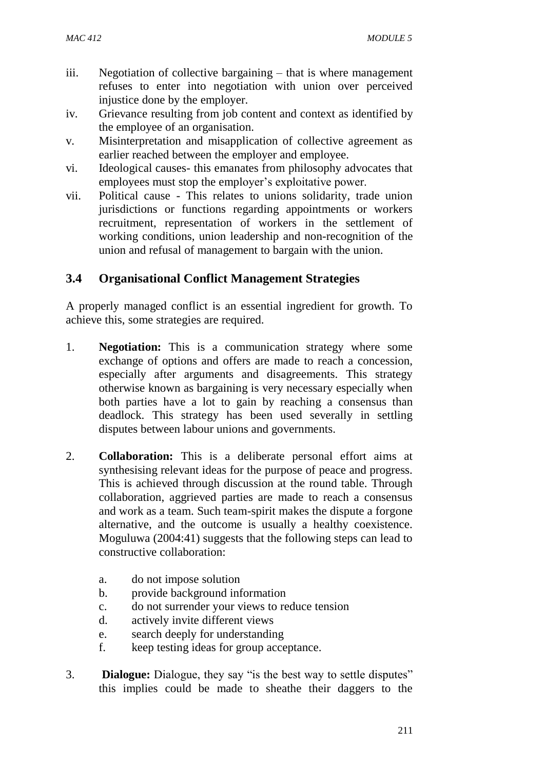- iii. Negotiation of collective bargaining that is where management refuses to enter into negotiation with union over perceived injustice done by the employer.
- iv. Grievance resulting from job content and context as identified by the employee of an organisation.
- v. Misinterpretation and misapplication of collective agreement as earlier reached between the employer and employee.
- vi. Ideological causes- this emanates from philosophy advocates that employees must stop the employer's exploitative power.
- vii. Political cause This relates to unions solidarity, trade union jurisdictions or functions regarding appointments or workers recruitment, representation of workers in the settlement of working conditions, union leadership and non-recognition of the union and refusal of management to bargain with the union.

# **3.4 Organisational Conflict Management Strategies**

A properly managed conflict is an essential ingredient for growth. To achieve this, some strategies are required.

- 1. **Negotiation:** This is a communication strategy where some exchange of options and offers are made to reach a concession, especially after arguments and disagreements. This strategy otherwise known as bargaining is very necessary especially when both parties have a lot to gain by reaching a consensus than deadlock. This strategy has been used severally in settling disputes between labour unions and governments.
- 2. **Collaboration:** This is a deliberate personal effort aims at synthesising relevant ideas for the purpose of peace and progress. This is achieved through discussion at the round table. Through collaboration, aggrieved parties are made to reach a consensus and work as a team. Such team-spirit makes the dispute a forgone alternative, and the outcome is usually a healthy coexistence. Moguluwa (2004:41) suggests that the following steps can lead to constructive collaboration:
	- a. do not impose solution
	- b. provide background information
	- c. do not surrender your views to reduce tension
	- d. actively invite different views
	- e. search deeply for understanding
	- f. keep testing ideas for group acceptance.
- 3. **Dialogue:** Dialogue, they say "is the best way to settle disputes" this implies could be made to sheathe their daggers to the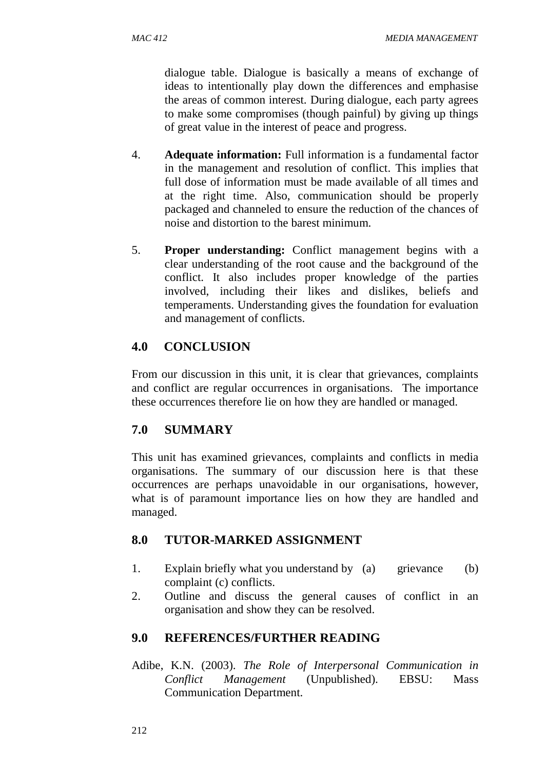dialogue table. Dialogue is basically a means of exchange of ideas to intentionally play down the differences and emphasise the areas of common interest. During dialogue, each party agrees to make some compromises (though painful) by giving up things of great value in the interest of peace and progress.

- 4. **Adequate information:** Full information is a fundamental factor in the management and resolution of conflict. This implies that full dose of information must be made available of all times and at the right time. Also, communication should be properly packaged and channeled to ensure the reduction of the chances of noise and distortion to the barest minimum.
- 5. **Proper understanding:** Conflict management begins with a clear understanding of the root cause and the background of the conflict. It also includes proper knowledge of the parties involved, including their likes and dislikes, beliefs and temperaments. Understanding gives the foundation for evaluation and management of conflicts.

# **4.0 CONCLUSION**

From our discussion in this unit, it is clear that grievances, complaints and conflict are regular occurrences in organisations. The importance these occurrences therefore lie on how they are handled or managed.

# **7.0 SUMMARY**

This unit has examined grievances, complaints and conflicts in media organisations. The summary of our discussion here is that these occurrences are perhaps unavoidable in our organisations, however, what is of paramount importance lies on how they are handled and managed.

# **8.0 TUTOR-MARKED ASSIGNMENT**

- 1. Explain briefly what you understand by (a) grievance (b) complaint (c) conflicts.
- 2. Outline and discuss the general causes of conflict in an organisation and show they can be resolved.

# **9.0 REFERENCES/FURTHER READING**

Adibe, K.N. (2003). *The Role of Interpersonal Communication in Conflict Management* (Unpublished). EBSU: Mass Communication Department.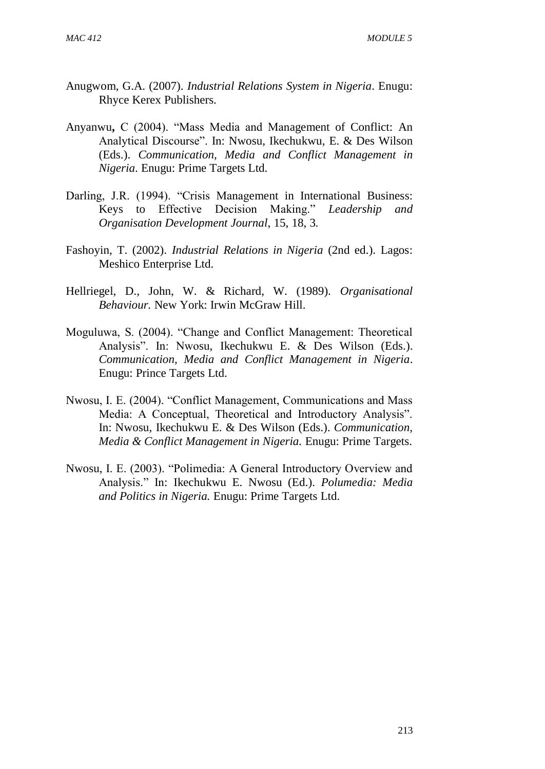- Anugwom, G.A. (2007). *Industrial Relations System in Nigeria*. Enugu: Rhyce Kerex Publishers.
- Anyanwu**,** C (2004). "Mass Media and Management of Conflict: An Analytical Discourse". In: Nwosu, Ikechukwu, E. & Des Wilson (Eds.). *Communication, Media and Conflict Management in Nigeria*. Enugu: Prime Targets Ltd.
- Darling, J.R. (1994). "Crisis Management in International Business: Keys to Effective Decision Making." *Leadership and Organisation Development Journal*, 15, 18, 3.
- Fashoyin, T. (2002). *Industrial Relations in Nigeria* (2nd ed.). Lagos: Meshico Enterprise Ltd.
- Hellriegel, D., John, W. & Richard, W. (1989). *Organisational Behaviour.* New York: Irwin McGraw Hill.
- Moguluwa, S. (2004). "Change and Conflict Management: Theoretical Analysis". In: Nwosu, Ikechukwu E. & Des Wilson (Eds.). *Communication, Media and Conflict Management in Nigeria*. Enugu: Prince Targets Ltd.
- Nwosu, I. E. (2004). "Conflict Management, Communications and Mass Media: A Conceptual, Theoretical and Introductory Analysis". In: Nwosu, Ikechukwu E. & Des Wilson (Eds.). *Communication, Media & Conflict Management in Nigeria.* Enugu: Prime Targets.
- Nwosu, I. E. (2003). "Polimedia: A General Introductory Overview and Analysis." In: Ikechukwu E. Nwosu (Ed.). *Polumedia: Media and Politics in Nigeria.* Enugu: Prime Targets Ltd.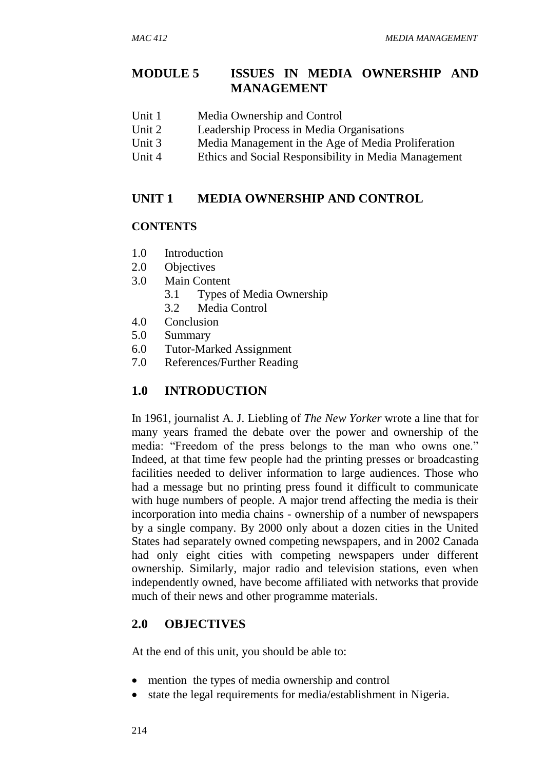# **MODULE 5 ISSUES IN MEDIA OWNERSHIP AND MANAGEMENT**

- Unit 1 Media Ownership and Control
- Unit 2 Leadership Process in Media Organisations
- Unit 3 Media Management in the Age of Media Proliferation
- Unit 4 Ethics and Social Responsibility in Media Management

### **UNIT 1 MEDIA OWNERSHIP AND CONTROL**

### **CONTENTS**

- 1.0 Introduction
- 2.0 Objectives
- 3.0 Main Content
	- 3.1 Types of Media Ownership
	- 3.2 Media Control
- 4.0 Conclusion
- 5.0 Summary
- 6.0 Tutor-Marked Assignment
- 7.0 References/Further Reading

# **1.0 INTRODUCTION**

In 1961, journalist A. J. Liebling of *The New Yorker* wrote a line that for many years framed the debate over the power and ownership of the media: "Freedom of the press belongs to the man who owns one." Indeed, at that time few people had the printing presses or broadcasting facilities needed to deliver information to large audiences. Those who had a message but no printing press found it difficult to communicate with huge numbers of people. A major trend affecting the media is their incorporation into media chains - ownership of a number of newspapers by a single company. By 2000 only about a dozen cities in the United States had separately owned competing newspapers, and in 2002 Canada had only eight cities with competing newspapers under different ownership. Similarly, major radio and television stations, even when independently owned, have become affiliated with networks that provide much of their news and other programme materials.

### **2.0 OBJECTIVES**

At the end of this unit, you should be able to:

- mention the types of media ownership and control
- state the legal requirements for media/establishment in Nigeria.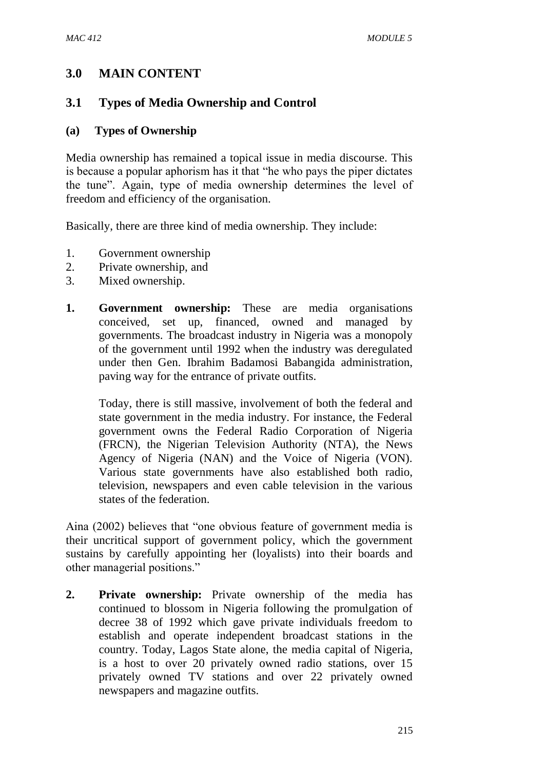# **3.0 MAIN CONTENT**

## **3.1 Types of Media Ownership and Control**

#### **(a) Types of Ownership**

Media ownership has remained a topical issue in media discourse. This is because a popular aphorism has it that "he who pays the piper dictates the tune". Again, type of media ownership determines the level of freedom and efficiency of the organisation.

Basically, there are three kind of media ownership. They include:

- 1. Government ownership
- 2. Private ownership, and
- 3. Mixed ownership.
- **1. Government ownership:** These are media organisations conceived, set up, financed, owned and managed by governments. The broadcast industry in Nigeria was a monopoly of the government until 1992 when the industry was deregulated under then Gen. Ibrahim Badamosi Babangida administration, paving way for the entrance of private outfits.

Today, there is still massive, involvement of both the federal and state government in the media industry. For instance, the Federal government owns the Federal Radio Corporation of Nigeria (FRCN), the Nigerian Television Authority (NTA), the News Agency of Nigeria (NAN) and the Voice of Nigeria (VON). Various state governments have also established both radio, television, newspapers and even cable television in the various states of the federation.

Aina (2002) believes that "one obvious feature of government media is their uncritical support of government policy, which the government sustains by carefully appointing her (loyalists) into their boards and other managerial positions."

**2. Private ownership:** Private ownership of the media has continued to blossom in Nigeria following the promulgation of decree 38 of 1992 which gave private individuals freedom to establish and operate independent broadcast stations in the country. Today, Lagos State alone, the media capital of Nigeria, is a host to over 20 privately owned radio stations, over 15 privately owned TV stations and over 22 privately owned newspapers and magazine outfits.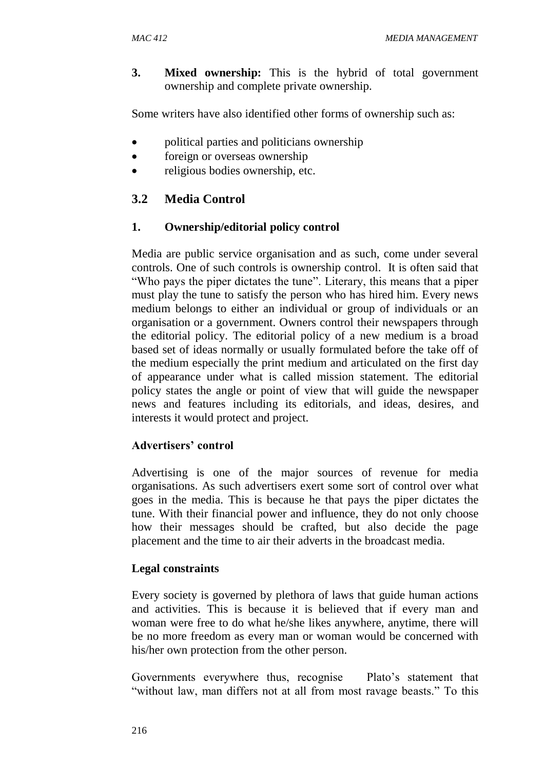**3. Mixed ownership:** This is the hybrid of total government ownership and complete private ownership.

Some writers have also identified other forms of ownership such as:

- political parties and politicians ownership
- foreign or overseas ownership
- religious bodies ownership, etc.

# **3.2 Media Control**

# **1. Ownership/editorial policy control**

Media are public service organisation and as such, come under several controls. One of such controls is ownership control. It is often said that "Who pays the piper dictates the tune". Literary, this means that a piper must play the tune to satisfy the person who has hired him. Every news medium belongs to either an individual or group of individuals or an organisation or a government. Owners control their newspapers through the editorial policy. The editorial policy of a new medium is a broad based set of ideas normally or usually formulated before the take off of the medium especially the print medium and articulated on the first day of appearance under what is called mission statement. The editorial policy states the angle or point of view that will guide the newspaper news and features including its editorials, and ideas, desires, and interests it would protect and project.

# **Advertisers' control**

Advertising is one of the major sources of revenue for media organisations. As such advertisers exert some sort of control over what goes in the media. This is because he that pays the piper dictates the tune. With their financial power and influence, they do not only choose how their messages should be crafted, but also decide the page placement and the time to air their adverts in the broadcast media.

# **Legal constraints**

Every society is governed by plethora of laws that guide human actions and activities. This is because it is believed that if every man and woman were free to do what he/she likes anywhere, anytime, there will be no more freedom as every man or woman would be concerned with his/her own protection from the other person.

Governments everywhere thus, recognise Plato's statement that "without law, man differs not at all from most ravage beasts." To this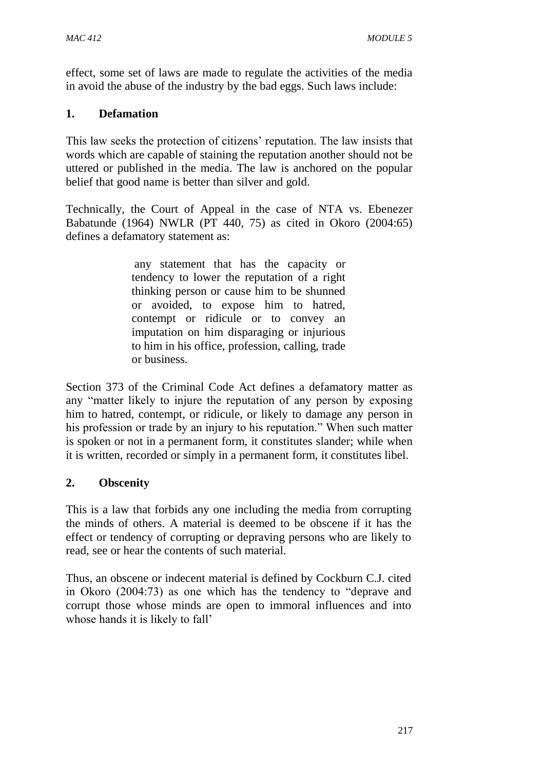effect, some set of laws are made to regulate the activities of the media in avoid the abuse of the industry by the bad eggs. Such laws include:

## **1. Defamation**

This law seeks the protection of citizens' reputation. The law insists that words which are capable of staining the reputation another should not be uttered or published in the media. The law is anchored on the popular belief that good name is better than silver and gold.

Technically, the Court of Appeal in the case of NTA vs. Ebenezer Babatunde (1964) NWLR (PT 440, 75) as cited in Okoro (2004:65) defines a defamatory statement as:

> any statement that has the capacity or tendency to lower the reputation of a right thinking person or cause him to be shunned or avoided, to expose him to hatred, contempt or ridicule or to convey an imputation on him disparaging or injurious to him in his office, profession, calling, trade or business*.*

Section 373 of the Criminal Code Act defines a defamatory matter as any "matter likely to injure the reputation of any person by exposing him to hatred, contempt, or ridicule, or likely to damage any person in his profession or trade by an injury to his reputation." When such matter is spoken or not in a permanent form, it constitutes slander; while when it is written, recorded or simply in a permanent form, it constitutes libel.

# **2. Obscenity**

This is a law that forbids any one including the media from corrupting the minds of others. A material is deemed to be obscene if it has the effect or tendency of corrupting or depraving persons who are likely to read, see or hear the contents of such material.

Thus, an obscene or indecent material is defined by Cockburn C.J. cited in Okoro (2004:73) as one which has the tendency to "deprave and corrupt those whose minds are open to immoral influences and into whose hands it is likely to fall'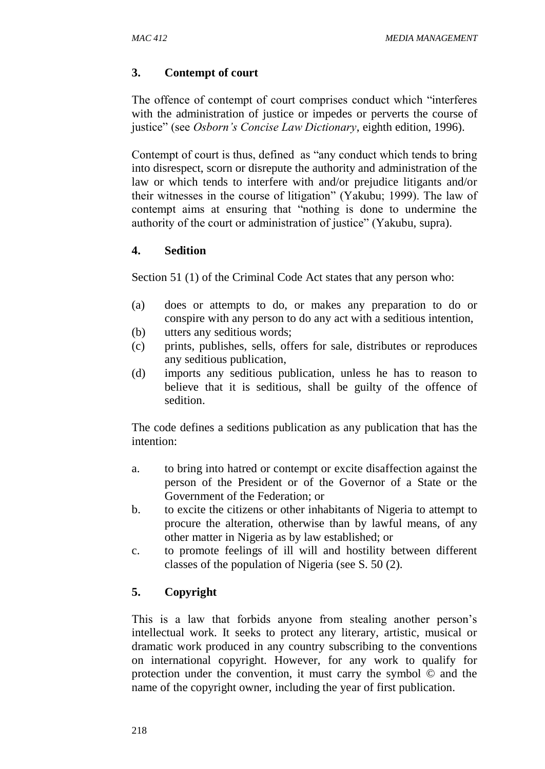# **3. Contempt of court**

The offence of contempt of court comprises conduct which "interferes with the administration of justice or impedes or perverts the course of justice" (see *Osborn's Concise Law Dictionary*, eighth edition, 1996).

Contempt of court is thus, defined as "any conduct which tends to bring into disrespect, scorn or disrepute the authority and administration of the law or which tends to interfere with and/or prejudice litigants and/or their witnesses in the course of litigation" (Yakubu; 1999). The law of contempt aims at ensuring that "nothing is done to undermine the authority of the court or administration of justice" (Yakubu, supra).

## **4. Sedition**

Section 51 (1) of the Criminal Code Act states that any person who:

- (a) does or attempts to do, or makes any preparation to do or conspire with any person to do any act with a seditious intention,
- (b) utters any seditious words;
- (c) prints, publishes, sells, offers for sale, distributes or reproduces any seditious publication,
- (d) imports any seditious publication, unless he has to reason to believe that it is seditious, shall be guilty of the offence of sedition.

The code defines a seditions publication as any publication that has the intention:

- a. to bring into hatred or contempt or excite disaffection against the person of the President or of the Governor of a State or the Government of the Federation; or
- b. to excite the citizens or other inhabitants of Nigeria to attempt to procure the alteration, otherwise than by lawful means, of any other matter in Nigeria as by law established; or
- c. to promote feelings of ill will and hostility between different classes of the population of Nigeria (see S. 50 (2).

# **5. Copyright**

This is a law that forbids anyone from stealing another person's intellectual work. It seeks to protect any literary, artistic, musical or dramatic work produced in any country subscribing to the conventions on international copyright. However, for any work to qualify for protection under the convention, it must carry the symbol © and the name of the copyright owner, including the year of first publication.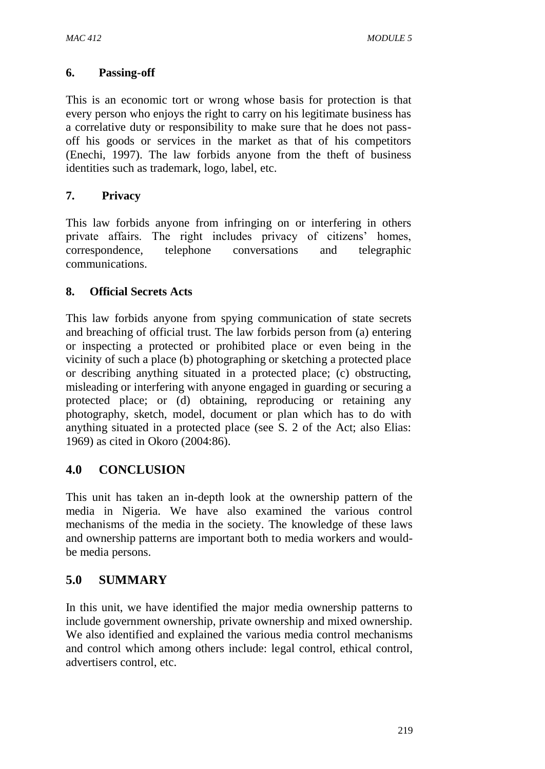### **6. Passing-off**

This is an economic tort or wrong whose basis for protection is that every person who enjoys the right to carry on his legitimate business has a correlative duty or responsibility to make sure that he does not passoff his goods or services in the market as that of his competitors (Enechi, 1997). The law forbids anyone from the theft of business identities such as trademark, logo, label, etc.

# **7. Privacy**

This law forbids anyone from infringing on or interfering in others private affairs. The right includes privacy of citizens' homes, correspondence, telephone conversations and telegraphic communications.

## **8. Official Secrets Acts**

This law forbids anyone from spying communication of state secrets and breaching of official trust. The law forbids person from (a) entering or inspecting a protected or prohibited place or even being in the vicinity of such a place (b) photographing or sketching a protected place or describing anything situated in a protected place; (c) obstructing, misleading or interfering with anyone engaged in guarding or securing a protected place; or (d) obtaining, reproducing or retaining any photography, sketch, model, document or plan which has to do with anything situated in a protected place (see S. 2 of the Act; also Elias: 1969) as cited in Okoro (2004:86).

# **4.0 CONCLUSION**

This unit has taken an in-depth look at the ownership pattern of the media in Nigeria. We have also examined the various control mechanisms of the media in the society. The knowledge of these laws and ownership patterns are important both to media workers and wouldbe media persons.

# **5.0 SUMMARY**

In this unit, we have identified the major media ownership patterns to include government ownership, private ownership and mixed ownership. We also identified and explained the various media control mechanisms and control which among others include: legal control, ethical control, advertisers control, etc.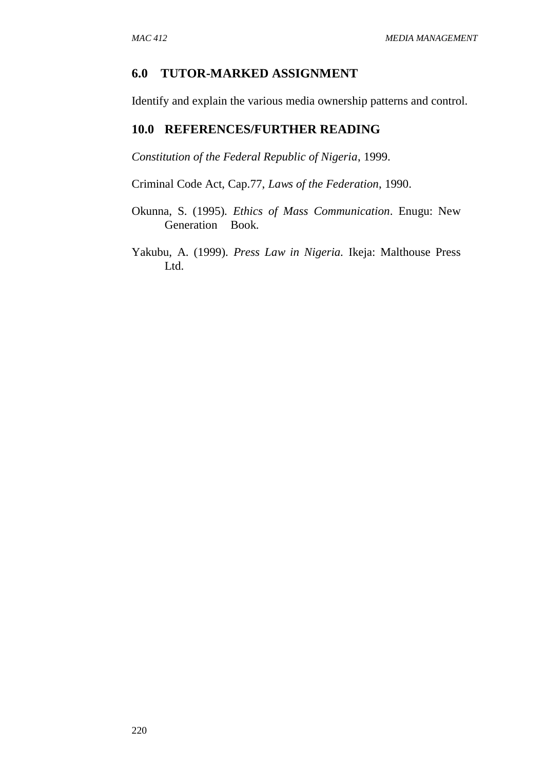## **6.0 TUTOR-MARKED ASSIGNMENT**

Identify and explain the various media ownership patterns and control.

### **10.0 REFERENCES/FURTHER READING**

*Constitution of the Federal Republic of Nigeria*, 1999.

Criminal Code Act, Cap.77, *Laws of the Federation*, 1990.

- Okunna, S. (1995)*. Ethics of Mass Communication*. Enugu: New Generation Book.
- Yakubu, A. (1999). *Press Law in Nigeria.* Ikeja: Malthouse Press Ltd.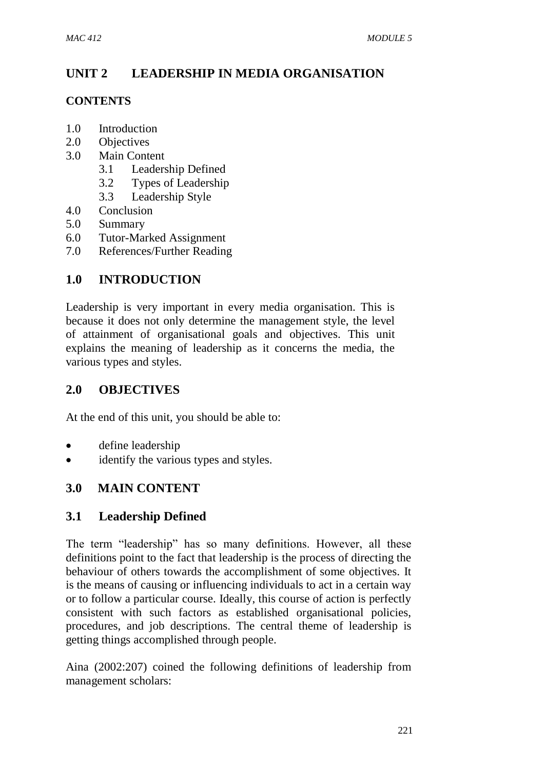# **UNIT 2 LEADERSHIP IN MEDIA ORGANISATION**

# **CONTENTS**

- 1.0 Introduction
- 2.0 Objectives
- 3.0 Main Content
	- 3.1 Leadership Defined
	- 3.2 Types of Leadership
	- 3.3 Leadership Style
- 4.0 Conclusion
- 5.0 Summary
- 6.0 Tutor-Marked Assignment
- 7.0 References/Further Reading

# **1.0 INTRODUCTION**

Leadership is very important in every media organisation. This is because it does not only determine the management style, the level of attainment of organisational goals and objectives. This unit explains the meaning of leadership as it concerns the media, the various types and styles.

# **2.0 OBJECTIVES**

At the end of this unit, you should be able to:

- define leadership
- identify the various types and styles.

# **3.0 MAIN CONTENT**

# **3.1 Leadership Defined**

The term "leadership" has so many definitions. However, all these definitions point to the fact that leadership is the process of directing the behaviour of others towards the accomplishment of some objectives. It is the means of causing or influencing individuals to act in a certain way or to follow a particular course. Ideally, this course of action is perfectly consistent with such factors as established organisational policies, procedures, and job descriptions. The central theme of leadership is getting things accomplished through people.

Aina (2002:207) coined the following definitions of leadership from management scholars: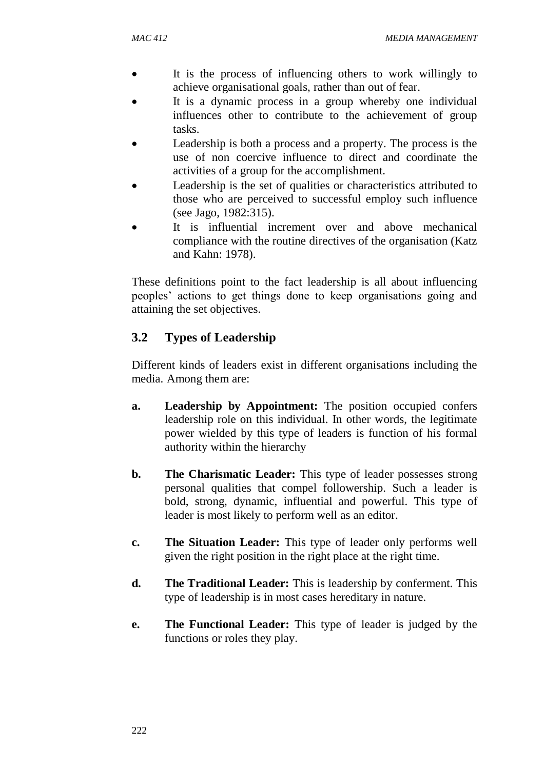- It is the process of influencing others to work willingly to achieve organisational goals, rather than out of fear.
- It is a dynamic process in a group whereby one individual influences other to contribute to the achievement of group tasks.
- Leadership is both a process and a property. The process is the use of non coercive influence to direct and coordinate the activities of a group for the accomplishment.
- Leadership is the set of qualities or characteristics attributed to those who are perceived to successful employ such influence (see Jago, 1982:315).
- It is influential increment over and above mechanical compliance with the routine directives of the organisation (Katz and Kahn: 1978).

These definitions point to the fact leadership is all about influencing peoples' actions to get things done to keep organisations going and attaining the set objectives.

# **3.2 Types of Leadership**

Different kinds of leaders exist in different organisations including the media. Among them are:

- **a. Leadership by Appointment:** The position occupied confers leadership role on this individual. In other words, the legitimate power wielded by this type of leaders is function of his formal authority within the hierarchy
- **b. The Charismatic Leader:** This type of leader possesses strong personal qualities that compel followership. Such a leader is bold, strong, dynamic, influential and powerful. This type of leader is most likely to perform well as an editor.
- **c. The Situation Leader:** This type of leader only performs well given the right position in the right place at the right time.
- **d. The Traditional Leader:** This is leadership by conferment. This type of leadership is in most cases hereditary in nature.
- **e. The Functional Leader:** This type of leader is judged by the functions or roles they play.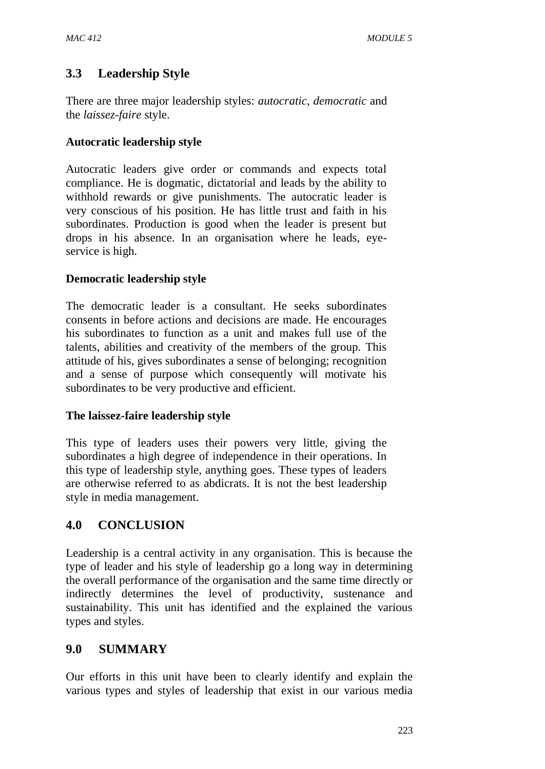# **3.3 Leadership Style**

There are three major leadership styles: *autocratic*, *democratic* and the *laissez*-*faire* style.

## **Autocratic leadership style**

Autocratic leaders give order or commands and expects total compliance. He is dogmatic, dictatorial and leads by the ability to withhold rewards or give punishments. The autocratic leader is very conscious of his position. He has little trust and faith in his subordinates. Production is good when the leader is present but drops in his absence. In an organisation where he leads, eyeservice is high.

## **Democratic leadership style**

The democratic leader is a consultant. He seeks subordinates consents in before actions and decisions are made. He encourages his subordinates to function as a unit and makes full use of the talents, abilities and creativity of the members of the group. This attitude of his, gives subordinates a sense of belonging; recognition and a sense of purpose which consequently will motivate his subordinates to be very productive and efficient.

### **The laissez-faire leadership style**

This type of leaders uses their powers very little, giving the subordinates a high degree of independence in their operations. In this type of leadership style, anything goes. These types of leaders are otherwise referred to as abdicrats. It is not the best leadership style in media management.

# **4.0 CONCLUSION**

Leadership is a central activity in any organisation. This is because the type of leader and his style of leadership go a long way in determining the overall performance of the organisation and the same time directly or indirectly determines the level of productivity, sustenance and sustainability. This unit has identified and the explained the various types and styles.

# **9.0 SUMMARY**

Our efforts in this unit have been to clearly identify and explain the various types and styles of leadership that exist in our various media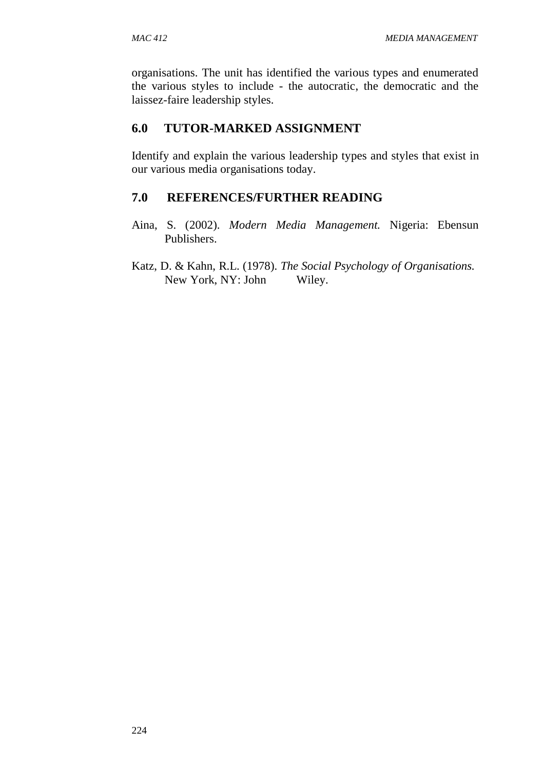organisations. The unit has identified the various types and enumerated the various styles to include - the autocratic, the democratic and the laissez-faire leadership styles.

# **6.0 TUTOR-MARKED ASSIGNMENT**

Identify and explain the various leadership types and styles that exist in our various media organisations today.

# **7.0 REFERENCES/FURTHER READING**

- Aina, S. (2002). *Modern Media Management.* Nigeria: Ebensun Publishers.
- Katz, D. & Kahn, R.L. (1978). *The Social Psychology of Organisations.* New York, NY: John Wiley.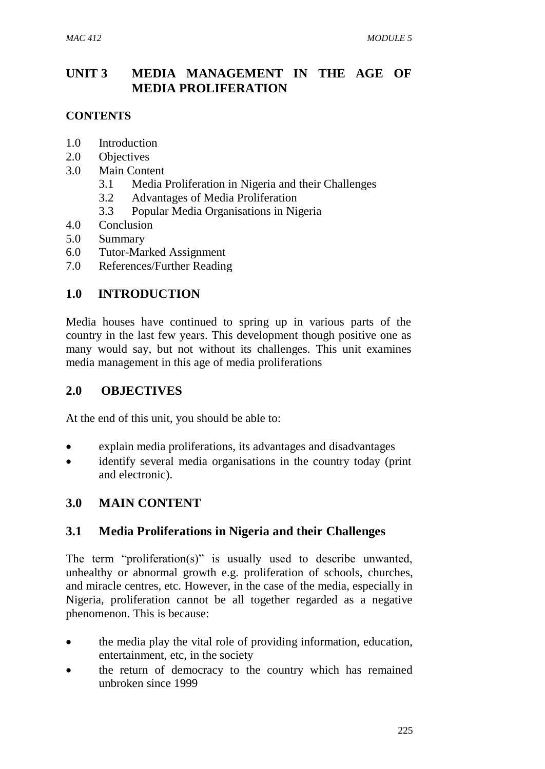# **UNIT 3 MEDIA MANAGEMENT IN THE AGE OF MEDIA PROLIFERATION**

## **CONTENTS**

- 1.0 Introduction
- 2.0 Objectives
- 3.0 Main Content
	- 3.1 Media Proliferation in Nigeria and their Challenges
	- 3.2 Advantages of Media Proliferation
	- 3.3 Popular Media Organisations in Nigeria
- 4.0 Conclusion<br>5.0 Summary
- **Summary**
- 6.0 Tutor-Marked Assignment
- 7.0 References/Further Reading

# **1.0 INTRODUCTION**

Media houses have continued to spring up in various parts of the country in the last few years. This development though positive one as many would say, but not without its challenges. This unit examines media management in this age of media proliferations

# **2.0 OBJECTIVES**

At the end of this unit, you should be able to:

- explain media proliferations, its advantages and disadvantages
- identify several media organisations in the country today (print and electronic).

# **3.0 MAIN CONTENT**

# **3.1 Media Proliferations in Nigeria and their Challenges**

The term "proliferation(s)" is usually used to describe unwanted, unhealthy or abnormal growth e.g. proliferation of schools, churches, and miracle centres, etc. However, in the case of the media, especially in Nigeria, proliferation cannot be all together regarded as a negative phenomenon. This is because:

- the media play the vital role of providing information, education, entertainment, etc, in the society
- the return of democracy to the country which has remained unbroken since 1999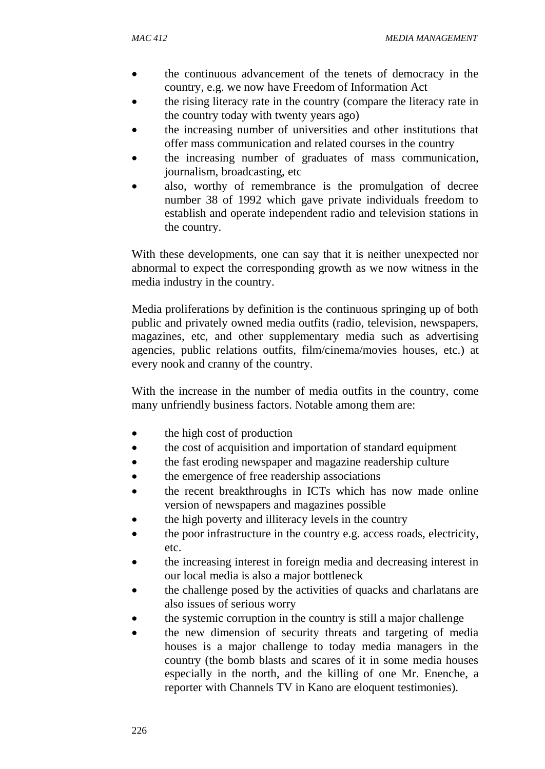- the continuous advancement of the tenets of democracy in the country, e.g. we now have Freedom of Information Act
- the rising literacy rate in the country (compare the literacy rate in the country today with twenty years ago)
- the increasing number of universities and other institutions that offer mass communication and related courses in the country
- the increasing number of graduates of mass communication, journalism, broadcasting, etc
- also, worthy of remembrance is the promulgation of decree number 38 of 1992 which gave private individuals freedom to establish and operate independent radio and television stations in the country.

With these developments, one can say that it is neither unexpected nor abnormal to expect the corresponding growth as we now witness in the media industry in the country.

Media proliferations by definition is the continuous springing up of both public and privately owned media outfits (radio, television, newspapers, magazines, etc, and other supplementary media such as advertising agencies, public relations outfits, film/cinema/movies houses, etc.) at every nook and cranny of the country.

With the increase in the number of media outfits in the country, come many unfriendly business factors. Notable among them are:

- the high cost of production
- the cost of acquisition and importation of standard equipment
- the fast eroding newspaper and magazine readership culture
- the emergence of free readership associations
- the recent breakthroughs in ICTs which has now made online version of newspapers and magazines possible
- the high poverty and illiteracy levels in the country
- the poor infrastructure in the country e.g. access roads, electricity, etc.
- the increasing interest in foreign media and decreasing interest in our local media is also a major bottleneck
- the challenge posed by the activities of quacks and charlatans are also issues of serious worry
- the systemic corruption in the country is still a major challenge
- the new dimension of security threats and targeting of media houses is a major challenge to today media managers in the country (the bomb blasts and scares of it in some media houses especially in the north, and the killing of one Mr. Enenche, a reporter with Channels TV in Kano are eloquent testimonies).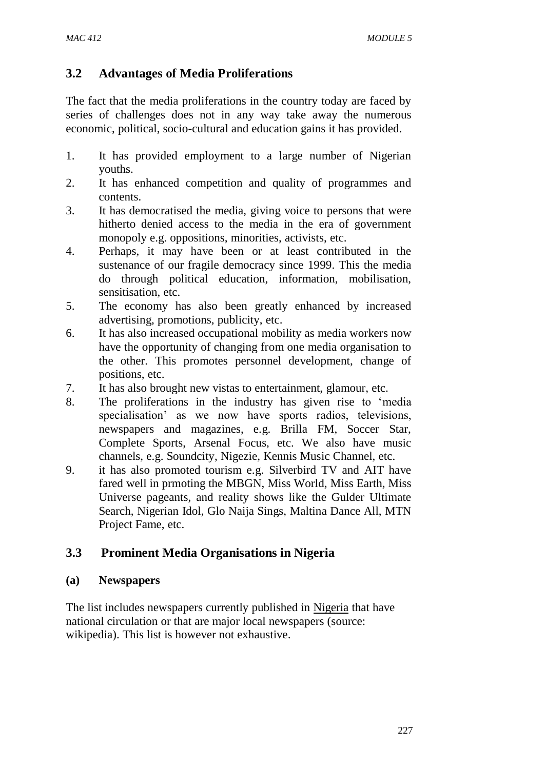# **3.2 Advantages of Media Proliferations**

The fact that the media proliferations in the country today are faced by series of challenges does not in any way take away the numerous economic, political, socio-cultural and education gains it has provided.

- 1. It has provided employment to a large number of Nigerian youths.
- 2. It has enhanced competition and quality of programmes and contents.
- 3. It has democratised the media, giving voice to persons that were hitherto denied access to the media in the era of government monopoly e.g. oppositions, minorities, activists, etc.
- 4. Perhaps, it may have been or at least contributed in the sustenance of our fragile democracy since 1999. This the media do through political education, information, mobilisation, sensitisation, etc.
- 5. The economy has also been greatly enhanced by increased advertising, promotions, publicity, etc.
- 6. It has also increased occupational mobility as media workers now have the opportunity of changing from one media organisation to the other. This promotes personnel development, change of positions, etc.
- 7. It has also brought new vistas to entertainment, glamour, etc.
- 8. The proliferations in the industry has given rise to 'media specialisation' as we now have sports radios, televisions, newspapers and magazines, e.g. Brilla FM, Soccer Star, Complete Sports, Arsenal Focus, etc. We also have music channels, e.g. Soundcity, Nigezie, Kennis Music Channel, etc.
- 9. it has also promoted tourism e.g. Silverbird TV and AIT have fared well in prmoting the MBGN, Miss World, Miss Earth, Miss Universe pageants, and reality shows like the Gulder Ultimate Search, Nigerian Idol, Glo Naija Sings, Maltina Dance All, MTN Project Fame, etc.

# **3.3 Prominent Media Organisations in Nigeria**

### **(a) Newspapers**

The list includes newspapers currently published in [Nigeria](http://en.wikipedia.org/wiki/Nigeria) that have national circulation or that are major local newspapers (source: wikipedia). This list is however not exhaustive.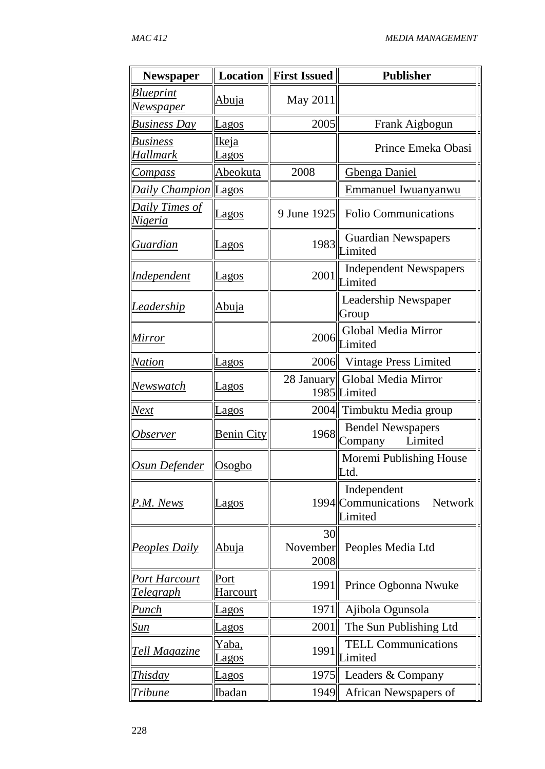| Newspaper                                | <b>Location</b>      | <b>First Issued</b>    | <b>Publisher</b>                                                |
|------------------------------------------|----------------------|------------------------|-----------------------------------------------------------------|
| <b>Blueprint</b>                         | <u>Abuja</u>         | May 2011               |                                                                 |
| <u>Newspaper</u>                         |                      |                        |                                                                 |
| <b>Business Day</b>                      | <b>Lagos</b>         | 2005                   | Frank Aigbogun                                                  |
| <b>Business</b>                          | Ikeja                |                        | Prince Emeka Obasi                                              |
| <b>Hallmark</b>                          | <u>Lagos</u>         |                        |                                                                 |
| <b>Compass</b>                           | <u>Abeokuta</u>      | 2008                   | <b>Gbenga Daniel</b>                                            |
| <b>Daily Champion Lagos</b>              |                      |                        | <b>Emmanuel Iwuanyanwu</b>                                      |
| <b>Daily Times of</b><br>Nigeria         | <u>Lagos</u>         | 9 June 1925            | <b>Folio Communications</b>                                     |
| Guardian                                 | agos                 | 1983                   | <b>Guardian Newspapers</b><br>Limited                           |
| <i>Independent</i>                       | <b>Lagos</b>         | 2001                   | <b>Independent Newspapers</b><br>Limited                        |
| <b>Leadership</b>                        | Abuja                |                        | Leadership Newspaper<br>Group                                   |
| Mirror                                   |                      | 2006                   | Global Media Mirror<br>Limited                                  |
| <b>Nation</b>                            | Lagos                |                        | 2006 Vintage Press Limited                                      |
| Newswatch                                | <u>Lagos</u>         |                        | 28 January Global Media Mirror<br>1985 Limited                  |
| Next                                     | <b>Lagos</b>         |                        | 2004 Timbuktu Media group                                       |
| <i><b>Observer</b></i>                   | <b>Benin City</b>    | 1968                   | <b>Bendel Newspapers</b><br>Limited<br>Company                  |
| <u>Osun Defender</u>                     | Osogbo               |                        | Moremi Publishing House<br>Ltd                                  |
| P.M. News                                | Lagos                |                        | Independent<br>1994 Communications<br><b>Network</b><br>Limited |
| <b>Peoples Daily</b>                     | <u>Abuja</u>         | 30<br>November<br>2008 | Peoples Media Ltd                                               |
| <u>Port Harcourt</u><br><b>Telegraph</b> | Port<br>Harcourt     | 1991                   | Prince Ogbonna Nwuke                                            |
| Punch                                    | Lagos                | 1971                   | Ajibola Ogunsola                                                |
| <u>Sun</u>                               | Lagos                | 2001                   | The Sun Publishing Ltd                                          |
| <b>Tell Magazine</b>                     | Yaba,<br><u>agos</u> | 1991                   | <b>TELL Communications</b><br>Limited                           |
| <i>Thisday</i>                           | <b>Lagos</b>         | 1975                   | Leaders & Company                                               |
| Tribune                                  | Ibadan               | 1949                   | African Newspapers of                                           |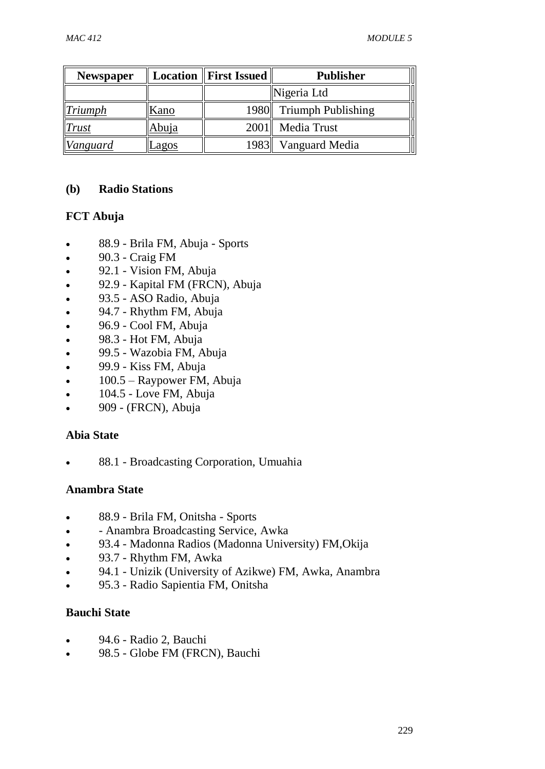| <b>Newspaper</b> |              | <b>Location    First Issued</b> | <b>Publisher</b>        |
|------------------|--------------|---------------------------------|-------------------------|
|                  |              |                                 | Nigeria Ltd             |
| $\ Triumbh\ $    | Kano         |                                 | 1980 Triumph Publishing |
| <b>Trust</b>     | <u>Abuja</u> |                                 | 2001 Media Trust        |
| Vanguard         | <u>Lagos</u> | 1983                            | Vanguard Media          |

### **(b) Radio Stations**

### **FCT Abuja**

- 88.9 Brila FM, Abuja Sports
- $\bullet$  90.3 Craig FM
- 92.1 Vision FM, Abuja
- 92.9 Kapital FM (FRCN), Abuja
- 93.5 ASO Radio, Abuja
- 94.7 Rhythm FM, Abuja
- 96.9 Cool FM, Abuja
- 98.3 Hot FM, Abuja
- 99.5 Wazobia FM, Abuja
- 99.9 Kiss FM, Abuja
- 100.5 Raypower FM, Abuja
- 104.5 Love FM, Abuja
- 909 (FRCN), Abuja

### **Abia State**

88.1 - Broadcasting Corporation, Umuahia

### **Anambra State**

- 88.9 Brila FM, Onitsha Sports
- Anambra Broadcasting Service, Awka
- 93.4 Madonna Radios (Madonna University) FM,Okija
- 93.7 Rhythm FM, Awka
- 94.1 Unizik (University of Azikwe) FM, Awka, Anambra
- 95.3 Radio Sapientia FM, Onitsha

# **Bauchi State**

- 94.6 Radio 2, Bauchi
- 98.5 Globe FM (FRCN), Bauchi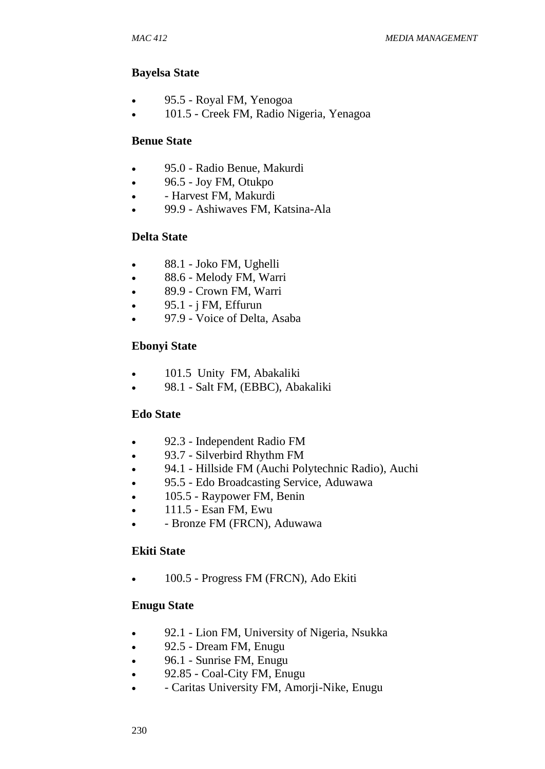### **Bayelsa State**

- 95.5 Royal FM, Yenogoa
- 101.5 Creek FM, Radio Nigeria, Yenagoa

### **Benue State**

- 95.0 Radio Benue, Makurdi
- $\bullet$  96.5 Joy FM, Otukpo
- Harvest FM, Makurdi
- 99.9 Ashiwaves FM, Katsina-Ala

### **Delta State**

- 88.1 Joko FM, Ughelli
- 88.6 Melody FM, Warri
- 89.9 Crown FM, Warri
- $\bullet$  95.1 j FM, Effurun
- 97.9 Voice of Delta, Asaba

### **Ebonyi State**

- 101.5 Unity FM, Abakaliki
- 98.1 Salt FM, (EBBC), Abakaliki

### **Edo State**

- 92.3 Independent Radio FM
- 93.7 Silverbird Rhythm FM
- 94.1 Hillside FM (Auchi Polytechnic Radio), Auchi
- 95.5 Edo Broadcasting Service, Aduwawa
- 105.5 Raypower FM, Benin
- $\bullet$  111.5 Esan FM, Ewu
- Bronze FM (FRCN), Aduwawa

#### **Ekiti State**

• 100.5 - Progress FM (FRCN), Ado Ekiti

### **Enugu State**

- 92.1 Lion FM, University of Nigeria, Nsukka
- 92.5 Dream FM, Enugu
- 96.1 Sunrise FM, Enugu
- 92.85 Coal-City FM, Enugu
- Caritas University FM, Amorji-Nike, Enugu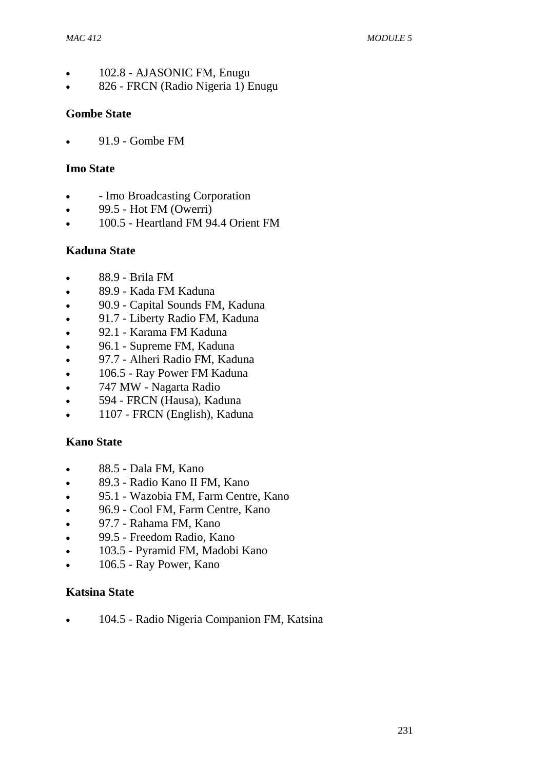- 102.8 AJASONIC FM, Enugu
- 826 FRCN (Radio Nigeria 1) Enugu

### **Gombe State**

91.9 - Gombe FM

### **Imo State**

- Imo Broadcasting Corporation
- 99.5 Hot FM (Owerri)
- 100.5 Heartland FM 94.4 Orient FM

### **Kaduna State**

- 88.9 Brila FM
- 89.9 Kada FM Kaduna
- 90.9 Capital Sounds FM, Kaduna
- 91.7 Liberty Radio FM, Kaduna
- 92.1 Karama FM Kaduna
- 96.1 Supreme FM, Kaduna
- 97.7 Alheri Radio FM, Kaduna
- 106.5 Ray Power FM Kaduna
- 747 MW Nagarta Radio
- 594 FRCN (Hausa), Kaduna
- 1107 FRCN (English), Kaduna

### **Kano State**

- 88.5 Dala FM, Kano
- 89.3 Radio Kano II FM, Kano
- 95.1 Wazobia FM, Farm Centre, Kano
- 96.9 Cool FM, Farm Centre, Kano
- 97.7 Rahama FM, Kano
- 99.5 Freedom Radio, Kano
- 103.5 Pyramid FM, Madobi Kano
- 106.5 Ray Power, Kano

#### **Katsina State**

• 104.5 - Radio Nigeria Companion FM, Katsina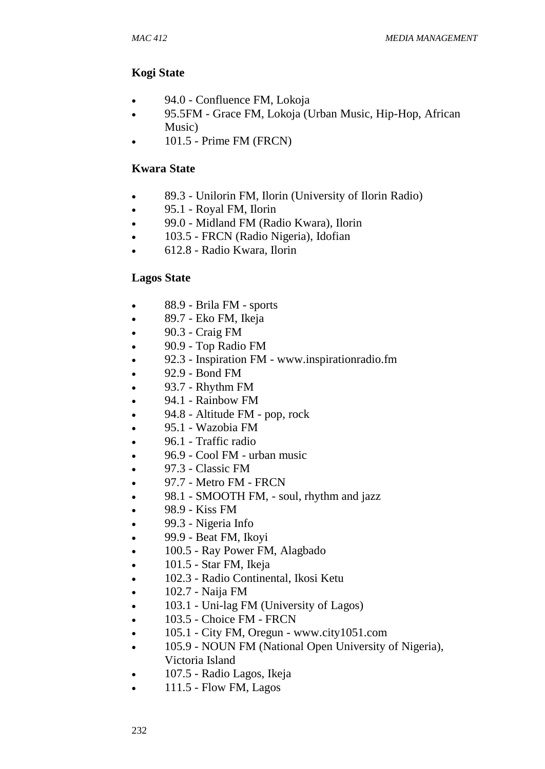### **Kogi State**

- 94.0 Confluence FM, Lokoja
- 95.5FM Grace FM, Lokoja (Urban Music, Hip-Hop, African Music)
- 101.5 Prime FM (FRCN)

#### **Kwara State**

- 89.3 Unilorin FM, Ilorin (University of Ilorin Radio)
- 95.1 Royal FM, Ilorin
- 99.0 Midland FM (Radio Kwara), Ilorin
- 103.5 FRCN (Radio Nigeria), Idofian
- 612.8 Radio Kwara, Ilorin

#### **Lagos State**

- 88.9 Brila FM sports
- 89.7 Eko FM, Ikeja
- 90.3 Craig FM
- 90.9 Top Radio FM
- 92.3 Inspiration FM www.inspirationradio.fm
- 92.9 Bond FM
- $\bullet$  93.7 Rhythm FM
- $\bullet$  94.1 Rainbow FM
- 94.8 Altitude FM pop, rock
- $\bullet$  95.1 Wazobia FM
- 96.1 Traffic radio
- 96.9 Cool FM urban music
- $\bullet$  97.3 Classic FM
- 97.7 Metro FM FRCN
- 98.1 SMOOTH FM, soul, rhythm and jazz
- $-98.9$  Kiss FM
- 99.3 Nigeria Info
- $\bullet$  99.9 Beat FM, Ikovi
- 100.5 Ray Power FM, Alagbado
- $\bullet$  101.5 Star FM, Ikeja
- 102.3 Radio Continental, Ikosi Ketu
- $\bullet$  102.7 Naija FM
- 103.1 Uni-lag FM (University of Lagos)
- 103.5 Choice FM FRCN
- 105.1 City FM, Oregun www.city1051.com
- 105.9 NOUN FM (National Open University of Nigeria), Victoria Island
- 107.5 Radio Lagos, Ikeja
- $\bullet$  111.5 Flow FM, Lagos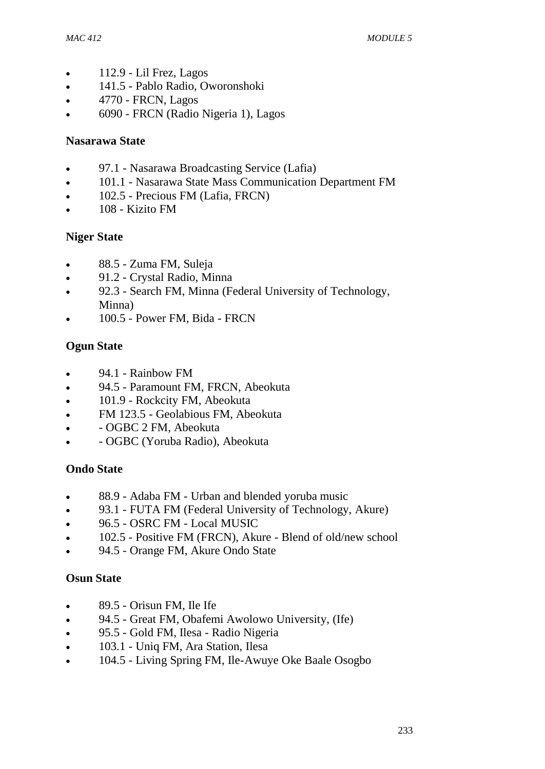- $\bullet$  112.9 Lil Frez, Lagos
- 141.5 Pablo Radio, Oworonshoki
- 4770 FRCN, Lagos
- 6090 FRCN (Radio Nigeria 1), Lagos

### **Nasarawa State**

- 97.1 Nasarawa Broadcasting Service (Lafia)
- 101.1 Nasarawa State Mass Communication Department FM
- 102.5 Precious FM (Lafia, FRCN)
- 108 Kizito FM

### **Niger State**

- 88.5 Zuma FM, Suleja
- 91.2 Crystal Radio, Minna
- 92.3 Search FM, Minna (Federal University of Technology, Minna)
- 100.5 Power FM, Bida FRCN

## **Ogun State**

- 94.1 Rainbow FM
- 94.5 Paramount FM, FRCN, Abeokuta
- 101.9 Rockcity FM, Abeokuta
- FM 123.5 Geolabious FM, Abeokuta
- OGBC 2 FM, Abeokuta
- OGBC (Yoruba Radio), Abeokuta

### **Ondo State**

- 88.9 Adaba FM Urban and blended yoruba music
- 93.1 FUTA FM (Federal University of Technology, Akure)
- 96.5 OSRC FM Local MUSIC
- 102.5 Positive FM (FRCN), Akure Blend of old/new school
- 94.5 Orange FM, Akure Ondo State

### **Osun State**

- 89.5 Orisun FM, Ile Ife
- 94.5 Great FM, Obafemi Awolowo University, (Ife)
- 95.5 Gold FM, Ilesa Radio Nigeria
- 103.1 Uniq FM, Ara Station, Ilesa
- 104.5 Living Spring FM, Ile-Awuye Oke Baale Osogbo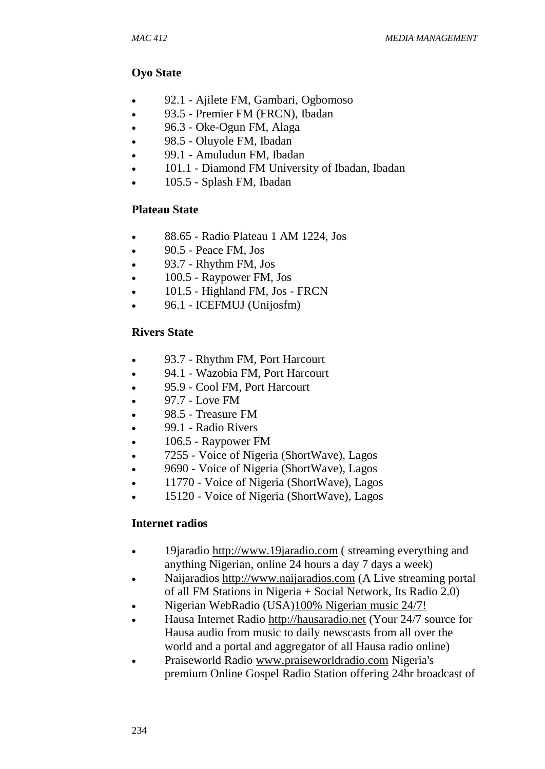## **Oyo State**

- 92.1 Ajilete FM, Gambari, Ogbomoso
- 93.5 Premier FM (FRCN), Ibadan
- 96.3 Oke-Ogun FM, Alaga
- 98.5 Oluyole FM, Ibadan
- 99.1 Amuludun FM, Ibadan
- 101.1 Diamond FM University of Ibadan, Ibadan
- 105.5 Splash FM, Ibadan

## **Plateau State**

- 88.65 Radio Plateau 1 AM 1224, Jos
- 90.5 Peace FM, Jos
- $\bullet$  93.7 Rhythm FM, Jos
- $\bullet$  100.5 Raypower FM, Jos
- 101.5 Highland FM, Jos FRCN
- 96.1 ICEFMUJ (Unijosfm)

## **Rivers State**

- 93.7 Rhythm FM, Port Harcourt
- 94.1 Wazobia FM, Port Harcourt
- 95.9 Cool FM, Port Harcourt
- 97.7 Love FM
- 98.5 Treasure FM
- 99.1 Radio Rivers
- 106.5 Raypower FM
- 7255 Voice of Nigeria (ShortWave), Lagos
- 9690 Voice of Nigeria (ShortWave), Lagos
- 11770 Voice of Nigeria (ShortWave), Lagos
- 15120 Voice of Nigeria (ShortWave), Lagos

# **Internet radios**

- 19jaradio [http://www.19jaradio.com](http://www.19jaradio.com/) ( streaming everything and anything Nigerian, online 24 hours a day 7 days a week)
- Naijaradios [http://www.naijaradios.com](http://www.naijaradios.com/) (A Live streaming portal of all FM Stations in Nigeria + Social Network, Its Radio 2.0)
- Nigerian WebRadio (USA[\)100% Nigerian music 24/7!](http://www.nigerianwebradio.com/)
- Hausa Internet Radio [http://hausaradio.net](http://hausaradio.net/) (Your 24/7 source for Hausa audio from music to daily newscasts from all over the world and a portal and aggregator of all Hausa radio online)
- Praiseworld Radio [www.praiseworldradio.com](http://www.praiseworldradio.com/) Nigeria's premium Online Gospel Radio Station offering 24hr broadcast of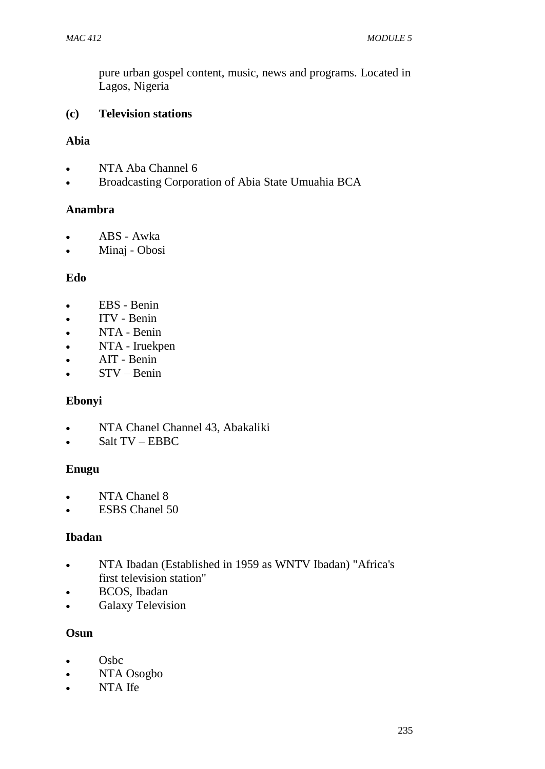pure urban gospel content, music, news and programs. Located in Lagos, Nigeria

## **(c) Television stations**

## **Abia**

- NTA Aba Channel 6
- Broadcasting Corporation of Abia State Umuahia BCA

### **Anambra**

- ABS Awka
- Minaj Obosi

## **Edo**

- EBS Benin
- ITV Benin
- NTA Benin
- NTA Iruekpen
- AIT Benin
- STV Benin

### **Ebonyi**

- NTA Chanel Channel 43, Abakaliki
- Salt TV EBBC

### **Enugu**

- NTA Chanel 8
- ESBS Chanel 50

### **Ibadan**

- NTA Ibadan (Established in 1959 as WNTV Ibadan) "Africa's first television station"
- BCOS, Ibadan
- Galaxy Television

### **Osun**

- Osbc
- NTA Osogbo
- NTA Ife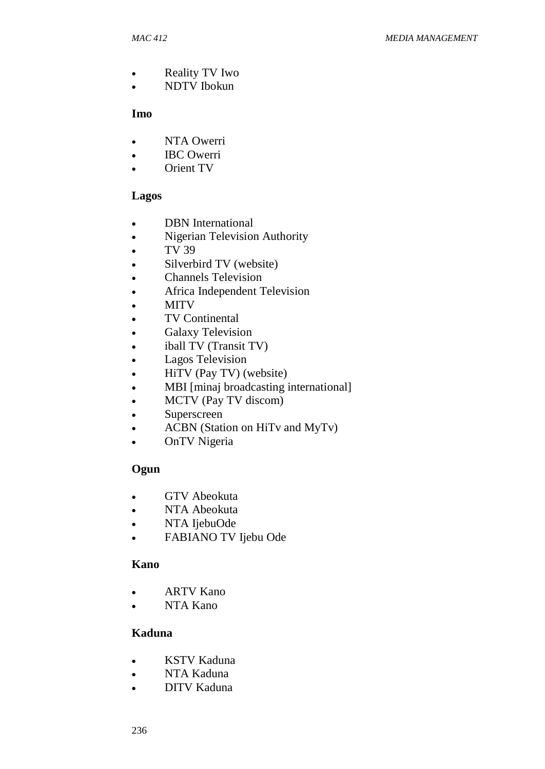- Reality TV Iwo
- NDTV Ibokun

#### **Imo**

- NTA Owerri
- IBC Owerri
- Orient TV

### **Lagos**

- **DBN** International
- Nigerian Television Authority
- $\bullet$  TV 39
- Silverbird TV (website)
- Channels Television
- Africa Independent Television
- MITV
- TV Continental
- **•** Galaxy Television
- iball TV (Transit TV)
- Lagos Television
- HiTV (Pay TV) (website)
- MBI [minaj broadcasting international]
- MCTV (Pay TV discom)
- Superscreen
- ACBN (Station on HiTv and MyTv)
- OnTV Nigeria

### **Ogun**

- GTV Abeokuta
- NTA Abeokuta
- NTA IjebuOde
- FABIANO TV Ijebu Ode

### **Kano**

- ARTV Kano
- NTA Kano

### **Kaduna**

- KSTV Kaduna
- NTA Kaduna
- DITV Kaduna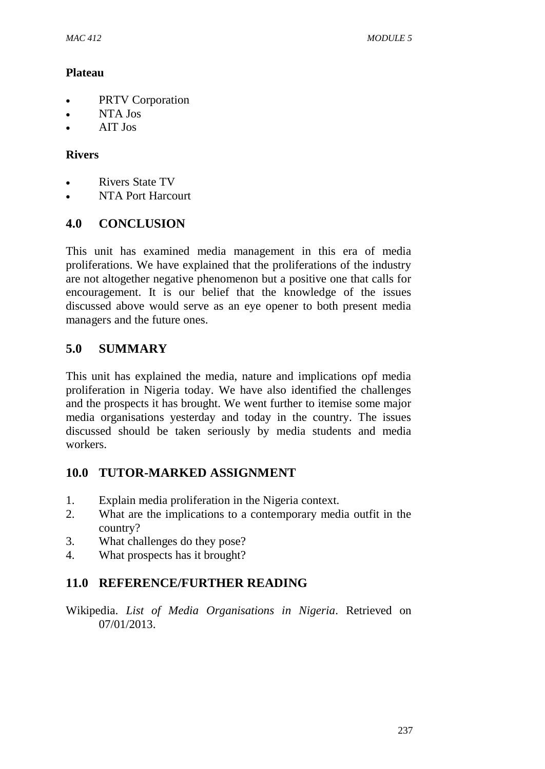### **Plateau**

- PRTV Corporation
- NTA Jos
- AIT Jos

## **Rivers**

- Rivers State TV
- NTA Port Harcourt

# **4.0 CONCLUSION**

This unit has examined media management in this era of media proliferations. We have explained that the proliferations of the industry are not altogether negative phenomenon but a positive one that calls for encouragement. It is our belief that the knowledge of the issues discussed above would serve as an eye opener to both present media managers and the future ones.

# **5.0 SUMMARY**

This unit has explained the media, nature and implications opf media proliferation in Nigeria today. We have also identified the challenges and the prospects it has brought. We went further to itemise some major media organisations yesterday and today in the country. The issues discussed should be taken seriously by media students and media workers.

# **10.0 TUTOR-MARKED ASSIGNMENT**

- 1. Explain media proliferation in the Nigeria context.
- 2. What are the implications to a contemporary media outfit in the country?
- 3. What challenges do they pose?
- 4. What prospects has it brought?

# **11.0 REFERENCE/FURTHER READING**

Wikipedia. *List of Media Organisations in Nigeria*. Retrieved on 07/01/2013.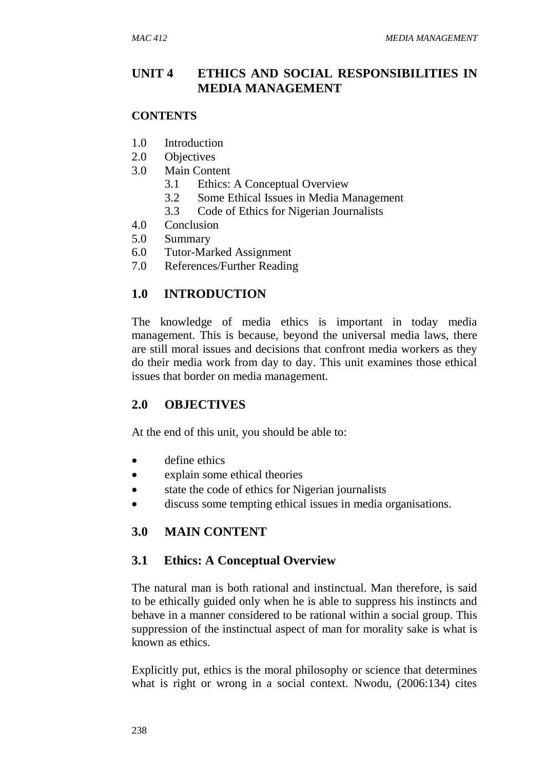# **UNIT 4 ETHICS AND SOCIAL RESPONSIBILITIES IN MEDIA MANAGEMENT**

#### **CONTENTS**

- 1.0 Introduction
- 2.0 Objectives
- 3.0 Main Content
	- 3.1 Ethics: A Conceptual Overview
	- 3.2 Some Ethical Issues in Media Management
	- 3.3 Code of Ethics for Nigerian Journalists
- 4.0 Conclusion
- 5.0 Summary
- 6.0 Tutor-Marked Assignment
- 7.0 References/Further Reading

# **1.0 INTRODUCTION**

The knowledge of media ethics is important in today media management. This is because, beyond the universal media laws, there are still moral issues and decisions that confront media workers as they do their media work from day to day. This unit examines those ethical issues that border on media management.

# **2.0 OBJECTIVES**

At the end of this unit, you should be able to:

- define ethics
- explain some ethical theories
- state the code of ethics for Nigerian journalists
- discuss some tempting ethical issues in media organisations.

# **3.0 MAIN CONTENT**

# **3.1 Ethics: A Conceptual Overview**

The natural man is both rational and instinctual. Man therefore, is said to be ethically guided only when he is able to suppress his instincts and behave in a manner considered to be rational within a social group. This suppression of the instinctual aspect of man for morality sake is what is known as ethics.

Explicitly put, ethics is the moral philosophy or science that determines what is right or wrong in a social context. Nwodu, (2006:134) cites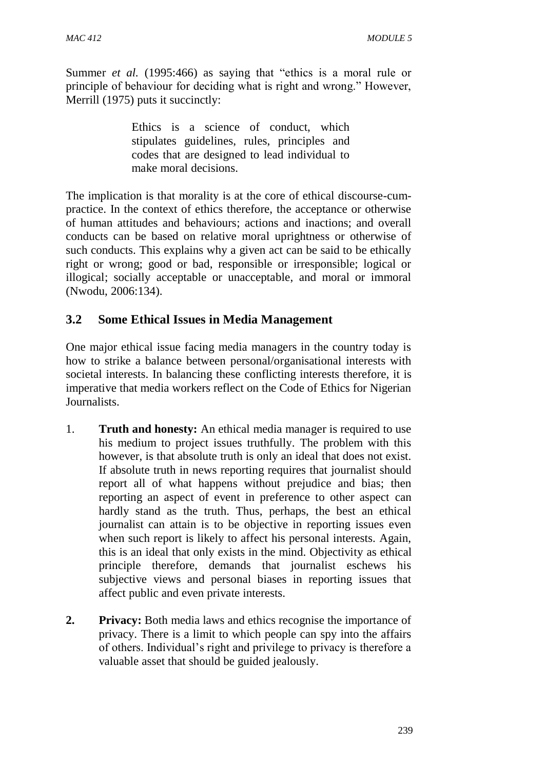Summer *et al.* (1995:466) as saying that "ethics is a moral rule or principle of behaviour for deciding what is right and wrong." However, Merrill (1975) puts it succinctly:

> Ethics is a science of conduct, which stipulates guidelines, rules, principles and codes that are designed to lead individual to make moral decisions.

The implication is that morality is at the core of ethical discourse-cumpractice. In the context of ethics therefore, the acceptance or otherwise of human attitudes and behaviours; actions and inactions; and overall conducts can be based on relative moral uprightness or otherwise of such conducts. This explains why a given act can be said to be ethically right or wrong; good or bad, responsible or irresponsible; logical or illogical; socially acceptable or unacceptable, and moral or immoral (Nwodu, 2006:134).

# **3.2 Some Ethical Issues in Media Management**

One major ethical issue facing media managers in the country today is how to strike a balance between personal/organisational interests with societal interests. In balancing these conflicting interests therefore, it is imperative that media workers reflect on the Code of Ethics for Nigerian Journalists.

- 1. **Truth and honesty:** An ethical media manager is required to use his medium to project issues truthfully. The problem with this however, is that absolute truth is only an ideal that does not exist. If absolute truth in news reporting requires that journalist should report all of what happens without prejudice and bias; then reporting an aspect of event in preference to other aspect can hardly stand as the truth. Thus, perhaps, the best an ethical journalist can attain is to be objective in reporting issues even when such report is likely to affect his personal interests. Again, this is an ideal that only exists in the mind. Objectivity as ethical principle therefore, demands that journalist eschews his subjective views and personal biases in reporting issues that affect public and even private interests.
- **2. Privacy:** Both media laws and ethics recognise the importance of privacy. There is a limit to which people can spy into the affairs of others. Individual's right and privilege to privacy is therefore a valuable asset that should be guided jealously.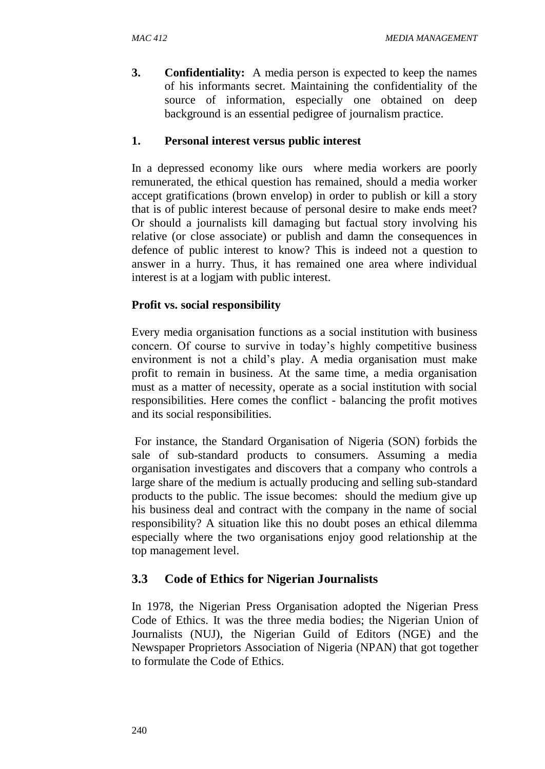**3. Confidentiality:** A media person is expected to keep the names of his informants secret. Maintaining the confidentiality of the source of information, especially one obtained on deep background is an essential pedigree of journalism practice.

## **1. Personal interest versus public interest**

In a depressed economy like ours where media workers are poorly remunerated, the ethical question has remained, should a media worker accept gratifications (brown envelop) in order to publish or kill a story that is of public interest because of personal desire to make ends meet? Or should a journalists kill damaging but factual story involving his relative (or close associate) or publish and damn the consequences in defence of public interest to know? This is indeed not a question to answer in a hurry. Thus, it has remained one area where individual interest is at a logjam with public interest.

## **Profit vs. social responsibility**

Every media organisation functions as a social institution with business concern. Of course to survive in today's highly competitive business environment is not a child's play. A media organisation must make profit to remain in business. At the same time, a media organisation must as a matter of necessity, operate as a social institution with social responsibilities. Here comes the conflict - balancing the profit motives and its social responsibilities.

For instance, the Standard Organisation of Nigeria (SON) forbids the sale of sub-standard products to consumers. Assuming a media organisation investigates and discovers that a company who controls a large share of the medium is actually producing and selling sub-standard products to the public. The issue becomes: should the medium give up his business deal and contract with the company in the name of social responsibility? A situation like this no doubt poses an ethical dilemma especially where the two organisations enjoy good relationship at the top management level.

# **3.3 Code of Ethics for Nigerian Journalists**

In 1978, the Nigerian Press Organisation adopted the Nigerian Press Code of Ethics. It was the three media bodies; the Nigerian Union of Journalists (NUJ), the Nigerian Guild of Editors (NGE) and the Newspaper Proprietors Association of Nigeria (NPAN) that got together to formulate the Code of Ethics.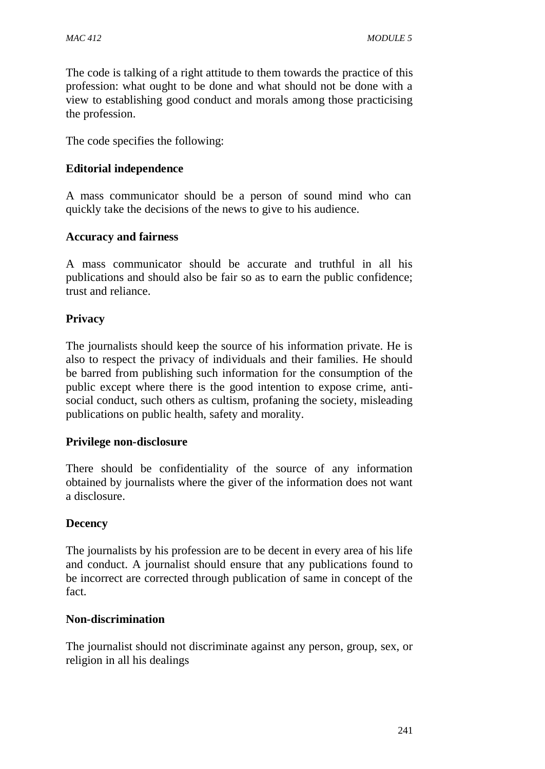The code is talking of a right attitude to them towards the practice of this profession: what ought to be done and what should not be done with a view to establishing good conduct and morals among those practicising the profession.

The code specifies the following:

### **Editorial independence**

A mass communicator should be a person of sound mind who can quickly take the decisions of the news to give to his audience.

### **Accuracy and fairness**

A mass communicator should be accurate and truthful in all his publications and should also be fair so as to earn the public confidence; trust and reliance.

### **Privacy**

The journalists should keep the source of his information private. He is also to respect the privacy of individuals and their families. He should be barred from publishing such information for the consumption of the public except where there is the good intention to expose crime, antisocial conduct, such others as cultism, profaning the society, misleading publications on public health, safety and morality.

#### **Privilege non-disclosure**

There should be confidentiality of the source of any information obtained by journalists where the giver of the information does not want a disclosure.

### **Decency**

The journalists by his profession are to be decent in every area of his life and conduct. A journalist should ensure that any publications found to be incorrect are corrected through publication of same in concept of the fact.

#### **Non-discrimination**

The journalist should not discriminate against any person, group, sex, or religion in all his dealings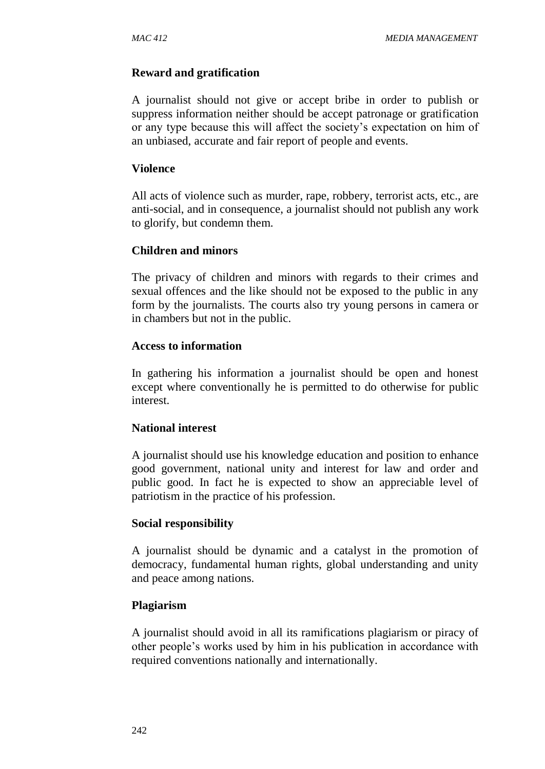### **Reward and gratification**

A journalist should not give or accept bribe in order to publish or suppress information neither should be accept patronage or gratification or any type because this will affect the society's expectation on him of an unbiased, accurate and fair report of people and events.

#### **Violence**

All acts of violence such as murder, rape, robbery, terrorist acts, etc., are anti-social, and in consequence, a journalist should not publish any work to glorify, but condemn them.

### **Children and minors**

The privacy of children and minors with regards to their crimes and sexual offences and the like should not be exposed to the public in any form by the journalists. The courts also try young persons in camera or in chambers but not in the public.

#### **Access to information**

In gathering his information a journalist should be open and honest except where conventionally he is permitted to do otherwise for public interest.

#### **National interest**

A journalist should use his knowledge education and position to enhance good government, national unity and interest for law and order and public good. In fact he is expected to show an appreciable level of patriotism in the practice of his profession.

#### **Social responsibility**

A journalist should be dynamic and a catalyst in the promotion of democracy, fundamental human rights, global understanding and unity and peace among nations.

### **Plagiarism**

A journalist should avoid in all its ramifications plagiarism or piracy of other people's works used by him in his publication in accordance with required conventions nationally and internationally.